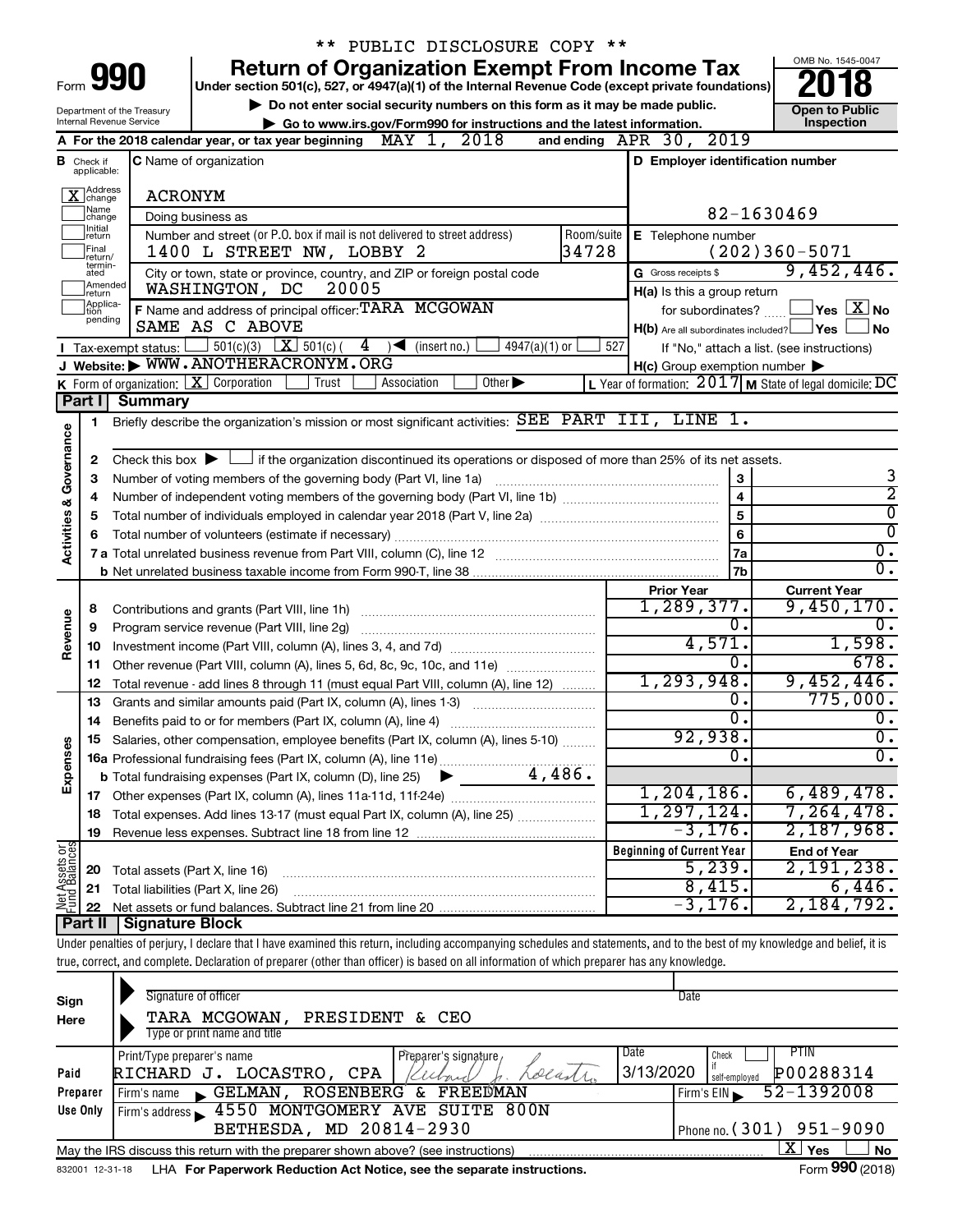|                         |                               |                                                    | ** PUBLIC DISCLOSURE COPY **                                                                                                                                               |                                                     |                                                           |
|-------------------------|-------------------------------|----------------------------------------------------|----------------------------------------------------------------------------------------------------------------------------------------------------------------------------|-----------------------------------------------------|-----------------------------------------------------------|
|                         |                               |                                                    | <b>Return of Organization Exempt From Income Tax</b>                                                                                                                       |                                                     | OMB No. 1545-0047                                         |
|                         |                               | Form <b>990</b>                                    | Under section 501(c), 527, or 4947(a)(1) of the Internal Revenue Code (except private foundations)                                                                         |                                                     |                                                           |
|                         |                               | Department of the Treasury                         | Do not enter social security numbers on this form as it may be made public.                                                                                                |                                                     | <b>Open to Public</b>                                     |
|                         |                               | Internal Revenue Service                           | Go to www.irs.gov/Form990 for instructions and the latest information.                                                                                                     |                                                     | Inspection                                                |
|                         |                               |                                                    | MAY 1, 2018<br>A For the 2018 calendar year, or tax year beginning                                                                                                         | and ending APR 30, 2019                             |                                                           |
|                         | <b>B</b> Check if applicable: |                                                    | <b>C</b> Name of organization                                                                                                                                              | D Employer identification number                    |                                                           |
|                         |                               |                                                    |                                                                                                                                                                            |                                                     |                                                           |
|                         | Address<br>Change             | <b>ACRONYM</b>                                     |                                                                                                                                                                            |                                                     |                                                           |
|                         | ]Name<br>]change<br>Ilnitial  |                                                    | Doing business as                                                                                                                                                          |                                                     | 82-1630469                                                |
|                         | return<br> Final              |                                                    | Number and street (or P.O. box if mail is not delivered to street address)<br>Room/suite<br>34728                                                                          | E Telephone number                                  |                                                           |
|                         | lreturn/<br>termin-           |                                                    | 1400 L STREET NW, LOBBY 2                                                                                                                                                  |                                                     | $(202)360 - 5071$<br>9,452,446.                           |
|                         | ated<br>Amended               |                                                    | City or town, state or province, country, and ZIP or foreign postal code<br>WASHINGTON, DC<br>20005                                                                        | G Gross receipts \$                                 |                                                           |
|                         | Ireturn<br>Applica-           |                                                    | F Name and address of principal officer: TARA MCGOWAN                                                                                                                      | H(a) Is this a group return<br>for subordinates?    | $\Box$ Yes $\Box X$ No                                    |
|                         | ltion<br>pending              |                                                    | SAME AS C ABOVE                                                                                                                                                            | $H(b)$ Are all subordinates included? $\Box$ Yes    | ∣No                                                       |
|                         |                               | Tax-exempt status: [                               | $\frac{1}{2}$ 501(c)(3) $\boxed{\textbf{X}}$ 501(c)(<br>4<br>$4947(a)(1)$ or<br>$\sqrt{\frac{1}{1}}$ (insert no.)                                                          | 527                                                 | If "No," attach a list. (see instructions)                |
|                         |                               |                                                    | J Website: WWW.ANOTHERACRONYM.ORG                                                                                                                                          | $H(c)$ Group exemption number $\blacktriangleright$ |                                                           |
|                         |                               |                                                    | K Form of organization:   X Corporation<br>Other $\blacktriangleright$<br>Association<br>Trust                                                                             |                                                     | L Year of formation: $2017$ M State of legal domicile: DC |
|                         | Part I                        | <b>Summary</b>                                     |                                                                                                                                                                            |                                                     |                                                           |
|                         | 1                             |                                                    | Briefly describe the organization's mission or most significant activities: SEE PART III, LINE 1.                                                                          |                                                     |                                                           |
| Governance              |                               |                                                    |                                                                                                                                                                            |                                                     |                                                           |
|                         | 2                             |                                                    | Check this box $\blacktriangleright$ $\Box$ if the organization discontinued its operations or disposed of more than 25% of its net assets.                                |                                                     |                                                           |
|                         | 3                             |                                                    | Number of voting members of the governing body (Part VI, line 1a)                                                                                                          | 3                                                   | 3                                                         |
|                         | 4                             | $\overline{2}$<br>$\overline{4}$<br>$\overline{0}$ |                                                                                                                                                                            |                                                     |                                                           |
|                         | 5                             |                                                    |                                                                                                                                                                            | 5                                                   | $\overline{0}$                                            |
| <b>Activities &amp;</b> | 6                             |                                                    |                                                                                                                                                                            | 6                                                   | $\overline{0}$ .                                          |
|                         |                               |                                                    |                                                                                                                                                                            | 7a<br>7b                                            | $\overline{0}$ .                                          |
|                         |                               |                                                    |                                                                                                                                                                            | <b>Prior Year</b>                                   | <b>Current Year</b>                                       |
|                         | 8                             |                                                    | Contributions and grants (Part VIII, line 1h)                                                                                                                              | 1,289,377.                                          | 9,450,170.                                                |
|                         | 9                             |                                                    | Program service revenue (Part VIII, line 2g)                                                                                                                               | $\overline{0}$ .                                    |                                                           |
| Revenue                 | 10                            |                                                    |                                                                                                                                                                            | 4,571.                                              | 1,598.                                                    |
|                         | 11                            |                                                    | Other revenue (Part VIII, column (A), lines 5, 6d, 8c, 9c, 10c, and 11e)                                                                                                   | Ο.                                                  | 678.                                                      |
|                         | 12                            |                                                    | Total revenue - add lines 8 through 11 (must equal Part VIII, column (A), line 12)                                                                                         | 1, 293, 948.                                        | 9,452,446.                                                |
|                         | 13                            |                                                    | Grants and similar amounts paid (Part IX, column (A), lines 1-3)                                                                                                           | о.<br>σ.                                            | 775,000.                                                  |
|                         | 14                            |                                                    |                                                                                                                                                                            | 92,938.                                             | $\overline{0}$ .<br>$\overline{0}$ .                      |
|                         |                               |                                                    | Salaries, other compensation, employee benefits (Part IX, column (A), lines 5-10)                                                                                          | 0                                                   | $\overline{0}$ .                                          |
| Expenses                |                               |                                                    | 4,486.                                                                                                                                                                     |                                                     |                                                           |
|                         |                               |                                                    | <b>b</b> Total fundraising expenses (Part IX, column (D), line 25)                                                                                                         | $1, 204, 186$ .                                     | 6,489,478.                                                |
|                         | 18                            |                                                    | Total expenses. Add lines 13-17 (must equal Part IX, column (A), line 25) <i></i>                                                                                          | 1, 297, 124.                                        | 7, 264, 478.                                              |
|                         | 19                            |                                                    |                                                                                                                                                                            | $-3,176.$                                           | 2,187,968.                                                |
| Net Assets or           |                               |                                                    |                                                                                                                                                                            | <b>Beginning of Current Year</b>                    | <b>End of Year</b>                                        |
|                         | 20                            | Total assets (Part X, line 16)                     |                                                                                                                                                                            | 5,239.                                              | 2,191,238.                                                |
|                         | 21                            |                                                    | Total liabilities (Part X, line 26)                                                                                                                                        | 8,415.                                              | 6,446.                                                    |
|                         | 22                            |                                                    |                                                                                                                                                                            | $-3, 176.$                                          | 2,184,792.                                                |
|                         | Part II                       | Signature Block                                    |                                                                                                                                                                            |                                                     |                                                           |
|                         |                               |                                                    | Under penalties of perjury, I declare that I have examined this return, including accompanying schedules and statements, and to the best of my knowledge and belief, it is |                                                     |                                                           |
|                         |                               |                                                    | true, correct, and complete. Declaration of preparer (other than officer) is based on all information of which preparer has any knowledge.                                 |                                                     |                                                           |
|                         |                               |                                                    | Signature of officer                                                                                                                                                       | Date                                                |                                                           |
| Sign<br>Here            |                               |                                                    | TARA MCGOWAN,<br>PRESIDENT & CEO                                                                                                                                           |                                                     |                                                           |
|                         |                               |                                                    | Type or print name and title                                                                                                                                               |                                                     |                                                           |
|                         |                               | Print/Type preparer's name                         | Preparer's signature,                                                                                                                                                      | Date<br>Check                                       | <b>PTIN</b>                                               |
| Paid                    |                               |                                                    | RICHARD J. LOCASTRO, CPA<br>olan                                                                                                                                           | 3/13/2020<br>self-employed                          | P00288314                                                 |
|                         | Preparer                      |                                                    | Firm's name GELMAN, ROSENBERG<br>FREEDMAN<br>&.                                                                                                                            | Firm's EIN                                          | 52-1392008                                                |
|                         |                               |                                                    | <b>AEEO MONTOOMEDY AVE CITTEE OOON</b>                                                                                                                                     |                                                     |                                                           |

|                 | May the IRS discuss this return with the preparer shown above? (see instructions) | <b>Yes</b><br>Δ. | No                     |
|-----------------|-----------------------------------------------------------------------------------|------------------|------------------------|
| 832001 12-31-18 | LHA For Paperwork Reduction Act Notice, see the separate instructions.            |                  | Form <b>990</b> (2018) |

4550 MONTGOMERY AVE SUITE 800N

BETHESDA, MD 20814-2930 | Phone no. (301) 951-9090

**Use Only**

Firm's address

 $\blacktriangleright$ 

Phone no.  $(301)$  951-9090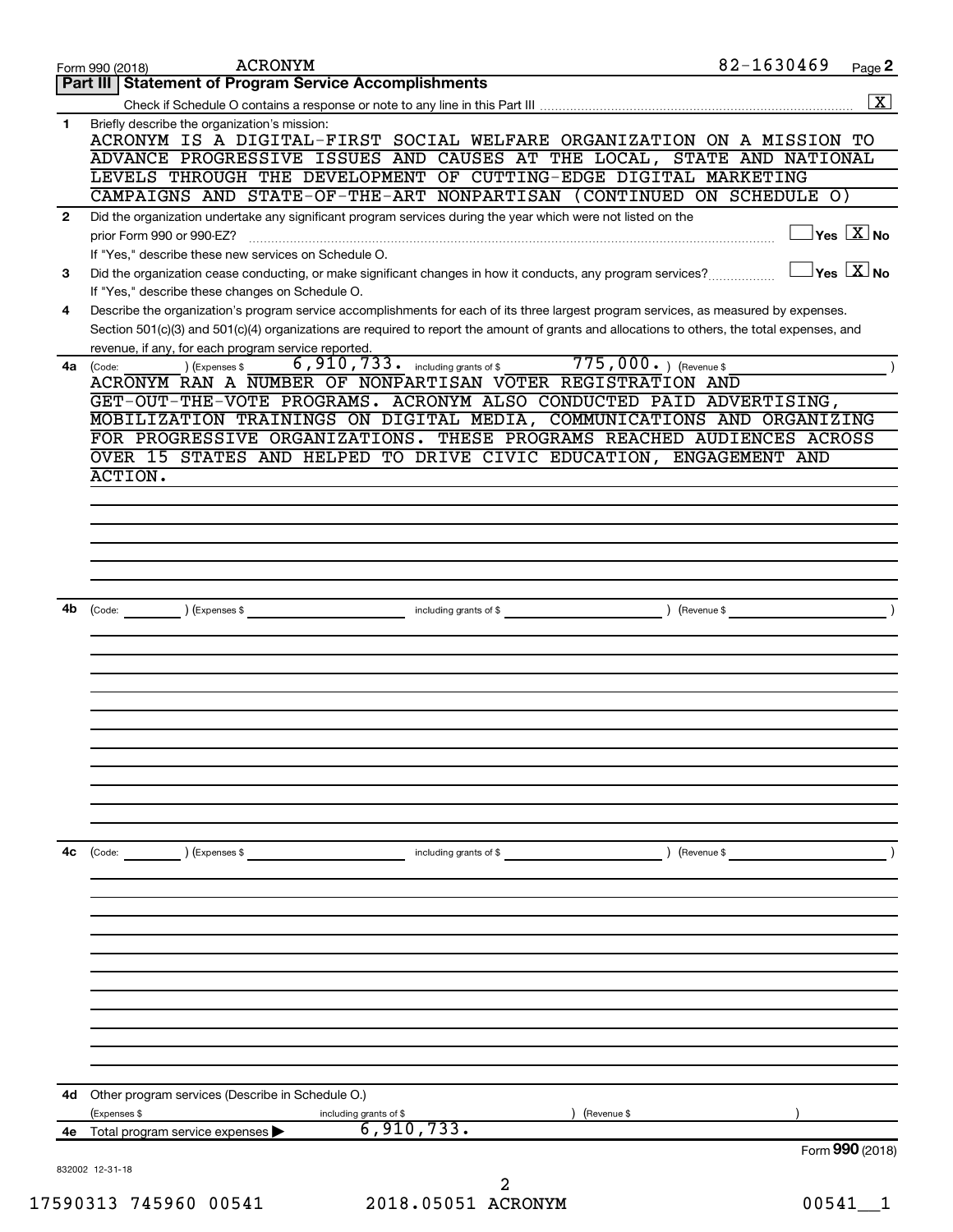| $\overline{\mathbf{X}}$<br>Briefly describe the organization's mission:<br>1.<br>ACRONYM IS A DIGITAL-FIRST SOCIAL WELFARE ORGANIZATION ON A MISSION TO<br>ADVANCE PROGRESSIVE ISSUES AND CAUSES AT THE LOCAL, STATE AND NATIONAL<br>LEVELS THROUGH THE DEVELOPMENT OF CUTTING-EDGE DIGITAL MARKETING<br>CAMPAIGNS AND STATE-OF-THE-ART NONPARTISAN (CONTINUED ON SCHEDULE O)<br>Did the organization undertake any significant program services during the year which were not listed on the<br>$\mathbf{2}$<br>$\exists$ Yes $\boxed{\text{X}}$ No<br>prior Form 990 or 990-EZ?<br>If "Yes," describe these new services on Schedule O.<br>$\exists$ Yes $\boxed{\text{X}}$ No<br>Did the organization cease conducting, or make significant changes in how it conducts, any program services?<br>3<br>If "Yes," describe these changes on Schedule O.<br>Describe the organization's program service accomplishments for each of its three largest program services, as measured by expenses.<br>4<br>Section 501(c)(3) and 501(c)(4) organizations are required to report the amount of grants and allocations to others, the total expenses, and<br>revenue, if any, for each program service reported.<br>6,910,733. including grants of \$775,000.) (Revenue \$<br>) (Expenses \$<br>4a<br>(Code:<br>ACRONYM RAN A NUMBER OF NONPARTISAN VOTER REGISTRATION AND<br>GET-OUT-THE-VOTE PROGRAMS. ACRONYM ALSO CONDUCTED PAID ADVERTISING,<br>MOBILIZATION TRAININGS ON DIGITAL MEDIA, COMMUNICATIONS AND ORGANIZING<br>FOR PROGRESSIVE ORGANIZATIONS. THESE PROGRAMS REACHED AUDIENCES ACROSS<br>OVER 15 STATES AND HELPED TO DRIVE CIVIC EDUCATION, ENGAGEMENT AND<br>ACTION.<br>4b<br>(Code: ) (Expenses \$<br>4c<br>(Code: ) (Expenses \$<br>including grants of \$<br>) (Revenue \$<br>Other program services (Describe in Schedule O.)<br>4d<br>Revenue \$<br>(Expenses \$<br>including grants of \$<br>6,910,733.<br><b>4e</b> Total program service expenses $\blacktriangleright$<br>Form 990 (2018)<br>832002 12-31-18 |  |  |
|-------------------------------------------------------------------------------------------------------------------------------------------------------------------------------------------------------------------------------------------------------------------------------------------------------------------------------------------------------------------------------------------------------------------------------------------------------------------------------------------------------------------------------------------------------------------------------------------------------------------------------------------------------------------------------------------------------------------------------------------------------------------------------------------------------------------------------------------------------------------------------------------------------------------------------------------------------------------------------------------------------------------------------------------------------------------------------------------------------------------------------------------------------------------------------------------------------------------------------------------------------------------------------------------------------------------------------------------------------------------------------------------------------------------------------------------------------------------------------------------------------------------------------------------------------------------------------------------------------------------------------------------------------------------------------------------------------------------------------------------------------------------------------------------------------------------------------------------------------------------------------------------------------------------------------------------------------------------------------------------------------------------------------------|--|--|
|                                                                                                                                                                                                                                                                                                                                                                                                                                                                                                                                                                                                                                                                                                                                                                                                                                                                                                                                                                                                                                                                                                                                                                                                                                                                                                                                                                                                                                                                                                                                                                                                                                                                                                                                                                                                                                                                                                                                                                                                                                     |  |  |
|                                                                                                                                                                                                                                                                                                                                                                                                                                                                                                                                                                                                                                                                                                                                                                                                                                                                                                                                                                                                                                                                                                                                                                                                                                                                                                                                                                                                                                                                                                                                                                                                                                                                                                                                                                                                                                                                                                                                                                                                                                     |  |  |
|                                                                                                                                                                                                                                                                                                                                                                                                                                                                                                                                                                                                                                                                                                                                                                                                                                                                                                                                                                                                                                                                                                                                                                                                                                                                                                                                                                                                                                                                                                                                                                                                                                                                                                                                                                                                                                                                                                                                                                                                                                     |  |  |
|                                                                                                                                                                                                                                                                                                                                                                                                                                                                                                                                                                                                                                                                                                                                                                                                                                                                                                                                                                                                                                                                                                                                                                                                                                                                                                                                                                                                                                                                                                                                                                                                                                                                                                                                                                                                                                                                                                                                                                                                                                     |  |  |
|                                                                                                                                                                                                                                                                                                                                                                                                                                                                                                                                                                                                                                                                                                                                                                                                                                                                                                                                                                                                                                                                                                                                                                                                                                                                                                                                                                                                                                                                                                                                                                                                                                                                                                                                                                                                                                                                                                                                                                                                                                     |  |  |
|                                                                                                                                                                                                                                                                                                                                                                                                                                                                                                                                                                                                                                                                                                                                                                                                                                                                                                                                                                                                                                                                                                                                                                                                                                                                                                                                                                                                                                                                                                                                                                                                                                                                                                                                                                                                                                                                                                                                                                                                                                     |  |  |
|                                                                                                                                                                                                                                                                                                                                                                                                                                                                                                                                                                                                                                                                                                                                                                                                                                                                                                                                                                                                                                                                                                                                                                                                                                                                                                                                                                                                                                                                                                                                                                                                                                                                                                                                                                                                                                                                                                                                                                                                                                     |  |  |
|                                                                                                                                                                                                                                                                                                                                                                                                                                                                                                                                                                                                                                                                                                                                                                                                                                                                                                                                                                                                                                                                                                                                                                                                                                                                                                                                                                                                                                                                                                                                                                                                                                                                                                                                                                                                                                                                                                                                                                                                                                     |  |  |
|                                                                                                                                                                                                                                                                                                                                                                                                                                                                                                                                                                                                                                                                                                                                                                                                                                                                                                                                                                                                                                                                                                                                                                                                                                                                                                                                                                                                                                                                                                                                                                                                                                                                                                                                                                                                                                                                                                                                                                                                                                     |  |  |
|                                                                                                                                                                                                                                                                                                                                                                                                                                                                                                                                                                                                                                                                                                                                                                                                                                                                                                                                                                                                                                                                                                                                                                                                                                                                                                                                                                                                                                                                                                                                                                                                                                                                                                                                                                                                                                                                                                                                                                                                                                     |  |  |
|                                                                                                                                                                                                                                                                                                                                                                                                                                                                                                                                                                                                                                                                                                                                                                                                                                                                                                                                                                                                                                                                                                                                                                                                                                                                                                                                                                                                                                                                                                                                                                                                                                                                                                                                                                                                                                                                                                                                                                                                                                     |  |  |
|                                                                                                                                                                                                                                                                                                                                                                                                                                                                                                                                                                                                                                                                                                                                                                                                                                                                                                                                                                                                                                                                                                                                                                                                                                                                                                                                                                                                                                                                                                                                                                                                                                                                                                                                                                                                                                                                                                                                                                                                                                     |  |  |
|                                                                                                                                                                                                                                                                                                                                                                                                                                                                                                                                                                                                                                                                                                                                                                                                                                                                                                                                                                                                                                                                                                                                                                                                                                                                                                                                                                                                                                                                                                                                                                                                                                                                                                                                                                                                                                                                                                                                                                                                                                     |  |  |
|                                                                                                                                                                                                                                                                                                                                                                                                                                                                                                                                                                                                                                                                                                                                                                                                                                                                                                                                                                                                                                                                                                                                                                                                                                                                                                                                                                                                                                                                                                                                                                                                                                                                                                                                                                                                                                                                                                                                                                                                                                     |  |  |
|                                                                                                                                                                                                                                                                                                                                                                                                                                                                                                                                                                                                                                                                                                                                                                                                                                                                                                                                                                                                                                                                                                                                                                                                                                                                                                                                                                                                                                                                                                                                                                                                                                                                                                                                                                                                                                                                                                                                                                                                                                     |  |  |
|                                                                                                                                                                                                                                                                                                                                                                                                                                                                                                                                                                                                                                                                                                                                                                                                                                                                                                                                                                                                                                                                                                                                                                                                                                                                                                                                                                                                                                                                                                                                                                                                                                                                                                                                                                                                                                                                                                                                                                                                                                     |  |  |
|                                                                                                                                                                                                                                                                                                                                                                                                                                                                                                                                                                                                                                                                                                                                                                                                                                                                                                                                                                                                                                                                                                                                                                                                                                                                                                                                                                                                                                                                                                                                                                                                                                                                                                                                                                                                                                                                                                                                                                                                                                     |  |  |
|                                                                                                                                                                                                                                                                                                                                                                                                                                                                                                                                                                                                                                                                                                                                                                                                                                                                                                                                                                                                                                                                                                                                                                                                                                                                                                                                                                                                                                                                                                                                                                                                                                                                                                                                                                                                                                                                                                                                                                                                                                     |  |  |
|                                                                                                                                                                                                                                                                                                                                                                                                                                                                                                                                                                                                                                                                                                                                                                                                                                                                                                                                                                                                                                                                                                                                                                                                                                                                                                                                                                                                                                                                                                                                                                                                                                                                                                                                                                                                                                                                                                                                                                                                                                     |  |  |
|                                                                                                                                                                                                                                                                                                                                                                                                                                                                                                                                                                                                                                                                                                                                                                                                                                                                                                                                                                                                                                                                                                                                                                                                                                                                                                                                                                                                                                                                                                                                                                                                                                                                                                                                                                                                                                                                                                                                                                                                                                     |  |  |
|                                                                                                                                                                                                                                                                                                                                                                                                                                                                                                                                                                                                                                                                                                                                                                                                                                                                                                                                                                                                                                                                                                                                                                                                                                                                                                                                                                                                                                                                                                                                                                                                                                                                                                                                                                                                                                                                                                                                                                                                                                     |  |  |
|                                                                                                                                                                                                                                                                                                                                                                                                                                                                                                                                                                                                                                                                                                                                                                                                                                                                                                                                                                                                                                                                                                                                                                                                                                                                                                                                                                                                                                                                                                                                                                                                                                                                                                                                                                                                                                                                                                                                                                                                                                     |  |  |
|                                                                                                                                                                                                                                                                                                                                                                                                                                                                                                                                                                                                                                                                                                                                                                                                                                                                                                                                                                                                                                                                                                                                                                                                                                                                                                                                                                                                                                                                                                                                                                                                                                                                                                                                                                                                                                                                                                                                                                                                                                     |  |  |
|                                                                                                                                                                                                                                                                                                                                                                                                                                                                                                                                                                                                                                                                                                                                                                                                                                                                                                                                                                                                                                                                                                                                                                                                                                                                                                                                                                                                                                                                                                                                                                                                                                                                                                                                                                                                                                                                                                                                                                                                                                     |  |  |
|                                                                                                                                                                                                                                                                                                                                                                                                                                                                                                                                                                                                                                                                                                                                                                                                                                                                                                                                                                                                                                                                                                                                                                                                                                                                                                                                                                                                                                                                                                                                                                                                                                                                                                                                                                                                                                                                                                                                                                                                                                     |  |  |
|                                                                                                                                                                                                                                                                                                                                                                                                                                                                                                                                                                                                                                                                                                                                                                                                                                                                                                                                                                                                                                                                                                                                                                                                                                                                                                                                                                                                                                                                                                                                                                                                                                                                                                                                                                                                                                                                                                                                                                                                                                     |  |  |
|                                                                                                                                                                                                                                                                                                                                                                                                                                                                                                                                                                                                                                                                                                                                                                                                                                                                                                                                                                                                                                                                                                                                                                                                                                                                                                                                                                                                                                                                                                                                                                                                                                                                                                                                                                                                                                                                                                                                                                                                                                     |  |  |
|                                                                                                                                                                                                                                                                                                                                                                                                                                                                                                                                                                                                                                                                                                                                                                                                                                                                                                                                                                                                                                                                                                                                                                                                                                                                                                                                                                                                                                                                                                                                                                                                                                                                                                                                                                                                                                                                                                                                                                                                                                     |  |  |
|                                                                                                                                                                                                                                                                                                                                                                                                                                                                                                                                                                                                                                                                                                                                                                                                                                                                                                                                                                                                                                                                                                                                                                                                                                                                                                                                                                                                                                                                                                                                                                                                                                                                                                                                                                                                                                                                                                                                                                                                                                     |  |  |
|                                                                                                                                                                                                                                                                                                                                                                                                                                                                                                                                                                                                                                                                                                                                                                                                                                                                                                                                                                                                                                                                                                                                                                                                                                                                                                                                                                                                                                                                                                                                                                                                                                                                                                                                                                                                                                                                                                                                                                                                                                     |  |  |
|                                                                                                                                                                                                                                                                                                                                                                                                                                                                                                                                                                                                                                                                                                                                                                                                                                                                                                                                                                                                                                                                                                                                                                                                                                                                                                                                                                                                                                                                                                                                                                                                                                                                                                                                                                                                                                                                                                                                                                                                                                     |  |  |
|                                                                                                                                                                                                                                                                                                                                                                                                                                                                                                                                                                                                                                                                                                                                                                                                                                                                                                                                                                                                                                                                                                                                                                                                                                                                                                                                                                                                                                                                                                                                                                                                                                                                                                                                                                                                                                                                                                                                                                                                                                     |  |  |
|                                                                                                                                                                                                                                                                                                                                                                                                                                                                                                                                                                                                                                                                                                                                                                                                                                                                                                                                                                                                                                                                                                                                                                                                                                                                                                                                                                                                                                                                                                                                                                                                                                                                                                                                                                                                                                                                                                                                                                                                                                     |  |  |
|                                                                                                                                                                                                                                                                                                                                                                                                                                                                                                                                                                                                                                                                                                                                                                                                                                                                                                                                                                                                                                                                                                                                                                                                                                                                                                                                                                                                                                                                                                                                                                                                                                                                                                                                                                                                                                                                                                                                                                                                                                     |  |  |
|                                                                                                                                                                                                                                                                                                                                                                                                                                                                                                                                                                                                                                                                                                                                                                                                                                                                                                                                                                                                                                                                                                                                                                                                                                                                                                                                                                                                                                                                                                                                                                                                                                                                                                                                                                                                                                                                                                                                                                                                                                     |  |  |
|                                                                                                                                                                                                                                                                                                                                                                                                                                                                                                                                                                                                                                                                                                                                                                                                                                                                                                                                                                                                                                                                                                                                                                                                                                                                                                                                                                                                                                                                                                                                                                                                                                                                                                                                                                                                                                                                                                                                                                                                                                     |  |  |
|                                                                                                                                                                                                                                                                                                                                                                                                                                                                                                                                                                                                                                                                                                                                                                                                                                                                                                                                                                                                                                                                                                                                                                                                                                                                                                                                                                                                                                                                                                                                                                                                                                                                                                                                                                                                                                                                                                                                                                                                                                     |  |  |
|                                                                                                                                                                                                                                                                                                                                                                                                                                                                                                                                                                                                                                                                                                                                                                                                                                                                                                                                                                                                                                                                                                                                                                                                                                                                                                                                                                                                                                                                                                                                                                                                                                                                                                                                                                                                                                                                                                                                                                                                                                     |  |  |
|                                                                                                                                                                                                                                                                                                                                                                                                                                                                                                                                                                                                                                                                                                                                                                                                                                                                                                                                                                                                                                                                                                                                                                                                                                                                                                                                                                                                                                                                                                                                                                                                                                                                                                                                                                                                                                                                                                                                                                                                                                     |  |  |
| 82-1630469<br><b>ACRONYM</b><br>Page 2<br>Form 990 (2018)<br>Part III   Statement of Program Service Accomplishments                                                                                                                                                                                                                                                                                                                                                                                                                                                                                                                                                                                                                                                                                                                                                                                                                                                                                                                                                                                                                                                                                                                                                                                                                                                                                                                                                                                                                                                                                                                                                                                                                                                                                                                                                                                                                                                                                                                |  |  |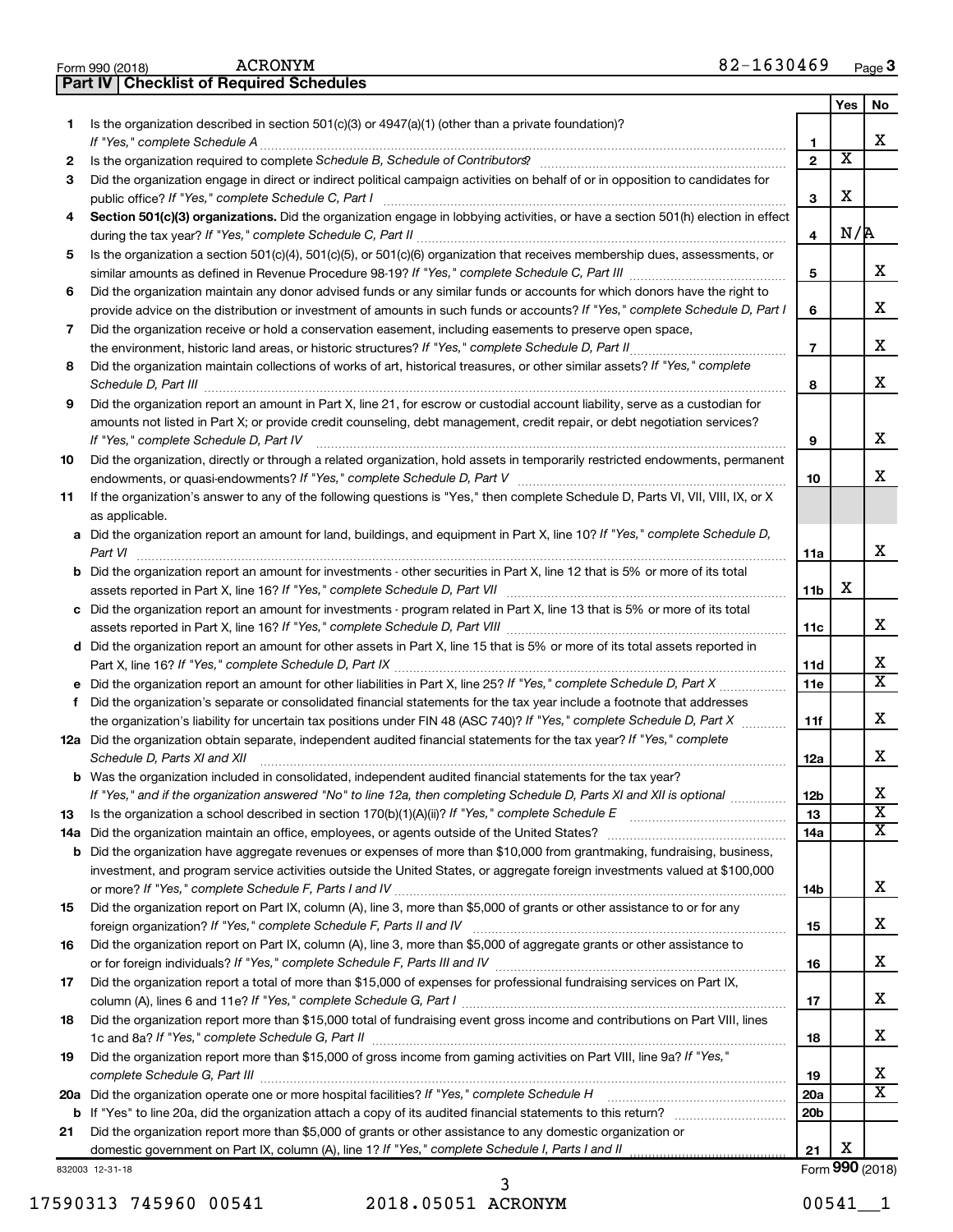|     | 82-1630469<br><b>ACRONYM</b><br>Form 990 (2018)                                                                                                                                                                                                                                                                                                                      |                 |                       | Page 3                                           |
|-----|----------------------------------------------------------------------------------------------------------------------------------------------------------------------------------------------------------------------------------------------------------------------------------------------------------------------------------------------------------------------|-----------------|-----------------------|--------------------------------------------------|
|     | <b>Part IV   Checklist of Required Schedules</b>                                                                                                                                                                                                                                                                                                                     |                 |                       |                                                  |
|     |                                                                                                                                                                                                                                                                                                                                                                      |                 | <b>Yes</b>            | No                                               |
| 1   | Is the organization described in section $501(c)(3)$ or $4947(a)(1)$ (other than a private foundation)?                                                                                                                                                                                                                                                              | 1               |                       | x                                                |
| 2   | Is the organization required to complete Schedule B, Schedule of Contributors? [111] [12] the organization required to complete Schedule B, Schedule of Contributors? [11] [12] [12] the organization required to complete Sch                                                                                                                                       | $\overline{2}$  | $\overline{\text{x}}$ |                                                  |
| 3   | Did the organization engage in direct or indirect political campaign activities on behalf of or in opposition to candidates for                                                                                                                                                                                                                                      | 3               | X                     |                                                  |
| 4   | Section 501(c)(3) organizations. Did the organization engage in lobbying activities, or have a section 501(h) election in effect                                                                                                                                                                                                                                     |                 |                       |                                                  |
|     |                                                                                                                                                                                                                                                                                                                                                                      | 4               | N/R                   |                                                  |
| 5   | Is the organization a section 501(c)(4), 501(c)(5), or 501(c)(6) organization that receives membership dues, assessments, or                                                                                                                                                                                                                                         |                 |                       |                                                  |
|     |                                                                                                                                                                                                                                                                                                                                                                      | 5               |                       | x                                                |
| 6   | Did the organization maintain any donor advised funds or any similar funds or accounts for which donors have the right to<br>provide advice on the distribution or investment of amounts in such funds or accounts? If "Yes," complete Schedule D, Part I                                                                                                            | 6               |                       | х                                                |
| 7   | Did the organization receive or hold a conservation easement, including easements to preserve open space,                                                                                                                                                                                                                                                            |                 |                       |                                                  |
|     |                                                                                                                                                                                                                                                                                                                                                                      | $\overline{7}$  |                       | х                                                |
| 8   | Did the organization maintain collections of works of art, historical treasures, or other similar assets? If "Yes," complete<br>Schedule D, Part III <b>Marting Community Contract Contract Contract Contract Contract Contract Contract Contract Contract Contract Contract Contract Contract Contract Contract Contract Contract Contract Contract Contract Co</b> | 8               |                       | x                                                |
| 9   | Did the organization report an amount in Part X, line 21, for escrow or custodial account liability, serve as a custodian for                                                                                                                                                                                                                                        |                 |                       |                                                  |
|     | amounts not listed in Part X; or provide credit counseling, debt management, credit repair, or debt negotiation services?                                                                                                                                                                                                                                            |                 |                       |                                                  |
|     | If "Yes." complete Schedule D. Part IV                                                                                                                                                                                                                                                                                                                               | 9               |                       | х                                                |
| 10  | Did the organization, directly or through a related organization, hold assets in temporarily restricted endowments, permanent                                                                                                                                                                                                                                        | 10              |                       | x                                                |
| 11  | If the organization's answer to any of the following questions is "Yes," then complete Schedule D, Parts VI, VII, VIII, IX, or X<br>as applicable.                                                                                                                                                                                                                   |                 |                       |                                                  |
|     | a Did the organization report an amount for land, buildings, and equipment in Part X, line 10? If "Yes," complete Schedule D,                                                                                                                                                                                                                                        |                 |                       |                                                  |
|     | Part VI                                                                                                                                                                                                                                                                                                                                                              | 11a             |                       | x                                                |
|     | <b>b</b> Did the organization report an amount for investments - other securities in Part X, line 12 that is 5% or more of its total                                                                                                                                                                                                                                 |                 | х                     |                                                  |
|     | c Did the organization report an amount for investments - program related in Part X, line 13 that is 5% or more of its total                                                                                                                                                                                                                                         | 11b             |                       |                                                  |
|     |                                                                                                                                                                                                                                                                                                                                                                      | 11c             |                       | x                                                |
|     | d Did the organization report an amount for other assets in Part X, line 15 that is 5% or more of its total assets reported in                                                                                                                                                                                                                                       |                 |                       |                                                  |
|     |                                                                                                                                                                                                                                                                                                                                                                      | 11d             |                       | х                                                |
|     |                                                                                                                                                                                                                                                                                                                                                                      | 11e             |                       | $\overline{\text{X}}$                            |
|     | f Did the organization's separate or consolidated financial statements for the tax year include a footnote that addresses                                                                                                                                                                                                                                            |                 |                       |                                                  |
|     | the organization's liability for uncertain tax positions under FIN 48 (ASC 740)? If "Yes," complete Schedule D, Part X                                                                                                                                                                                                                                               | 11f             |                       | x                                                |
|     | 12a Did the organization obtain separate, independent audited financial statements for the tax year? If "Yes," complete<br>Schedule D, Parts XI and XII <b>continuum continuum continuum continuum continuum continuum continuum continuum continuum continuum continuum continuum continuum continuum continuum continuum continuum continuum continuum co</b>      | 12a             |                       | Χ                                                |
|     | b Was the organization included in consolidated, independent audited financial statements for the tax year?                                                                                                                                                                                                                                                          |                 |                       |                                                  |
|     | If "Yes," and if the organization answered "No" to line 12a, then completing Schedule D, Parts XI and XII is optional                                                                                                                                                                                                                                                | 12b             |                       | x                                                |
| 13  |                                                                                                                                                                                                                                                                                                                                                                      | 13              |                       | $\overline{\mathbf{X}}$<br>$\overline{\text{X}}$ |
| 14a |                                                                                                                                                                                                                                                                                                                                                                      | 14a             |                       |                                                  |
|     | <b>b</b> Did the organization have aggregate revenues or expenses of more than \$10,000 from grantmaking, fundraising, business,<br>investment, and program service activities outside the United States, or aggregate foreign investments valued at \$100,000                                                                                                       |                 |                       |                                                  |
|     |                                                                                                                                                                                                                                                                                                                                                                      | 14b             |                       | х                                                |
| 15  | Did the organization report on Part IX, column (A), line 3, more than \$5,000 of grants or other assistance to or for any                                                                                                                                                                                                                                            |                 |                       |                                                  |
|     |                                                                                                                                                                                                                                                                                                                                                                      | 15              |                       | x.                                               |
| 16  | Did the organization report on Part IX, column (A), line 3, more than \$5,000 of aggregate grants or other assistance to                                                                                                                                                                                                                                             |                 |                       |                                                  |
|     |                                                                                                                                                                                                                                                                                                                                                                      | 16              |                       | x                                                |
| 17  | Did the organization report a total of more than \$15,000 of expenses for professional fundraising services on Part IX,                                                                                                                                                                                                                                              |                 |                       |                                                  |
|     |                                                                                                                                                                                                                                                                                                                                                                      | 17              |                       | x                                                |
| 18  | Did the organization report more than \$15,000 total of fundraising event gross income and contributions on Part VIII, lines                                                                                                                                                                                                                                         | 18              |                       | x                                                |
| 19  | Did the organization report more than \$15,000 of gross income from gaming activities on Part VIII, line 9a? If "Yes,"                                                                                                                                                                                                                                               | 19              |                       | х                                                |
|     | 20a Did the organization operate one or more hospital facilities? If "Yes," complete Schedule H                                                                                                                                                                                                                                                                      | 20a             |                       | x                                                |
|     |                                                                                                                                                                                                                                                                                                                                                                      | 20 <sub>b</sub> |                       |                                                  |
| 21  | Did the organization report more than \$5,000 of grants or other assistance to any domestic organization or                                                                                                                                                                                                                                                          |                 |                       |                                                  |
|     |                                                                                                                                                                                                                                                                                                                                                                      | 21              | х                     |                                                  |
|     | 832003 12-31-18                                                                                                                                                                                                                                                                                                                                                      |                 |                       | Form 990 (2018)                                  |

17590313 745960 00541 2018.05051 ACRONYM 00541\_\_1 3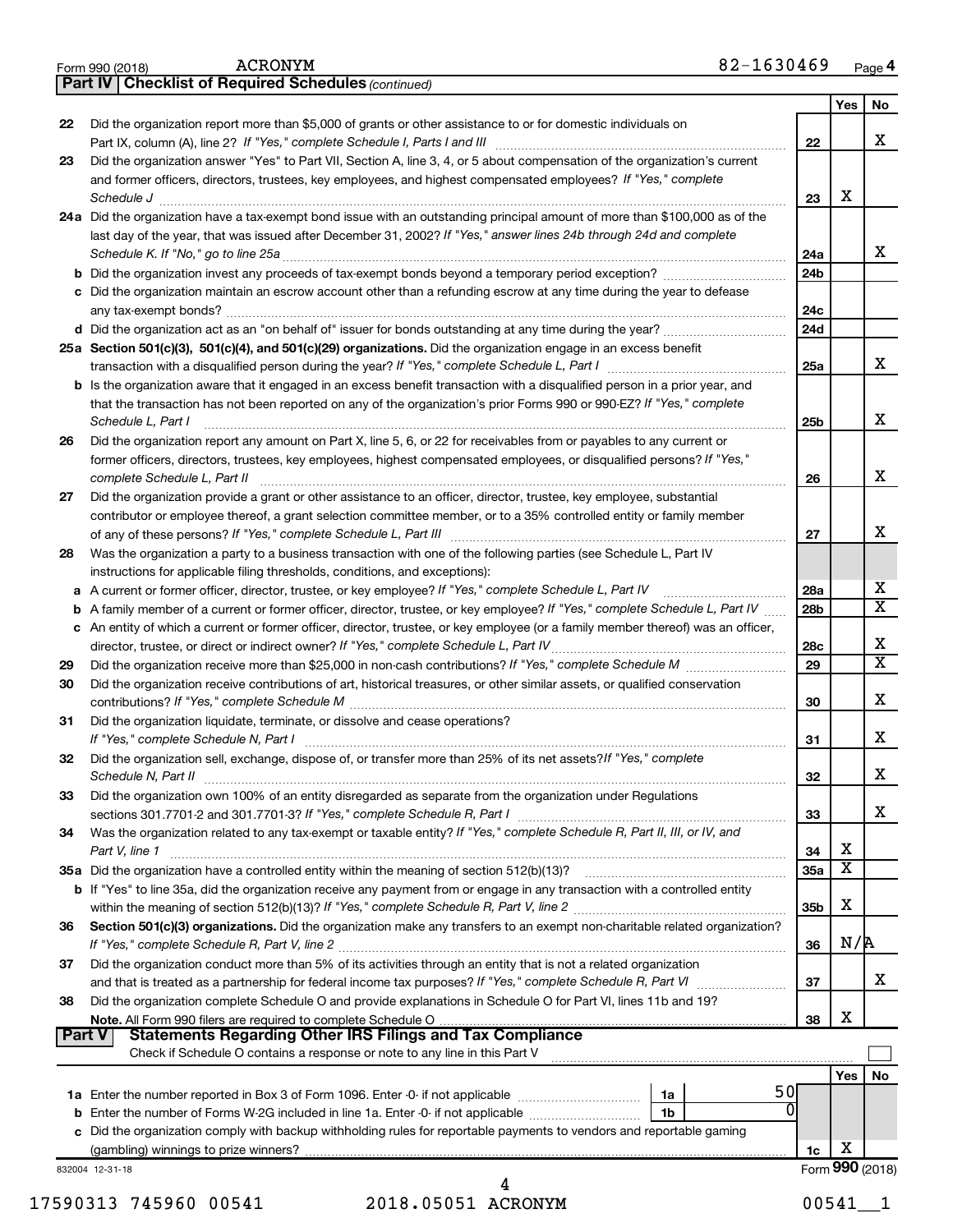|    |                                                                                                                                                                                                                                                   |                 | Yes                   |  |
|----|---------------------------------------------------------------------------------------------------------------------------------------------------------------------------------------------------------------------------------------------------|-----------------|-----------------------|--|
| 22 | Did the organization report more than \$5,000 of grants or other assistance to or for domestic individuals on                                                                                                                                     | 22              |                       |  |
| 23 | Did the organization answer "Yes" to Part VII, Section A, line 3, 4, or 5 about compensation of the organization's current<br>and former officers, directors, trustees, key employees, and highest compensated employees? If "Yes," complete      |                 |                       |  |
|    | Schedule J <b>Execute Schedule J Execute Schedule J</b>                                                                                                                                                                                           | 23              | X                     |  |
|    | 24a Did the organization have a tax-exempt bond issue with an outstanding principal amount of more than \$100,000 as of the<br>last day of the year, that was issued after December 31, 2002? If "Yes," answer lines 24b through 24d and complete |                 |                       |  |
|    |                                                                                                                                                                                                                                                   | 24a             |                       |  |
|    |                                                                                                                                                                                                                                                   | 24b             |                       |  |
|    | c Did the organization maintain an escrow account other than a refunding escrow at any time during the year to defease                                                                                                                            | 24c             |                       |  |
|    |                                                                                                                                                                                                                                                   | 24d             |                       |  |
|    | 25a Section 501(c)(3), 501(c)(4), and 501(c)(29) organizations. Did the organization engage in an excess benefit                                                                                                                                  | 25a             |                       |  |
|    | <b>b</b> Is the organization aware that it engaged in an excess benefit transaction with a disqualified person in a prior year, and                                                                                                               |                 |                       |  |
|    | that the transaction has not been reported on any of the organization's prior Forms 990 or 990-EZ? If "Yes," complete<br>Schedule L, Part I                                                                                                       | 25b             |                       |  |
| 26 | Did the organization report any amount on Part X, line 5, 6, or 22 for receivables from or payables to any current or                                                                                                                             |                 |                       |  |
|    | former officers, directors, trustees, key employees, highest compensated employees, or disqualified persons? If "Yes,"                                                                                                                            | 26              |                       |  |
| 27 | Did the organization provide a grant or other assistance to an officer, director, trustee, key employee, substantial                                                                                                                              |                 |                       |  |
|    | contributor or employee thereof, a grant selection committee member, or to a 35% controlled entity or family member                                                                                                                               | 27              |                       |  |
| 28 | Was the organization a party to a business transaction with one of the following parties (see Schedule L, Part IV                                                                                                                                 |                 |                       |  |
|    | instructions for applicable filing thresholds, conditions, and exceptions):                                                                                                                                                                       |                 |                       |  |
|    |                                                                                                                                                                                                                                                   | 28a             |                       |  |
|    | <b>b</b> A family member of a current or former officer, director, trustee, or key employee? If "Yes," complete Schedule L, Part IV                                                                                                               | 28b             |                       |  |
|    | c An entity of which a current or former officer, director, trustee, or key employee (or a family member thereof) was an officer,                                                                                                                 | 28c             |                       |  |
| 29 |                                                                                                                                                                                                                                                   | 29              |                       |  |
| 30 | Did the organization receive contributions of art, historical treasures, or other similar assets, or qualified conservation                                                                                                                       | 30              |                       |  |
| 31 | Did the organization liquidate, terminate, or dissolve and cease operations?                                                                                                                                                                      | 31              |                       |  |
| 32 | Did the organization sell, exchange, dispose of, or transfer more than 25% of its net assets? If "Yes," complete                                                                                                                                  | 32              |                       |  |
| 33 | Did the organization own 100% of an entity disregarded as separate from the organization under Regulations<br>sections 301.7701-2 and 301.7701-3? If "Yes," complete Schedule R, Part I [11] [11] [12] [12] [12] [12] [12] [                      | 33              |                       |  |
| 34 | Was the organization related to any tax-exempt or taxable entity? If "Yes," complete Schedule R, Part II, III, or IV, and                                                                                                                         |                 |                       |  |
|    | Part V, line 1                                                                                                                                                                                                                                    | 34              | х                     |  |
|    |                                                                                                                                                                                                                                                   | 35a             | $\overline{\text{x}}$ |  |
|    | b If "Yes" to line 35a, did the organization receive any payment from or engage in any transaction with a controlled entity                                                                                                                       | 35 <sub>b</sub> | x                     |  |
| 36 | Section 501(c)(3) organizations. Did the organization make any transfers to an exempt non-charitable related organization?                                                                                                                        | 36              | N/R                   |  |
| 37 | Did the organization conduct more than 5% of its activities through an entity that is not a related organization                                                                                                                                  | 37              |                       |  |
| 38 | Did the organization complete Schedule O and provide explanations in Schedule O for Part VI, lines 11b and 19?                                                                                                                                    |                 |                       |  |
|    | <b>Part V</b>                                                                                                                                                                                                                                     | 38              | X                     |  |
|    | Check if Schedule O contains a response or note to any line in this Part V                                                                                                                                                                        |                 | Yes                   |  |
|    | 50<br>1a                                                                                                                                                                                                                                          |                 |                       |  |
|    | 0<br>1b                                                                                                                                                                                                                                           |                 |                       |  |
|    | c Did the organization comply with backup withholding rules for reportable payments to vendors and reportable gaming                                                                                                                              |                 |                       |  |
|    |                                                                                                                                                                                                                                                   | 1c              | х                     |  |
|    | 832004 12-31-18                                                                                                                                                                                                                                   |                 | Form 990 (2018)       |  |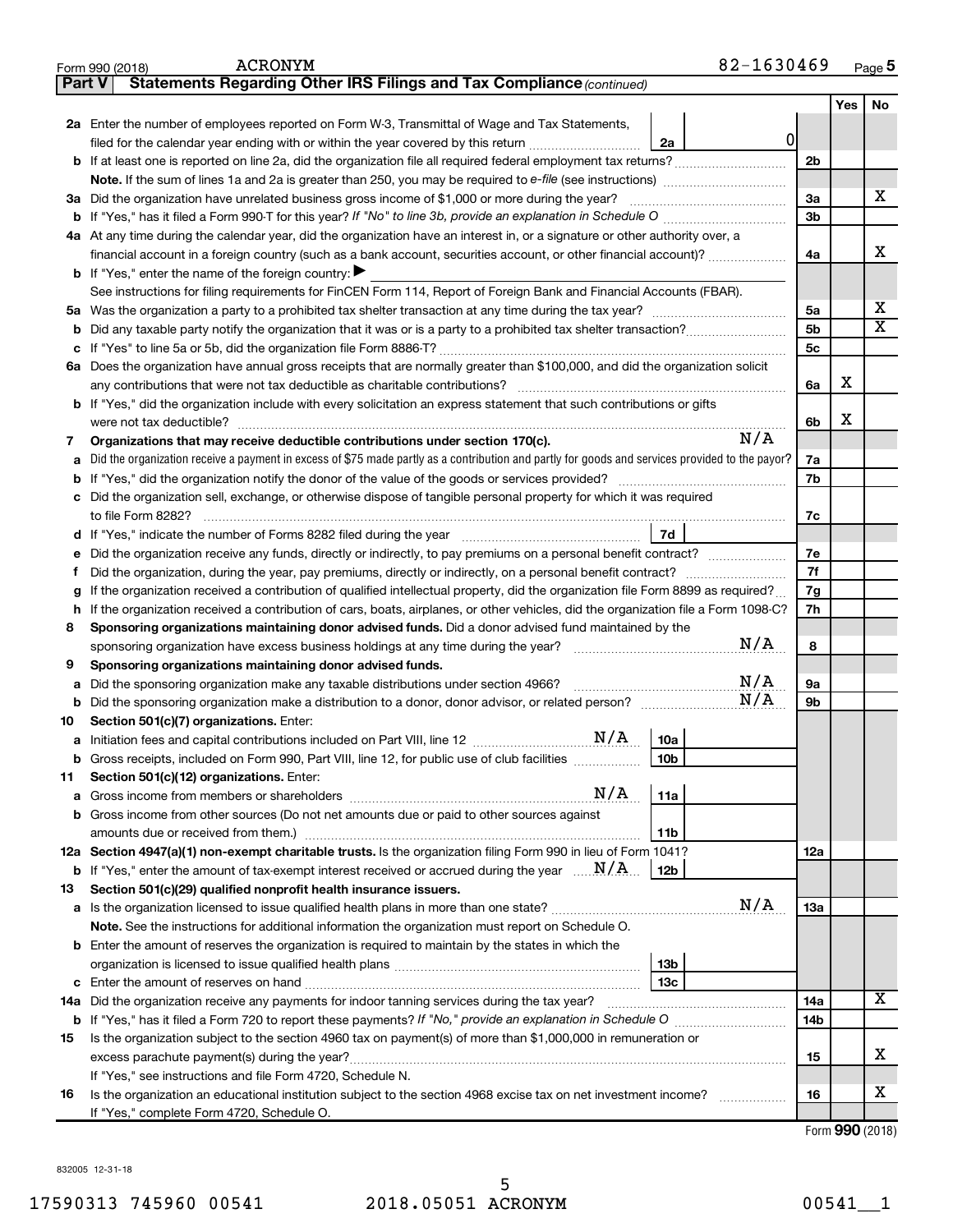|               | 82-1630469<br><b>ACRONYM</b><br>Form 990 (2018)                                                                                                        |                 |     | Page $5$                |
|---------------|--------------------------------------------------------------------------------------------------------------------------------------------------------|-----------------|-----|-------------------------|
| <b>Part V</b> | Statements Regarding Other IRS Filings and Tax Compliance (continued)                                                                                  |                 |     |                         |
|               |                                                                                                                                                        |                 | Yes | No                      |
|               | 2a Enter the number of employees reported on Form W-3, Transmittal of Wage and Tax Statements,                                                         |                 |     |                         |
|               | 0<br>filed for the calendar year ending with or within the year covered by this return<br>2a                                                           |                 |     |                         |
| b             | If at least one is reported on line 2a, did the organization file all required federal employment tax returns?                                         | 2 <sub>b</sub>  |     |                         |
|               | Note. If the sum of lines 1a and 2a is greater than 250, you may be required to e-file (see instructions) <i></i>                                      |                 |     |                         |
|               | 3a Did the organization have unrelated business gross income of \$1,000 or more during the year?                                                       | За              |     | X                       |
| b             | If "Yes," has it filed a Form 990-T for this year? If "No" to line 3b, provide an explanation in Schedule O                                            | 3 <sub>b</sub>  |     |                         |
|               | 4a At any time during the calendar year, did the organization have an interest in, or a signature or other authority over, a                           |                 |     |                         |
|               | financial account in a foreign country (such as a bank account, securities account, or other financial account)?                                       | 4a              |     | X                       |
|               | <b>b</b> If "Yes," enter the name of the foreign country: $\blacktriangleright$                                                                        |                 |     |                         |
|               | See instructions for filing requirements for FinCEN Form 114, Report of Foreign Bank and Financial Accounts (FBAR).                                    |                 |     |                         |
| 5а            |                                                                                                                                                        | 5a              |     | x                       |
| b             |                                                                                                                                                        | 5 <sub>b</sub>  |     | $\overline{\mathbf{x}}$ |
| с             |                                                                                                                                                        | 5 <sub>c</sub>  |     |                         |
|               | 6a Does the organization have annual gross receipts that are normally greater than \$100,000, and did the organization solicit                         |                 |     |                         |
|               |                                                                                                                                                        | 6а              | x   |                         |
|               | <b>b</b> If "Yes," did the organization include with every solicitation an express statement that such contributions or gifts                          |                 |     |                         |
|               |                                                                                                                                                        | 6b              | x   |                         |
| 7             | N/A<br>Organizations that may receive deductible contributions under section 170(c).                                                                   |                 |     |                         |
| а             | Did the organization receive a payment in excess of \$75 made partly as a contribution and partly for goods and services provided to the payor?        | 7a              |     |                         |
| b             | If "Yes," did the organization notify the donor of the value of the goods or services provided?                                                        | 7b              |     |                         |
| с             | Did the organization sell, exchange, or otherwise dispose of tangible personal property for which it was required                                      |                 |     |                         |
|               |                                                                                                                                                        | 7c              |     |                         |
| d             | 7d                                                                                                                                                     |                 |     |                         |
| е             | Did the organization receive any funds, directly or indirectly, to pay premiums on a personal benefit contract?                                        | 7е              |     |                         |
| Ť             | Did the organization, during the year, pay premiums, directly or indirectly, on a personal benefit contract?                                           | 7f              |     |                         |
| g             | If the organization received a contribution of qualified intellectual property, did the organization file Form 8899 as required?                       | 7g              |     |                         |
| h             | If the organization received a contribution of cars, boats, airplanes, or other vehicles, did the organization file a Form 1098-C?                     | 7h              |     |                         |
| 8             | Sponsoring organizations maintaining donor advised funds. Did a donor advised fund maintained by the<br>N/A                                            | 8               |     |                         |
|               | sponsoring organization have excess business holdings at any time during the year? [1111111111111111111111111                                          |                 |     |                         |
| 9             | Sponsoring organizations maintaining donor advised funds.<br>N/A<br>Did the sponsoring organization make any taxable distributions under section 4966? | 9a              |     |                         |
| а<br>b        | N/A                                                                                                                                                    | 9 <sub>b</sub>  |     |                         |
| 10            | Section 501(c)(7) organizations. Enter:                                                                                                                |                 |     |                         |
|               | N/A<br>10a                                                                                                                                             |                 |     |                         |
|               | Gross receipts, included on Form 990, Part VIII, line 12, for public use of club facilities<br> 10b                                                    |                 |     |                         |
| 11            | Section 501(c)(12) organizations. Enter:                                                                                                               |                 |     |                         |
| а             | N/A<br>11a                                                                                                                                             |                 |     |                         |
| b             | Gross income from other sources (Do not net amounts due or paid to other sources against                                                               |                 |     |                         |
|               | 11b                                                                                                                                                    |                 |     |                         |
|               | 12a Section 4947(a)(1) non-exempt charitable trusts. Is the organization filing Form 990 in lieu of Form 1041?                                         | 12a             |     |                         |
|               | <b>b</b> If "Yes," enter the amount of tax-exempt interest received or accrued during the year $\ldots$ $\mathbf{N}/\mathbf{A}$ .<br>12b               |                 |     |                         |
| 13            | Section 501(c)(29) qualified nonprofit health insurance issuers.                                                                                       |                 |     |                         |
| а             | N/A<br>Is the organization licensed to issue qualified health plans in more than one state?                                                            | 13a             |     |                         |
|               | Note. See the instructions for additional information the organization must report on Schedule O.                                                      |                 |     |                         |
| b             | Enter the amount of reserves the organization is required to maintain by the states in which the                                                       |                 |     |                         |
|               | 13 <sub>b</sub>                                                                                                                                        |                 |     |                         |
| с             | 13 <sub>c</sub>                                                                                                                                        |                 |     |                         |
| 14a           | Did the organization receive any payments for indoor tanning services during the tax year?                                                             | 14a             |     | $\overline{\mathbf{X}}$ |
|               |                                                                                                                                                        | 14 <sub>b</sub> |     |                         |
| 15            | Is the organization subject to the section 4960 tax on payment(s) of more than \$1,000,000 in remuneration or                                          |                 |     |                         |
|               | excess parachute payment(s) during the year?                                                                                                           | 15              |     | х                       |
|               | If "Yes," see instructions and file Form 4720, Schedule N.                                                                                             |                 |     |                         |
| 16            | Is the organization an educational institution subject to the section 4968 excise tax on net investment income?                                        | 16              |     | x                       |
|               | If "Yes," complete Form 4720, Schedule O.                                                                                                              |                 |     |                         |

Form (2018) **990**

832005 12-31-18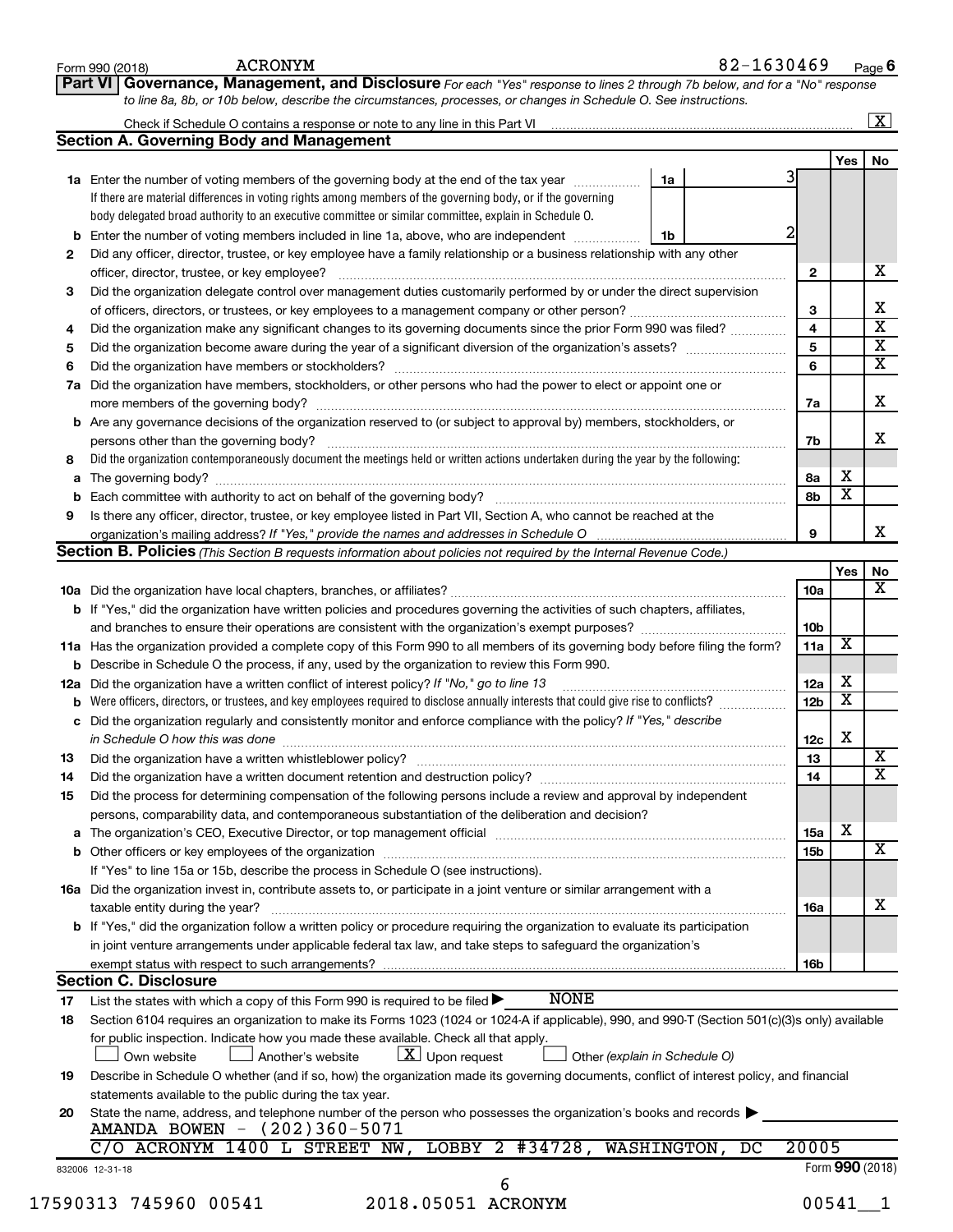|     | Governance, Management, and Disclosure For each "Yes" response to lines 2 through 7b below, and for a "No" response<br>Part VI                                                |   |                 |                         |                      |
|-----|-------------------------------------------------------------------------------------------------------------------------------------------------------------------------------|---|-----------------|-------------------------|----------------------|
|     | to line 8a, 8b, or 10b below, describe the circumstances, processes, or changes in Schedule O. See instructions.                                                              |   |                 |                         |                      |
|     |                                                                                                                                                                               |   |                 |                         | $\boxed{\textbf{X}}$ |
|     | <b>Section A. Governing Body and Management</b>                                                                                                                               |   |                 |                         |                      |
|     |                                                                                                                                                                               | 3 |                 | Yes                     | No                   |
|     | 1a Enter the number of voting members of the governing body at the end of the tax year manuscom<br>1a                                                                         |   |                 |                         |                      |
|     | If there are material differences in voting rights among members of the governing body, or if the governing                                                                   |   |                 |                         |                      |
|     | body delegated broad authority to an executive committee or similar committee, explain in Schedule O.                                                                         |   |                 |                         |                      |
| b   | Enter the number of voting members included in line 1a, above, who are independent<br>1b                                                                                      | 2 |                 |                         |                      |
| 2   | Did any officer, director, trustee, or key employee have a family relationship or a business relationship with any other                                                      |   |                 |                         |                      |
|     | officer, director, trustee, or key employee?                                                                                                                                  |   | 2               |                         | х                    |
| 3   | Did the organization delegate control over management duties customarily performed by or under the direct supervision                                                         |   |                 |                         |                      |
|     |                                                                                                                                                                               |   | 3               |                         |                      |
| 4   | Did the organization make any significant changes to its governing documents since the prior Form 990 was filed?                                                              |   | 4               |                         |                      |
| 5   |                                                                                                                                                                               |   | 5               |                         |                      |
| 6   | Did the organization have members or stockholders?                                                                                                                            |   | 6               |                         |                      |
| 7a  | Did the organization have members, stockholders, or other persons who had the power to elect or appoint one or                                                                |   |                 |                         |                      |
|     |                                                                                                                                                                               |   | 7a              |                         |                      |
|     | <b>b</b> Are any governance decisions of the organization reserved to (or subject to approval by) members, stockholders, or                                                   |   |                 |                         |                      |
|     | persons other than the governing body?                                                                                                                                        |   | 7b              |                         |                      |
| 8   | Did the organization contemporaneously document the meetings held or written actions undertaken during the year by the following:                                             |   |                 |                         |                      |
| a   |                                                                                                                                                                               |   | 8a              | х                       |                      |
| b   | Each committee with authority to act on behalf of the governing body?                                                                                                         |   | 8b              | $\overline{\textbf{x}}$ |                      |
| 9   | Is there any officer, director, trustee, or key employee listed in Part VII, Section A, who cannot be reached at the                                                          |   |                 |                         |                      |
|     |                                                                                                                                                                               |   | 9               |                         |                      |
|     | Section B. Policies (This Section B requests information about policies not required by the Internal Revenue Code.)                                                           |   |                 |                         |                      |
|     |                                                                                                                                                                               |   |                 | Yes                     | No                   |
|     |                                                                                                                                                                               |   | <b>10a</b>      |                         |                      |
|     | <b>b</b> If "Yes," did the organization have written policies and procedures governing the activities of such chapters, affiliates,                                           |   |                 |                         |                      |
|     |                                                                                                                                                                               |   | 10b             |                         |                      |
|     | 11a Has the organization provided a complete copy of this Form 990 to all members of its governing body before filing the form?                                               |   | 11a             | X                       |                      |
| b   | Describe in Schedule O the process, if any, used by the organization to review this Form 990.                                                                                 |   |                 |                         |                      |
| 12a | Did the organization have a written conflict of interest policy? If "No," go to line 13                                                                                       |   | 12a             | х                       |                      |
| b   | Were officers, directors, or trustees, and key employees required to disclose annually interests that could give rise to conflicts?                                           |   | 12 <sub>b</sub> | $\overline{\textbf{x}}$ |                      |
|     | Did the organization regularly and consistently monitor and enforce compliance with the policy? If "Yes," describe                                                            |   |                 |                         |                      |
|     | in Schedule O how this was done                                                                                                                                               |   | 12c             | X                       |                      |
|     |                                                                                                                                                                               |   |                 |                         |                      |
| 13  |                                                                                                                                                                               |   | 13              |                         |                      |
| 14  | Did the organization have a written document retention and destruction policy? [11] manufaction in the organization have a written document retention and destruction policy? |   | 14              |                         |                      |
| 15  | Did the process for determining compensation of the following persons include a review and approval by independent                                                            |   |                 |                         |                      |
|     | persons, comparability data, and contemporaneous substantiation of the deliberation and decision?                                                                             |   |                 |                         |                      |
| a   |                                                                                                                                                                               |   | 15a             | х                       |                      |
| b   |                                                                                                                                                                               |   | 15b             |                         |                      |
|     | If "Yes" to line 15a or 15b, describe the process in Schedule O (see instructions).                                                                                           |   |                 |                         |                      |
|     | 16a Did the organization invest in, contribute assets to, or participate in a joint venture or similar arrangement with a                                                     |   |                 |                         |                      |
|     | taxable entity during the year?                                                                                                                                               |   | 16a             |                         | х                    |
|     | b If "Yes," did the organization follow a written policy or procedure requiring the organization to evaluate its participation                                                |   |                 |                         |                      |
|     | in joint venture arrangements under applicable federal tax law, and take steps to safeguard the organization's                                                                |   |                 |                         |                      |
|     | exempt status with respect to such arrangements?                                                                                                                              |   | 16b             |                         |                      |
|     | <b>Section C. Disclosure</b>                                                                                                                                                  |   |                 |                         |                      |
| 17  | <b>NONE</b><br>List the states with which a copy of this Form 990 is required to be filed $\blacktriangleright$                                                               |   |                 |                         |                      |
| 18  | Section 6104 requires an organization to make its Forms 1023 (1024 or 1024 A if applicable), 990, and 990-T (Section 501(c)(3)s only) available                               |   |                 |                         |                      |
|     | for public inspection. Indicate how you made these available. Check all that apply.                                                                                           |   |                 |                         |                      |
|     | $\lfloor x \rfloor$ Upon request<br>Own website<br>Another's website<br>Other (explain in Schedule O)                                                                         |   |                 |                         |                      |
| 19  | Describe in Schedule O whether (and if so, how) the organization made its governing documents, conflict of interest policy, and financial                                     |   |                 |                         |                      |
|     | statements available to the public during the tax year.                                                                                                                       |   |                 |                         |                      |
| 20  | State the name, address, and telephone number of the person who possesses the organization's books and records                                                                |   |                 |                         |                      |
|     | AMANDA BOWEN - (202)360-5071                                                                                                                                                  |   |                 |                         |                      |
|     | $C/O$ ACRONYM 1400 L STREET NW, LOBBY 2 #34728, WASHINGTON, DC                                                                                                                |   | 20005           |                         |                      |
|     | 832006 12-31-18                                                                                                                                                               |   |                 | Form 990 (2018)         |                      |
|     |                                                                                                                                                                               |   |                 |                         |                      |
|     | 2018.05051 ACRONYM                                                                                                                                                            |   |                 | 00541                   |                      |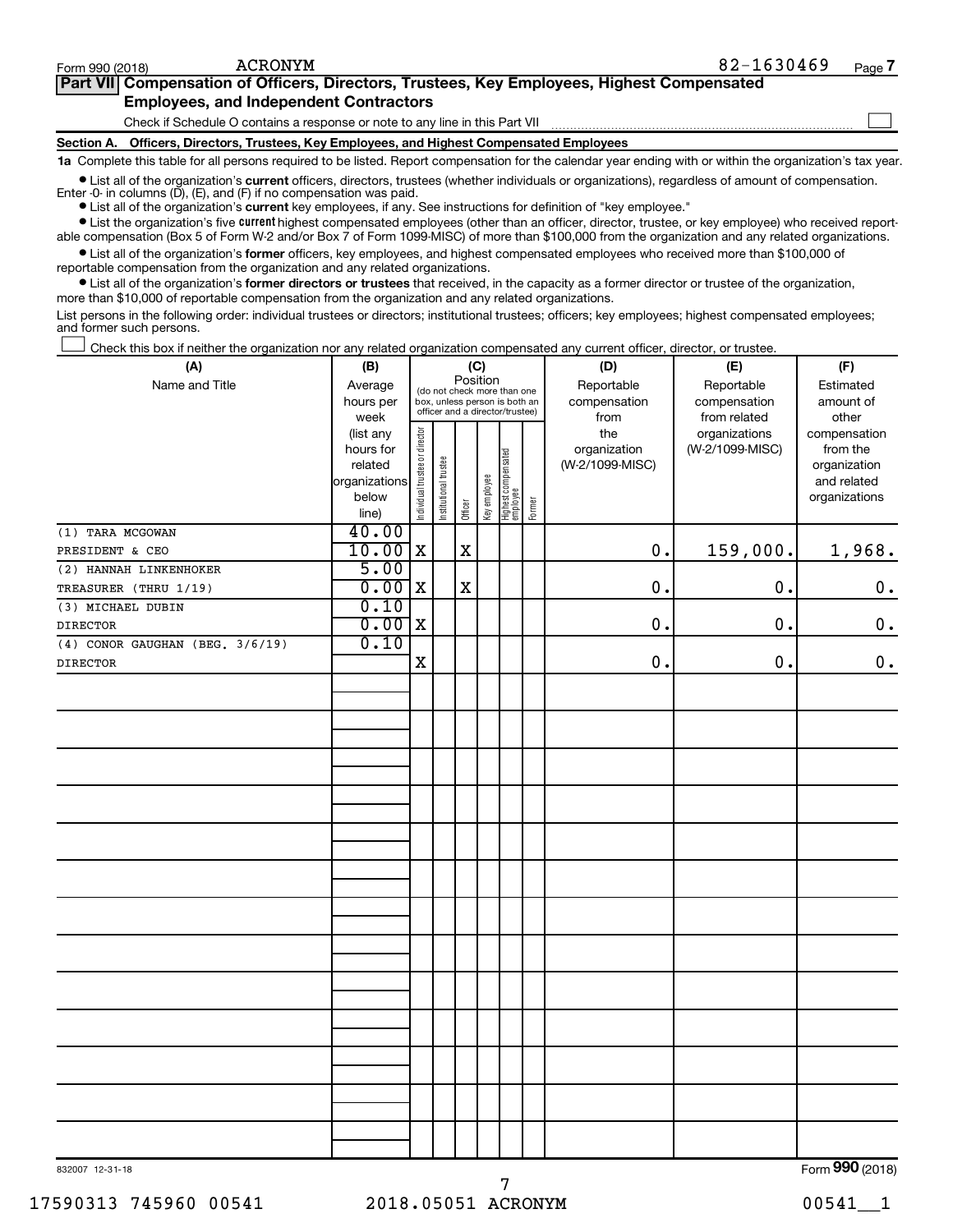| Part VII Compensation of Officers, Directors, Trustees, Key Employees, Highest Compensated |  |
|--------------------------------------------------------------------------------------------|--|
| <b>Employees, and Independent Contractors</b>                                              |  |
| Check if Schedule O contains a response or note to any line in this Part VII               |  |

**Section A. Officers, Directors, Trustees, Key Employees, and Highest Compensated Employees**

**1a**  Complete this table for all persons required to be listed. Report compensation for the calendar year ending with or within the organization's tax year.

**•** List all of the organization's current officers, directors, trustees (whether individuals or organizations), regardless of amount of compensation. Enter -0- in columns  $(D)$ ,  $(E)$ , and  $(F)$  if no compensation was paid.

**•** List all of the organization's **current** key employees, if any. See instructions for definition of "key employee."

**•** List the organization's five current highest compensated employees (other than an officer, director, trustee, or key employee) who received reportable compensation (Box 5 of Form W-2 and/or Box 7 of Form 1099-MISC) of more than \$100,000 from the organization and any related organizations.

**•** List all of the organization's former officers, key employees, and highest compensated employees who received more than \$100,000 of reportable compensation from the organization and any related organizations.

**•** List all of the organization's former directors or trustees that received, in the capacity as a former director or trustee of the organization, more than \$10,000 of reportable compensation from the organization and any related organizations.

List persons in the following order: individual trustees or directors; institutional trustees; officers; key employees; highest compensated employees; and former such persons.

|  |  |  | Check this box if neither the organization nor any related organization compensated any current officer, director, or trustee. |  |  |
|--|--|--|--------------------------------------------------------------------------------------------------------------------------------|--|--|
|  |  |  |                                                                                                                                |  |  |

| (A)                                  | (B)            | (C)                            |                       |             |                                                                  |                                 |        | (D)             | (E)             | (F)           |
|--------------------------------------|----------------|--------------------------------|-----------------------|-------------|------------------------------------------------------------------|---------------------------------|--------|-----------------|-----------------|---------------|
| Name and Title                       | Average        |                                |                       | Position    |                                                                  | (do not check more than one     |        | Reportable      | Reportable      | Estimated     |
|                                      | hours per      |                                |                       |             | box, unless person is both an<br>officer and a director/trustee) |                                 |        | compensation    | compensation    | amount of     |
|                                      | week           |                                |                       |             |                                                                  |                                 |        | from            | from related    | other         |
|                                      | (list any      |                                |                       |             |                                                                  |                                 |        | the             | organizations   | compensation  |
|                                      | hours for      |                                |                       |             |                                                                  |                                 |        | organization    | (W-2/1099-MISC) | from the      |
|                                      | related        |                                |                       |             |                                                                  |                                 |        | (W-2/1099-MISC) |                 | organization  |
|                                      | organizations  |                                |                       |             |                                                                  |                                 |        |                 |                 | and related   |
|                                      | below<br>line) | Individual trustee or director | Institutional trustee | Officer     | Key employee                                                     | Highest compensated<br>employee | Former |                 |                 | organizations |
| (1) TARA MCGOWAN                     | 40.00          |                                |                       |             |                                                                  |                                 |        |                 |                 |               |
| PRESIDENT & CEO                      | 10.00          | $\mathbf X$                    |                       | $\mathbf X$ |                                                                  |                                 |        | 0.              | 159,000.        | 1,968.        |
| (2) HANNAH LINKENHOKER               | 5.00           |                                |                       |             |                                                                  |                                 |        |                 |                 |               |
| TREASURER (THRU 1/19)                | 0.00           | $\mathbf X$                    |                       | $\mathbf X$ |                                                                  |                                 |        | 0.              | 0.              | $0$ .         |
| (3) MICHAEL DUBIN                    | 0.10           |                                |                       |             |                                                                  |                                 |        |                 |                 |               |
| <b>DIRECTOR</b>                      | 0.00           | $\mathbf X$                    |                       |             |                                                                  |                                 |        | 0.              | 0.              | $\mathbf 0$ . |
| $(4)$ CONOR GAUGHAN (BEG. $3/6/19$ ) | 0.10           |                                |                       |             |                                                                  |                                 |        |                 |                 |               |
| <b>DIRECTOR</b>                      |                | X                              |                       |             |                                                                  |                                 |        | $\mathbf 0$     | 0.              | $0$ .         |
|                                      |                |                                |                       |             |                                                                  |                                 |        |                 |                 |               |
|                                      |                |                                |                       |             |                                                                  |                                 |        |                 |                 |               |
|                                      |                |                                |                       |             |                                                                  |                                 |        |                 |                 |               |
|                                      |                |                                |                       |             |                                                                  |                                 |        |                 |                 |               |
|                                      |                |                                |                       |             |                                                                  |                                 |        |                 |                 |               |
|                                      |                |                                |                       |             |                                                                  |                                 |        |                 |                 |               |
|                                      |                |                                |                       |             |                                                                  |                                 |        |                 |                 |               |
|                                      |                |                                |                       |             |                                                                  |                                 |        |                 |                 |               |
|                                      |                |                                |                       |             |                                                                  |                                 |        |                 |                 |               |
|                                      |                |                                |                       |             |                                                                  |                                 |        |                 |                 |               |
|                                      |                |                                |                       |             |                                                                  |                                 |        |                 |                 |               |
|                                      |                |                                |                       |             |                                                                  |                                 |        |                 |                 |               |
|                                      |                |                                |                       |             |                                                                  |                                 |        |                 |                 |               |
|                                      |                |                                |                       |             |                                                                  |                                 |        |                 |                 |               |
|                                      |                |                                |                       |             |                                                                  |                                 |        |                 |                 |               |
|                                      |                |                                |                       |             |                                                                  |                                 |        |                 |                 |               |
|                                      |                |                                |                       |             |                                                                  |                                 |        |                 |                 |               |
|                                      |                |                                |                       |             |                                                                  |                                 |        |                 |                 |               |
|                                      |                |                                |                       |             |                                                                  |                                 |        |                 |                 |               |
|                                      |                |                                |                       |             |                                                                  |                                 |        |                 |                 |               |
|                                      |                |                                |                       |             |                                                                  |                                 |        |                 |                 |               |
|                                      |                |                                |                       |             |                                                                  |                                 |        |                 |                 |               |
|                                      |                |                                |                       |             |                                                                  |                                 |        |                 |                 |               |
|                                      |                |                                |                       |             |                                                                  |                                 |        |                 |                 |               |
|                                      |                |                                |                       |             |                                                                  |                                 |        |                 |                 |               |
|                                      |                |                                |                       |             |                                                                  |                                 |        |                 |                 |               |

832007 12-31-18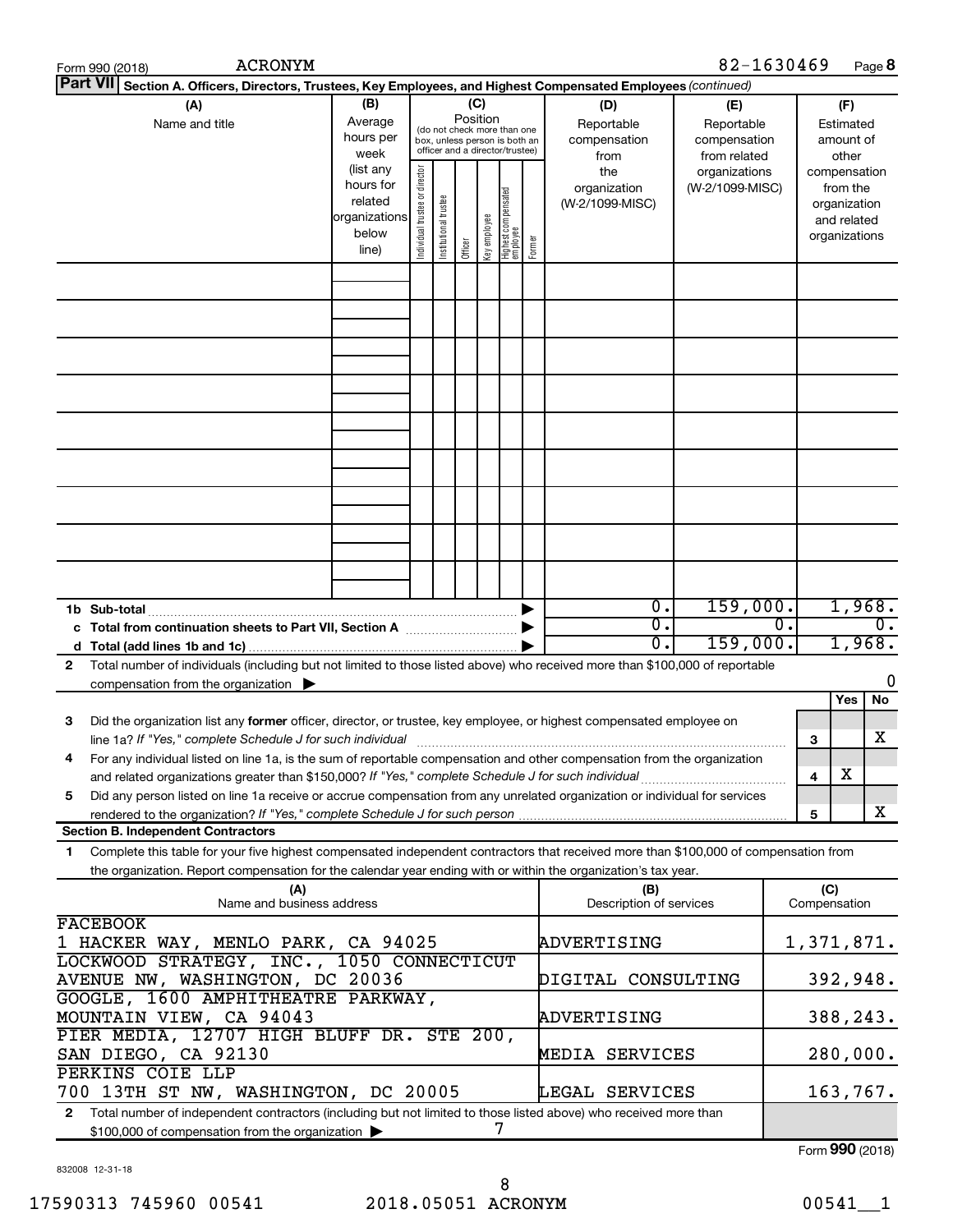|                                                               | <b>ACRONYM</b><br>Form 990 (2018)                                                                                                                                                                                                                                                                                                                                             |                                                                      |                                                                                                                    |                       |         |              |                                 |        |                                                | 82-1630469                                       |                               |                     |                                                                   | Page 8           |
|---------------------------------------------------------------|-------------------------------------------------------------------------------------------------------------------------------------------------------------------------------------------------------------------------------------------------------------------------------------------------------------------------------------------------------------------------------|----------------------------------------------------------------------|--------------------------------------------------------------------------------------------------------------------|-----------------------|---------|--------------|---------------------------------|--------|------------------------------------------------|--------------------------------------------------|-------------------------------|---------------------|-------------------------------------------------------------------|------------------|
|                                                               | <b>Part VII</b><br>Section A. Officers, Directors, Trustees, Key Employees, and Highest Compensated Employees (continued)                                                                                                                                                                                                                                                     |                                                                      |                                                                                                                    |                       |         |              |                                 |        |                                                |                                                  |                               |                     |                                                                   |                  |
| (B)<br>(A)<br>Average<br>Name and title<br>hours per<br>week  |                                                                                                                                                                                                                                                                                                                                                                               |                                                                      | (C)<br>Position<br>(do not check more than one<br>box, unless person is both an<br>officer and a director/trustee) |                       |         |              |                                 |        | (D)<br>Reportable<br>compensation              | (E)<br>Reportable<br>compensation                | (F)<br>Estimated<br>amount of |                     |                                                                   |                  |
|                                                               |                                                                                                                                                                                                                                                                                                                                                                               | (list any<br>hours for<br>related<br>organizations<br>below<br>line) | Individual trustee or director                                                                                     | Institutional trustee | Officer | Key employee | Highest compensated<br>employee | Former | from<br>the<br>organization<br>(W-2/1099-MISC) | from related<br>organizations<br>(W-2/1099-MISC) |                               | compensation        | other<br>from the<br>organization<br>and related<br>organizations |                  |
|                                                               |                                                                                                                                                                                                                                                                                                                                                                               |                                                                      |                                                                                                                    |                       |         |              |                                 |        |                                                |                                                  |                               |                     |                                                                   |                  |
|                                                               |                                                                                                                                                                                                                                                                                                                                                                               |                                                                      |                                                                                                                    |                       |         |              |                                 |        |                                                |                                                  |                               |                     |                                                                   |                  |
|                                                               |                                                                                                                                                                                                                                                                                                                                                                               |                                                                      |                                                                                                                    |                       |         |              |                                 |        |                                                |                                                  |                               |                     |                                                                   |                  |
|                                                               |                                                                                                                                                                                                                                                                                                                                                                               |                                                                      |                                                                                                                    |                       |         |              |                                 |        |                                                |                                                  |                               |                     |                                                                   |                  |
|                                                               |                                                                                                                                                                                                                                                                                                                                                                               |                                                                      |                                                                                                                    |                       |         |              |                                 |        |                                                |                                                  |                               |                     |                                                                   |                  |
|                                                               | 1b Sub-total                                                                                                                                                                                                                                                                                                                                                                  |                                                                      |                                                                                                                    |                       |         |              |                                 |        | $\overline{0}$ .                               | 159,000.                                         |                               |                     | 1,968.                                                            |                  |
|                                                               | c Total from continuation sheets to Part VII, Section A manufactured by                                                                                                                                                                                                                                                                                                       |                                                                      |                                                                                                                    |                       |         |              |                                 |        | $\overline{0}$ .<br>$\overline{0}$ .           | 159,000.                                         | $\overline{0}$ .              |                     | 1,968.                                                            | $\overline{0}$ . |
| 2                                                             | Total number of individuals (including but not limited to those listed above) who received more than \$100,000 of reportable<br>compensation from the organization $\blacktriangleright$                                                                                                                                                                                      |                                                                      |                                                                                                                    |                       |         |              |                                 |        |                                                |                                                  |                               |                     |                                                                   | 0                |
| 3                                                             | Did the organization list any former officer, director, or trustee, key employee, or highest compensated employee on                                                                                                                                                                                                                                                          |                                                                      |                                                                                                                    |                       |         |              |                                 |        |                                                |                                                  |                               |                     | Yes                                                               | No               |
|                                                               | line 1a? If "Yes," complete Schedule J for such individual manufacture content to the set of the set of the schedule J for such individual<br>For any individual listed on line 1a, is the sum of reportable compensation and other compensation from the organization<br>and related organizations greater than \$150,000? If "Yes," complete Schedule J for such individual |                                                                      |                                                                                                                    |                       |         |              |                                 |        |                                                |                                                  |                               | 3<br>4              | х                                                                 | х                |
| 5                                                             | Did any person listed on line 1a receive or accrue compensation from any unrelated organization or individual for services                                                                                                                                                                                                                                                    |                                                                      |                                                                                                                    |                       |         |              |                                 |        |                                                |                                                  |                               | 5                   |                                                                   | x                |
| 1.                                                            | <b>Section B. Independent Contractors</b><br>Complete this table for your five highest compensated independent contractors that received more than \$100,000 of compensation from                                                                                                                                                                                             |                                                                      |                                                                                                                    |                       |         |              |                                 |        |                                                |                                                  |                               |                     |                                                                   |                  |
|                                                               | the organization. Report compensation for the calendar year ending with or within the organization's tax year.                                                                                                                                                                                                                                                                |                                                                      |                                                                                                                    |                       |         |              |                                 |        |                                                |                                                  |                               |                     |                                                                   |                  |
|                                                               | (A)<br>Name and business address                                                                                                                                                                                                                                                                                                                                              |                                                                      |                                                                                                                    |                       |         |              |                                 |        | (B)<br>Description of services                 |                                                  |                               | (C)<br>Compensation |                                                                   |                  |
|                                                               | <b>FACEBOOK</b><br>1 HACKER WAY, MENLO PARK, CA 94025<br>LOCKWOOD STRATEGY, INC., 1050 CONNECTICUT                                                                                                                                                                                                                                                                            |                                                                      |                                                                                                                    |                       |         |              |                                 |        | ADVERTISING                                    |                                                  |                               | 1,371,871.          |                                                                   |                  |
|                                                               | AVENUE NW, WASHINGTON, DC 20036                                                                                                                                                                                                                                                                                                                                               |                                                                      |                                                                                                                    |                       |         |              |                                 |        | DIGITAL CONSULTING                             |                                                  |                               |                     | 392,948.                                                          |                  |
| GOOGLE, 1600 AMPHITHEATRE PARKWAY,<br>MOUNTAIN VIEW, CA 94043 |                                                                                                                                                                                                                                                                                                                                                                               |                                                                      |                                                                                                                    |                       |         |              | ADVERTISING                     |        |                                                |                                                  | 388,243.                      |                     |                                                                   |                  |
|                                                               | PIER MEDIA, 12707 HIGH BLUFF DR. STE 200,<br>SAN DIEGO, CA 92130<br>PERKINS COIE LLP                                                                                                                                                                                                                                                                                          |                                                                      |                                                                                                                    |                       |         |              |                                 |        | MEDIA SERVICES                                 |                                                  |                               | 280,000.            |                                                                   |                  |
| $\mathbf{2}$                                                  | 700 13TH ST NW, WASHINGTON, DC 20005<br>Total number of independent contractors (including but not limited to those listed above) who received more than                                                                                                                                                                                                                      |                                                                      |                                                                                                                    |                       |         |              |                                 |        | LEGAL SERVICES                                 |                                                  |                               |                     | 163,767.                                                          |                  |
|                                                               | \$100,000 of compensation from the organization                                                                                                                                                                                                                                                                                                                               |                                                                      |                                                                                                                    |                       |         |              | 7                               |        |                                                |                                                  |                               | Form 990 (2018)     |                                                                   |                  |
|                                                               |                                                                                                                                                                                                                                                                                                                                                                               |                                                                      |                                                                                                                    |                       |         |              |                                 |        |                                                |                                                  |                               |                     |                                                                   |                  |

832008 12-31-18

**8**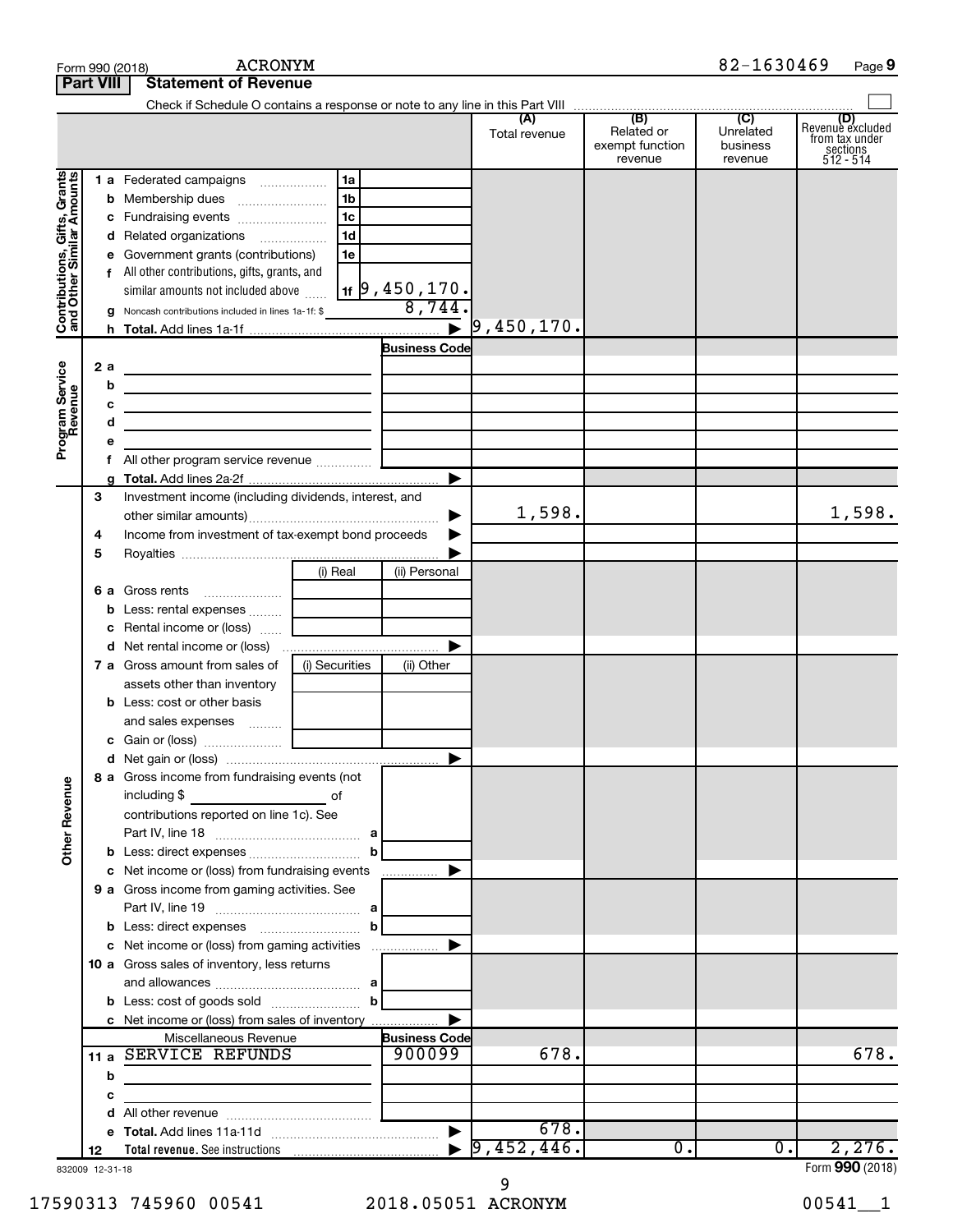|                                                           |                  | <b>ACRONYM</b><br>Form 990 (2018)                                                                                      |                      |                                                 | 82-1630469                                         | Page 9                                                      |
|-----------------------------------------------------------|------------------|------------------------------------------------------------------------------------------------------------------------|----------------------|-------------------------------------------------|----------------------------------------------------|-------------------------------------------------------------|
|                                                           | <b>Part VIII</b> | <b>Statement of Revenue</b>                                                                                            |                      |                                                 |                                                    |                                                             |
|                                                           |                  |                                                                                                                        |                      |                                                 |                                                    |                                                             |
|                                                           |                  |                                                                                                                        | (A)<br>Total revenue | (B)<br>Related or<br>exempt function<br>revenue | $\overline{C}$<br>Unrelated<br>business<br>revenue | Revenue excluded<br>trom tax under<br>sections<br>512 - 514 |
|                                                           |                  | 1a<br>1 a Federated campaigns                                                                                          |                      |                                                 |                                                    |                                                             |
| Contributions, Gifts, Grants<br>and Other Similar Amounts |                  | 1 <sub>b</sub>                                                                                                         |                      |                                                 |                                                    |                                                             |
|                                                           |                  | l 1c                                                                                                                   |                      |                                                 |                                                    |                                                             |
|                                                           |                  | 1 <sub>d</sub><br>d Related organizations                                                                              |                      |                                                 |                                                    |                                                             |
|                                                           |                  | 1e<br>e Government grants (contributions)                                                                              |                      |                                                 |                                                    |                                                             |
|                                                           |                  | f All other contributions, gifts, grants, and                                                                          |                      |                                                 |                                                    |                                                             |
|                                                           |                  | <sub>1f</sub>  9 , 450 , 170 <b>.</b><br>similar amounts not included above                                            |                      |                                                 |                                                    |                                                             |
|                                                           |                  | <b>g</b> Noncash contributions included in lines 1a-1f: \$                                                             | 8,744.               |                                                 |                                                    |                                                             |
|                                                           |                  |                                                                                                                        |                      |                                                 |                                                    |                                                             |
|                                                           |                  |                                                                                                                        | <b>Business Code</b> |                                                 |                                                    |                                                             |
|                                                           | 2a               | <u> 1989 - Johann Barbara, martin a bhaile an t-Alban an t-Alban an t-Alban an t-Alban an t-Alban an t-Alban an t-</u> |                      |                                                 |                                                    |                                                             |
|                                                           | b                | <u> 1989 - Johann Barbara, martin amerikan basar dan berasal dalam basar dalam basar dalam basar dalam basar dala</u>  |                      |                                                 |                                                    |                                                             |
| Program Service<br>Revenue                                | с                | the control of the control of the control of the control of the control of                                             |                      |                                                 |                                                    |                                                             |
|                                                           | d                | the contract of the contract of the contract of the contract of the contract of                                        |                      |                                                 |                                                    |                                                             |
|                                                           | е                |                                                                                                                        |                      |                                                 |                                                    |                                                             |
|                                                           | f                |                                                                                                                        | ▶                    |                                                 |                                                    |                                                             |
|                                                           | 3                | Investment income (including dividends, interest, and                                                                  |                      |                                                 |                                                    |                                                             |
|                                                           |                  |                                                                                                                        | 1,598.               |                                                 |                                                    | 1,598.                                                      |
|                                                           | 4                | Income from investment of tax-exempt bond proceeds                                                                     |                      |                                                 |                                                    |                                                             |
|                                                           | 5                |                                                                                                                        |                      |                                                 |                                                    |                                                             |
|                                                           |                  | (i) Real                                                                                                               | (ii) Personal        |                                                 |                                                    |                                                             |
|                                                           |                  |                                                                                                                        |                      |                                                 |                                                    |                                                             |
|                                                           |                  | <b>b</b> Less: rental expenses  [                                                                                      |                      |                                                 |                                                    |                                                             |
|                                                           |                  | c Rental income or (loss)                                                                                              |                      |                                                 |                                                    |                                                             |
|                                                           |                  |                                                                                                                        | ▶                    |                                                 |                                                    |                                                             |
|                                                           |                  | <b>7 a</b> Gross amount from sales of<br>(i) Securities                                                                | (ii) Other           |                                                 |                                                    |                                                             |
|                                                           |                  | assets other than inventory                                                                                            |                      |                                                 |                                                    |                                                             |
|                                                           |                  | <b>b</b> Less: cost or other basis                                                                                     |                      |                                                 |                                                    |                                                             |
|                                                           |                  | and sales expenses                                                                                                     |                      |                                                 |                                                    |                                                             |
|                                                           |                  |                                                                                                                        |                      |                                                 |                                                    |                                                             |
|                                                           |                  |                                                                                                                        |                      |                                                 |                                                    |                                                             |
| <b>Other Revenue</b>                                      |                  | 8 a Gross income from fundraising events (not<br>including \$<br><u>of</u> of                                          |                      |                                                 |                                                    |                                                             |
|                                                           |                  | contributions reported on line 1c). See                                                                                |                      |                                                 |                                                    |                                                             |
|                                                           |                  |                                                                                                                        |                      |                                                 |                                                    |                                                             |
|                                                           |                  | $\mathbf{b}$                                                                                                           |                      |                                                 |                                                    |                                                             |
|                                                           |                  |                                                                                                                        |                      |                                                 |                                                    |                                                             |
|                                                           |                  | 9 a Gross income from gaming activities. See                                                                           |                      |                                                 |                                                    |                                                             |
|                                                           |                  |                                                                                                                        |                      |                                                 |                                                    |                                                             |
|                                                           |                  |                                                                                                                        |                      |                                                 |                                                    |                                                             |
|                                                           |                  |                                                                                                                        |                      |                                                 |                                                    |                                                             |
|                                                           |                  | 10 a Gross sales of inventory, less returns                                                                            |                      |                                                 |                                                    |                                                             |
|                                                           |                  | <b>b</b> Less: cost of goods sold $\ldots$ <b>b</b>                                                                    |                      |                                                 |                                                    |                                                             |
|                                                           |                  |                                                                                                                        |                      |                                                 |                                                    |                                                             |
|                                                           |                  | Miscellaneous Revenue                                                                                                  | <b>Business Code</b> |                                                 |                                                    |                                                             |
|                                                           |                  | 11 a SERVICE REFUNDS                                                                                                   | 900099<br>678.       |                                                 |                                                    | 678.                                                        |
|                                                           | b                | <u> 1980 - Johann Barbara, martxa alemaniar a</u>                                                                      |                      |                                                 |                                                    |                                                             |
|                                                           | с                | <u> 1980 - Jan Barnett, fransk politik (d. 1980)</u>                                                                   |                      |                                                 |                                                    |                                                             |
|                                                           |                  | d                                                                                                                      |                      |                                                 |                                                    |                                                             |
|                                                           |                  |                                                                                                                        | 678.                 |                                                 |                                                    |                                                             |
|                                                           | 12               |                                                                                                                        |                      | $\overline{0}$ .                                | 0.1                                                | 2,276.                                                      |
| 832009 12-31-18                                           |                  |                                                                                                                        |                      |                                                 |                                                    | Form 990 (2018)                                             |

832009 12-31-18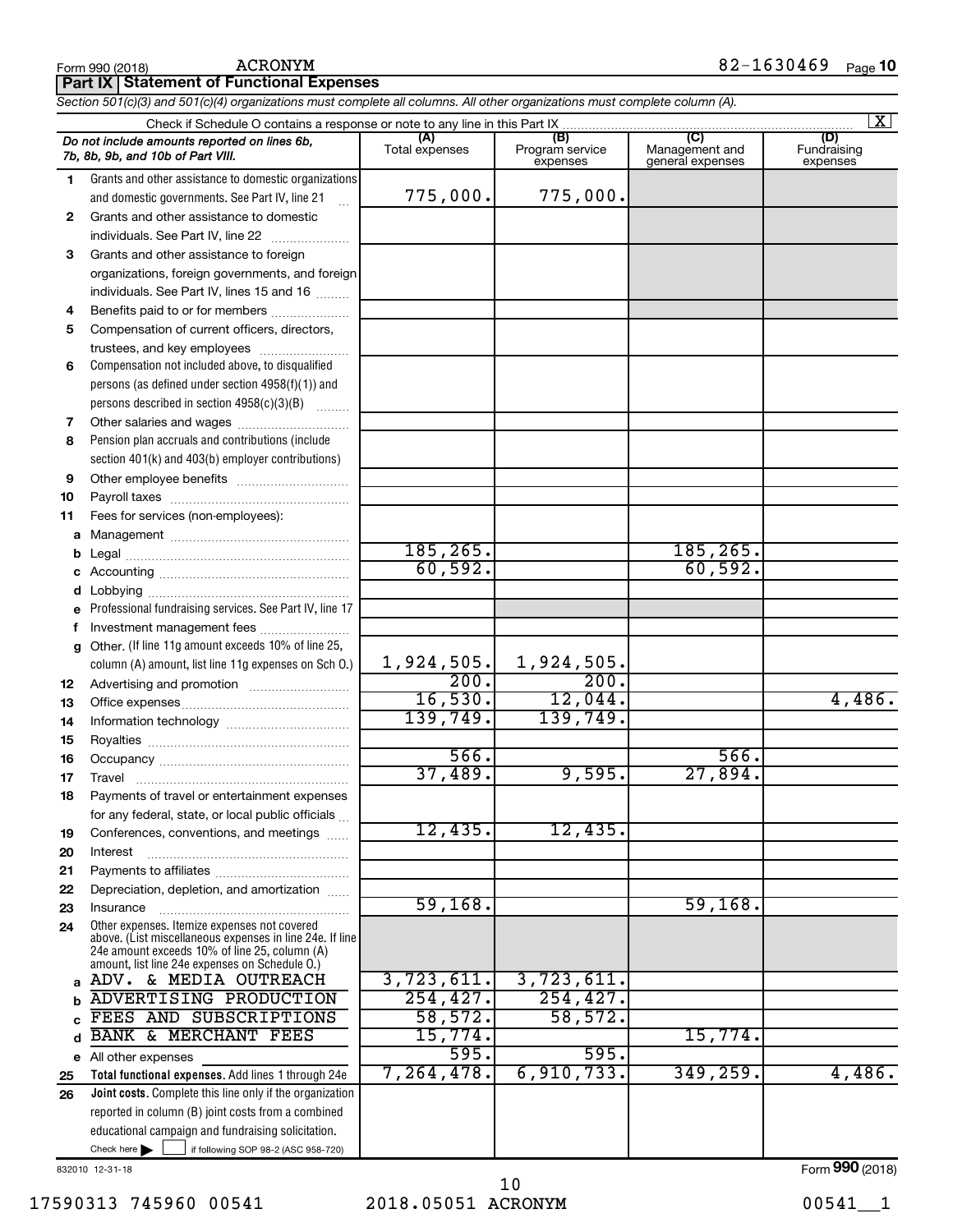|          | <b>Part IX   Statement of Functional Expenses</b>                                                                          |                       |                                    |                                           |                                |
|----------|----------------------------------------------------------------------------------------------------------------------------|-----------------------|------------------------------------|-------------------------------------------|--------------------------------|
|          | Section 501(c)(3) and 501(c)(4) organizations must complete all columns. All other organizations must complete column (A). |                       |                                    |                                           |                                |
|          |                                                                                                                            |                       |                                    |                                           | X                              |
|          | Do not include amounts reported on lines 6b,<br>7b, 8b, 9b, and 10b of Part VIII.                                          | (A)<br>Total expenses | (B)<br>Program service<br>expenses | (C)<br>Management and<br>general expenses | (D)<br>Fundraising<br>expenses |
| 1        | Grants and other assistance to domestic organizations                                                                      |                       |                                    |                                           |                                |
|          | and domestic governments. See Part IV, line 21                                                                             | 775,000.              | 775,000.                           |                                           |                                |
| 2        | Grants and other assistance to domestic                                                                                    |                       |                                    |                                           |                                |
|          | individuals. See Part IV, line 22                                                                                          |                       |                                    |                                           |                                |
| 3        | Grants and other assistance to foreign                                                                                     |                       |                                    |                                           |                                |
|          | organizations, foreign governments, and foreign                                                                            |                       |                                    |                                           |                                |
|          | individuals. See Part IV, lines 15 and 16                                                                                  |                       |                                    |                                           |                                |
| 4        | Benefits paid to or for members                                                                                            |                       |                                    |                                           |                                |
| 5        | Compensation of current officers, directors,                                                                               |                       |                                    |                                           |                                |
|          | trustees, and key employees                                                                                                |                       |                                    |                                           |                                |
| 6        | Compensation not included above, to disqualified                                                                           |                       |                                    |                                           |                                |
|          | persons (as defined under section $4958(f)(1)$ ) and                                                                       |                       |                                    |                                           |                                |
|          | persons described in section 4958(c)(3)(B)                                                                                 |                       |                                    |                                           |                                |
| 7        |                                                                                                                            |                       |                                    |                                           |                                |
| 8        | Pension plan accruals and contributions (include                                                                           |                       |                                    |                                           |                                |
| 9        | section 401(k) and 403(b) employer contributions)                                                                          |                       |                                    |                                           |                                |
| 10       |                                                                                                                            |                       |                                    |                                           |                                |
| 11       | Fees for services (non-employees):                                                                                         |                       |                                    |                                           |                                |
| a        |                                                                                                                            |                       |                                    |                                           |                                |
| b        |                                                                                                                            | 185, 265.             |                                    | 185, 265.                                 |                                |
| С        |                                                                                                                            | 60,592.               |                                    | 60,592.                                   |                                |
| d        |                                                                                                                            |                       |                                    |                                           |                                |
|          | Professional fundraising services. See Part IV, line 17                                                                    |                       |                                    |                                           |                                |
| f        | Investment management fees                                                                                                 |                       |                                    |                                           |                                |
| g        | Other. (If line 11g amount exceeds 10% of line 25,                                                                         |                       |                                    |                                           |                                |
|          | column (A) amount, list line 11g expenses on Sch O.)                                                                       | 1,924,505.            | 1,924,505.                         |                                           |                                |
| 12       |                                                                                                                            | 200.                  | 200.                               |                                           |                                |
| 13       |                                                                                                                            | 16,530.               | 12,044.                            |                                           | 4,486.                         |
| 14       |                                                                                                                            | 139,749.              | 139,749.                           |                                           |                                |
| 15       |                                                                                                                            |                       |                                    |                                           |                                |
| 16       |                                                                                                                            | 566.                  |                                    | 566.                                      |                                |
| 17       | Travel                                                                                                                     | 37,489.               | 9,595.                             | 27,894.                                   |                                |
| 18       | Payments of travel or entertainment expenses                                                                               |                       |                                    |                                           |                                |
|          | for any federal, state, or local public officials                                                                          | 12,435.               | 12,435.                            |                                           |                                |
| 19       | Conferences, conventions, and meetings                                                                                     |                       |                                    |                                           |                                |
| 20       | Interest                                                                                                                   |                       |                                    |                                           |                                |
| 21<br>22 | Depreciation, depletion, and amortization                                                                                  |                       |                                    |                                           |                                |
| 23       | Insurance                                                                                                                  | 59,168.               |                                    | 59, 168.                                  |                                |
| 24       | Other expenses. Itemize expenses not covered                                                                               |                       |                                    |                                           |                                |
|          | above. (List miscellaneous expenses in line 24e. If line                                                                   |                       |                                    |                                           |                                |
|          | 24e amount exceeds 10% of line 25, column (A)<br>amount, list line 24e expenses on Schedule O.)                            |                       |                                    |                                           |                                |
| a        | ADV. & MEDIA OUTREACH                                                                                                      | 3,723,611.            | 3,723,611.                         |                                           |                                |
| b        | <b>ADVERTISING PRODUCTION</b>                                                                                              | 254, 427.             | 254, 427.                          |                                           |                                |
| C        | FEES AND SUBSCRIPTIONS                                                                                                     | 58,572.               | 58,572.                            |                                           |                                |
| d        | <b>BANK &amp; MERCHANT FEES</b>                                                                                            | 15,774.               |                                    | 15,774.                                   |                                |
|          | e All other expenses                                                                                                       | 595.                  | 595.                               |                                           |                                |
| 25       | Total functional expenses. Add lines 1 through 24e                                                                         | 7,264,478.            | 6,910,733.                         | 349, 259.                                 | 4,486.                         |
| 26       | <b>Joint costs.</b> Complete this line only if the organization                                                            |                       |                                    |                                           |                                |
|          | reported in column (B) joint costs from a combined                                                                         |                       |                                    |                                           |                                |
|          | educational campaign and fundraising solicitation.<br>Check here $\blacktriangleright$                                     |                       |                                    |                                           |                                |
|          | if following SOP 98-2 (ASC 958-720)                                                                                        |                       |                                    |                                           |                                |

832010 12-31-18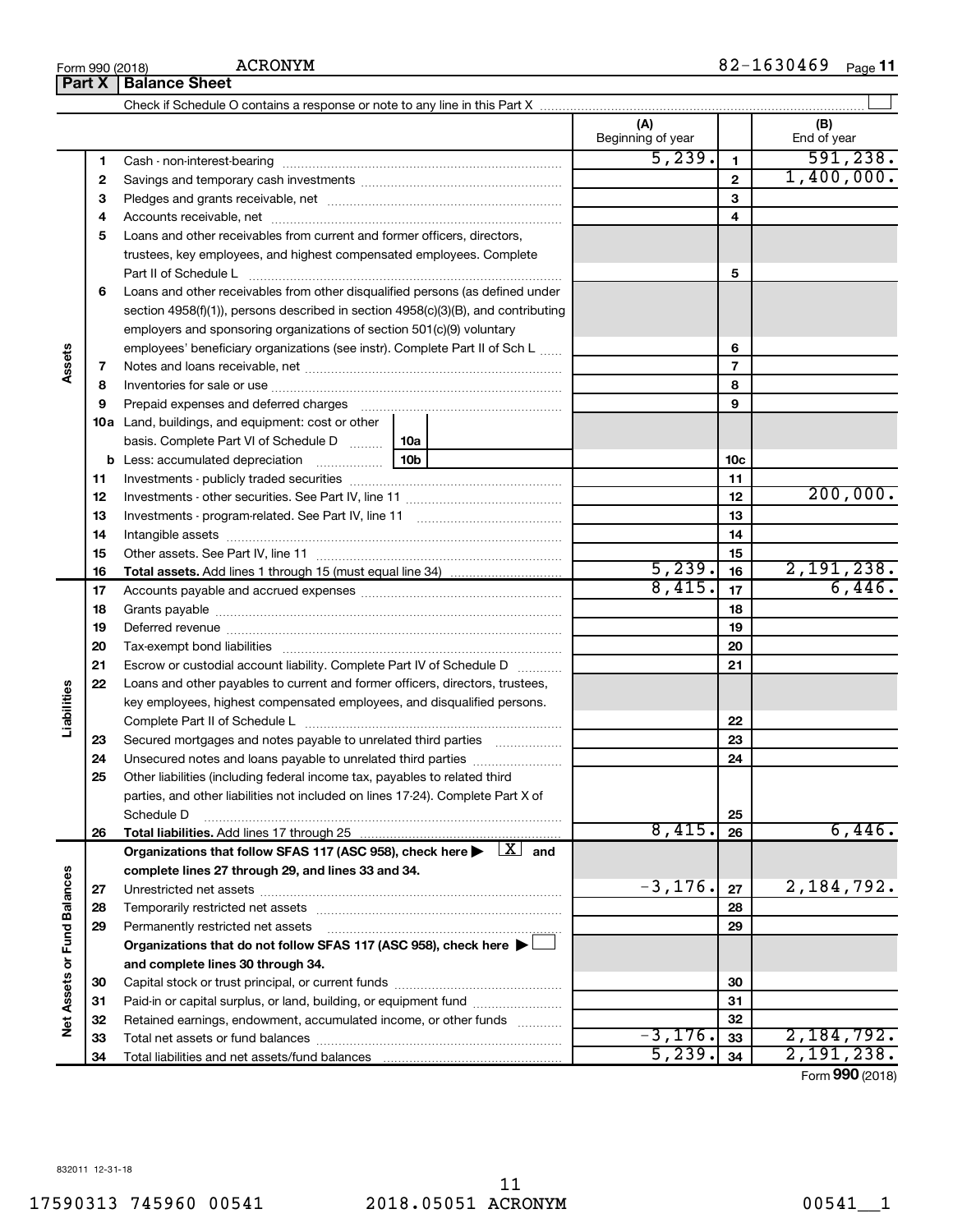17590313 745960 00541 2018.05051 ACRONYM 00541\_\_1

**Part X Balance Sheet**

Check if Schedule O contains a response or note to any line in this Part X

| 5, 239.<br>591, 238.<br>1.<br>1<br>1,400,000.<br>$\mathbf{2}$<br>$\mathbf{2}$<br>3<br>3<br>4<br>4<br>Loans and other receivables from current and former officers, directors,<br>5<br>trustees, key employees, and highest compensated employees. Complete<br>Part II of Schedule Latin million and Contact March 10 Schedule Latin million and the March March 10 Schedule<br>5<br>Loans and other receivables from other disqualified persons (as defined under<br>6<br>section 4958(f)(1)), persons described in section 4958(c)(3)(B), and contributing<br>employers and sponsoring organizations of section 501(c)(9) voluntary<br>employees' beneficiary organizations (see instr). Complete Part II of Sch L<br>6<br>Assets<br>$\overline{7}$<br>7<br>8<br>8<br>9<br>9<br>Prepaid expenses and deferred charges [11] matter continuum matter and referred charges [11] matter continuum matter continuum matter and continuum matter continuum matter and continuum matter continuum matter continuum ma<br>10a Land, buildings, and equipment: cost or other<br>basis. Complete Part VI of Schedule D    10a<br>10c<br>11<br>11<br>200,000.<br>12<br>12<br>13<br>13<br>14<br>14<br>15<br>15<br>5, 239.<br>2,191,238.<br>16<br>16<br>8,415.<br>6,446.<br>17<br>17<br>18<br>18<br>19<br>19<br>Deferred revenue manual contracts and contracts are all the manual contracts and contracts are all the contracts of<br>20<br>20<br>21<br>21<br>Escrow or custodial account liability. Complete Part IV of Schedule D<br>22<br>Loans and other payables to current and former officers, directors, trustees,<br>Liabilities<br>key employees, highest compensated employees, and disqualified persons.<br>22<br>23<br>23<br>Secured mortgages and notes payable to unrelated third parties<br>24<br>24<br>Unsecured notes and loans payable to unrelated third parties<br>25<br>Other liabilities (including federal income tax, payables to related third<br>parties, and other liabilities not included on lines 17-24). Complete Part X of<br>25<br>Schedule D<br>8,415.<br>6,446.<br>26<br>26<br>Organizations that follow SFAS 117 (ASC 958), check here $\blacktriangleright \begin{array}{c} \boxed{X} \\ \end{array}$ and<br>complete lines 27 through 29, and lines 33 and 34.<br>Net Assets or Fund Balances<br>$-3, 176.$<br>2, 184, 792.<br>27<br>27<br>28<br>28<br>29<br>29<br>Permanently restricted net assets<br>Organizations that do not follow SFAS 117 (ASC 958), check here ▶ $\Box$<br>and complete lines 30 through 34.<br>30<br>30<br>31<br>Paid-in or capital surplus, or land, building, or equipment fund<br>31<br>32<br>Retained earnings, endowment, accumulated income, or other funds<br>32<br>$-3,176.$<br>2,184,792.<br>33<br>33<br>5,239.<br>2,191,238.<br>34<br>34 |  |  |  | (A)<br>Beginning of year | (B)<br>End of year |
|----------------------------------------------------------------------------------------------------------------------------------------------------------------------------------------------------------------------------------------------------------------------------------------------------------------------------------------------------------------------------------------------------------------------------------------------------------------------------------------------------------------------------------------------------------------------------------------------------------------------------------------------------------------------------------------------------------------------------------------------------------------------------------------------------------------------------------------------------------------------------------------------------------------------------------------------------------------------------------------------------------------------------------------------------------------------------------------------------------------------------------------------------------------------------------------------------------------------------------------------------------------------------------------------------------------------------------------------------------------------------------------------------------------------------------------------------------------------------------------------------------------------------------------------------------------------------------------------------------------------------------------------------------------------------------------------------------------------------------------------------------------------------------------------------------------------------------------------------------------------------------------------------------------------------------------------------------------------------------------------------------------------------------------------------------------------------------------------------------------------------------------------------------------------------------------------------------------------------------------------------------------------------------------------------------------------------------------------------------------------------------------------------------------------------------------------------------------------------------------------------------------------------------------------------------------------------------------------------------------------------------------------------------------------------------------------------------------------------------------------------------------------------------------------------------|--|--|--|--------------------------|--------------------|
|                                                                                                                                                                                                                                                                                                                                                                                                                                                                                                                                                                                                                                                                                                                                                                                                                                                                                                                                                                                                                                                                                                                                                                                                                                                                                                                                                                                                                                                                                                                                                                                                                                                                                                                                                                                                                                                                                                                                                                                                                                                                                                                                                                                                                                                                                                                                                                                                                                                                                                                                                                                                                                                                                                                                                                                                          |  |  |  |                          |                    |
|                                                                                                                                                                                                                                                                                                                                                                                                                                                                                                                                                                                                                                                                                                                                                                                                                                                                                                                                                                                                                                                                                                                                                                                                                                                                                                                                                                                                                                                                                                                                                                                                                                                                                                                                                                                                                                                                                                                                                                                                                                                                                                                                                                                                                                                                                                                                                                                                                                                                                                                                                                                                                                                                                                                                                                                                          |  |  |  |                          |                    |
|                                                                                                                                                                                                                                                                                                                                                                                                                                                                                                                                                                                                                                                                                                                                                                                                                                                                                                                                                                                                                                                                                                                                                                                                                                                                                                                                                                                                                                                                                                                                                                                                                                                                                                                                                                                                                                                                                                                                                                                                                                                                                                                                                                                                                                                                                                                                                                                                                                                                                                                                                                                                                                                                                                                                                                                                          |  |  |  |                          |                    |
|                                                                                                                                                                                                                                                                                                                                                                                                                                                                                                                                                                                                                                                                                                                                                                                                                                                                                                                                                                                                                                                                                                                                                                                                                                                                                                                                                                                                                                                                                                                                                                                                                                                                                                                                                                                                                                                                                                                                                                                                                                                                                                                                                                                                                                                                                                                                                                                                                                                                                                                                                                                                                                                                                                                                                                                                          |  |  |  |                          |                    |
|                                                                                                                                                                                                                                                                                                                                                                                                                                                                                                                                                                                                                                                                                                                                                                                                                                                                                                                                                                                                                                                                                                                                                                                                                                                                                                                                                                                                                                                                                                                                                                                                                                                                                                                                                                                                                                                                                                                                                                                                                                                                                                                                                                                                                                                                                                                                                                                                                                                                                                                                                                                                                                                                                                                                                                                                          |  |  |  |                          |                    |
|                                                                                                                                                                                                                                                                                                                                                                                                                                                                                                                                                                                                                                                                                                                                                                                                                                                                                                                                                                                                                                                                                                                                                                                                                                                                                                                                                                                                                                                                                                                                                                                                                                                                                                                                                                                                                                                                                                                                                                                                                                                                                                                                                                                                                                                                                                                                                                                                                                                                                                                                                                                                                                                                                                                                                                                                          |  |  |  |                          |                    |
|                                                                                                                                                                                                                                                                                                                                                                                                                                                                                                                                                                                                                                                                                                                                                                                                                                                                                                                                                                                                                                                                                                                                                                                                                                                                                                                                                                                                                                                                                                                                                                                                                                                                                                                                                                                                                                                                                                                                                                                                                                                                                                                                                                                                                                                                                                                                                                                                                                                                                                                                                                                                                                                                                                                                                                                                          |  |  |  |                          |                    |
|                                                                                                                                                                                                                                                                                                                                                                                                                                                                                                                                                                                                                                                                                                                                                                                                                                                                                                                                                                                                                                                                                                                                                                                                                                                                                                                                                                                                                                                                                                                                                                                                                                                                                                                                                                                                                                                                                                                                                                                                                                                                                                                                                                                                                                                                                                                                                                                                                                                                                                                                                                                                                                                                                                                                                                                                          |  |  |  |                          |                    |
|                                                                                                                                                                                                                                                                                                                                                                                                                                                                                                                                                                                                                                                                                                                                                                                                                                                                                                                                                                                                                                                                                                                                                                                                                                                                                                                                                                                                                                                                                                                                                                                                                                                                                                                                                                                                                                                                                                                                                                                                                                                                                                                                                                                                                                                                                                                                                                                                                                                                                                                                                                                                                                                                                                                                                                                                          |  |  |  |                          |                    |
|                                                                                                                                                                                                                                                                                                                                                                                                                                                                                                                                                                                                                                                                                                                                                                                                                                                                                                                                                                                                                                                                                                                                                                                                                                                                                                                                                                                                                                                                                                                                                                                                                                                                                                                                                                                                                                                                                                                                                                                                                                                                                                                                                                                                                                                                                                                                                                                                                                                                                                                                                                                                                                                                                                                                                                                                          |  |  |  |                          |                    |
|                                                                                                                                                                                                                                                                                                                                                                                                                                                                                                                                                                                                                                                                                                                                                                                                                                                                                                                                                                                                                                                                                                                                                                                                                                                                                                                                                                                                                                                                                                                                                                                                                                                                                                                                                                                                                                                                                                                                                                                                                                                                                                                                                                                                                                                                                                                                                                                                                                                                                                                                                                                                                                                                                                                                                                                                          |  |  |  |                          |                    |
|                                                                                                                                                                                                                                                                                                                                                                                                                                                                                                                                                                                                                                                                                                                                                                                                                                                                                                                                                                                                                                                                                                                                                                                                                                                                                                                                                                                                                                                                                                                                                                                                                                                                                                                                                                                                                                                                                                                                                                                                                                                                                                                                                                                                                                                                                                                                                                                                                                                                                                                                                                                                                                                                                                                                                                                                          |  |  |  |                          |                    |
|                                                                                                                                                                                                                                                                                                                                                                                                                                                                                                                                                                                                                                                                                                                                                                                                                                                                                                                                                                                                                                                                                                                                                                                                                                                                                                                                                                                                                                                                                                                                                                                                                                                                                                                                                                                                                                                                                                                                                                                                                                                                                                                                                                                                                                                                                                                                                                                                                                                                                                                                                                                                                                                                                                                                                                                                          |  |  |  |                          |                    |
|                                                                                                                                                                                                                                                                                                                                                                                                                                                                                                                                                                                                                                                                                                                                                                                                                                                                                                                                                                                                                                                                                                                                                                                                                                                                                                                                                                                                                                                                                                                                                                                                                                                                                                                                                                                                                                                                                                                                                                                                                                                                                                                                                                                                                                                                                                                                                                                                                                                                                                                                                                                                                                                                                                                                                                                                          |  |  |  |                          |                    |
|                                                                                                                                                                                                                                                                                                                                                                                                                                                                                                                                                                                                                                                                                                                                                                                                                                                                                                                                                                                                                                                                                                                                                                                                                                                                                                                                                                                                                                                                                                                                                                                                                                                                                                                                                                                                                                                                                                                                                                                                                                                                                                                                                                                                                                                                                                                                                                                                                                                                                                                                                                                                                                                                                                                                                                                                          |  |  |  |                          |                    |
|                                                                                                                                                                                                                                                                                                                                                                                                                                                                                                                                                                                                                                                                                                                                                                                                                                                                                                                                                                                                                                                                                                                                                                                                                                                                                                                                                                                                                                                                                                                                                                                                                                                                                                                                                                                                                                                                                                                                                                                                                                                                                                                                                                                                                                                                                                                                                                                                                                                                                                                                                                                                                                                                                                                                                                                                          |  |  |  |                          |                    |
|                                                                                                                                                                                                                                                                                                                                                                                                                                                                                                                                                                                                                                                                                                                                                                                                                                                                                                                                                                                                                                                                                                                                                                                                                                                                                                                                                                                                                                                                                                                                                                                                                                                                                                                                                                                                                                                                                                                                                                                                                                                                                                                                                                                                                                                                                                                                                                                                                                                                                                                                                                                                                                                                                                                                                                                                          |  |  |  |                          |                    |
|                                                                                                                                                                                                                                                                                                                                                                                                                                                                                                                                                                                                                                                                                                                                                                                                                                                                                                                                                                                                                                                                                                                                                                                                                                                                                                                                                                                                                                                                                                                                                                                                                                                                                                                                                                                                                                                                                                                                                                                                                                                                                                                                                                                                                                                                                                                                                                                                                                                                                                                                                                                                                                                                                                                                                                                                          |  |  |  |                          |                    |
|                                                                                                                                                                                                                                                                                                                                                                                                                                                                                                                                                                                                                                                                                                                                                                                                                                                                                                                                                                                                                                                                                                                                                                                                                                                                                                                                                                                                                                                                                                                                                                                                                                                                                                                                                                                                                                                                                                                                                                                                                                                                                                                                                                                                                                                                                                                                                                                                                                                                                                                                                                                                                                                                                                                                                                                                          |  |  |  |                          |                    |
|                                                                                                                                                                                                                                                                                                                                                                                                                                                                                                                                                                                                                                                                                                                                                                                                                                                                                                                                                                                                                                                                                                                                                                                                                                                                                                                                                                                                                                                                                                                                                                                                                                                                                                                                                                                                                                                                                                                                                                                                                                                                                                                                                                                                                                                                                                                                                                                                                                                                                                                                                                                                                                                                                                                                                                                                          |  |  |  |                          |                    |
|                                                                                                                                                                                                                                                                                                                                                                                                                                                                                                                                                                                                                                                                                                                                                                                                                                                                                                                                                                                                                                                                                                                                                                                                                                                                                                                                                                                                                                                                                                                                                                                                                                                                                                                                                                                                                                                                                                                                                                                                                                                                                                                                                                                                                                                                                                                                                                                                                                                                                                                                                                                                                                                                                                                                                                                                          |  |  |  |                          |                    |
|                                                                                                                                                                                                                                                                                                                                                                                                                                                                                                                                                                                                                                                                                                                                                                                                                                                                                                                                                                                                                                                                                                                                                                                                                                                                                                                                                                                                                                                                                                                                                                                                                                                                                                                                                                                                                                                                                                                                                                                                                                                                                                                                                                                                                                                                                                                                                                                                                                                                                                                                                                                                                                                                                                                                                                                                          |  |  |  |                          |                    |
|                                                                                                                                                                                                                                                                                                                                                                                                                                                                                                                                                                                                                                                                                                                                                                                                                                                                                                                                                                                                                                                                                                                                                                                                                                                                                                                                                                                                                                                                                                                                                                                                                                                                                                                                                                                                                                                                                                                                                                                                                                                                                                                                                                                                                                                                                                                                                                                                                                                                                                                                                                                                                                                                                                                                                                                                          |  |  |  |                          |                    |
|                                                                                                                                                                                                                                                                                                                                                                                                                                                                                                                                                                                                                                                                                                                                                                                                                                                                                                                                                                                                                                                                                                                                                                                                                                                                                                                                                                                                                                                                                                                                                                                                                                                                                                                                                                                                                                                                                                                                                                                                                                                                                                                                                                                                                                                                                                                                                                                                                                                                                                                                                                                                                                                                                                                                                                                                          |  |  |  |                          |                    |
|                                                                                                                                                                                                                                                                                                                                                                                                                                                                                                                                                                                                                                                                                                                                                                                                                                                                                                                                                                                                                                                                                                                                                                                                                                                                                                                                                                                                                                                                                                                                                                                                                                                                                                                                                                                                                                                                                                                                                                                                                                                                                                                                                                                                                                                                                                                                                                                                                                                                                                                                                                                                                                                                                                                                                                                                          |  |  |  |                          |                    |
|                                                                                                                                                                                                                                                                                                                                                                                                                                                                                                                                                                                                                                                                                                                                                                                                                                                                                                                                                                                                                                                                                                                                                                                                                                                                                                                                                                                                                                                                                                                                                                                                                                                                                                                                                                                                                                                                                                                                                                                                                                                                                                                                                                                                                                                                                                                                                                                                                                                                                                                                                                                                                                                                                                                                                                                                          |  |  |  |                          |                    |
|                                                                                                                                                                                                                                                                                                                                                                                                                                                                                                                                                                                                                                                                                                                                                                                                                                                                                                                                                                                                                                                                                                                                                                                                                                                                                                                                                                                                                                                                                                                                                                                                                                                                                                                                                                                                                                                                                                                                                                                                                                                                                                                                                                                                                                                                                                                                                                                                                                                                                                                                                                                                                                                                                                                                                                                                          |  |  |  |                          |                    |
|                                                                                                                                                                                                                                                                                                                                                                                                                                                                                                                                                                                                                                                                                                                                                                                                                                                                                                                                                                                                                                                                                                                                                                                                                                                                                                                                                                                                                                                                                                                                                                                                                                                                                                                                                                                                                                                                                                                                                                                                                                                                                                                                                                                                                                                                                                                                                                                                                                                                                                                                                                                                                                                                                                                                                                                                          |  |  |  |                          |                    |
|                                                                                                                                                                                                                                                                                                                                                                                                                                                                                                                                                                                                                                                                                                                                                                                                                                                                                                                                                                                                                                                                                                                                                                                                                                                                                                                                                                                                                                                                                                                                                                                                                                                                                                                                                                                                                                                                                                                                                                                                                                                                                                                                                                                                                                                                                                                                                                                                                                                                                                                                                                                                                                                                                                                                                                                                          |  |  |  |                          |                    |
|                                                                                                                                                                                                                                                                                                                                                                                                                                                                                                                                                                                                                                                                                                                                                                                                                                                                                                                                                                                                                                                                                                                                                                                                                                                                                                                                                                                                                                                                                                                                                                                                                                                                                                                                                                                                                                                                                                                                                                                                                                                                                                                                                                                                                                                                                                                                                                                                                                                                                                                                                                                                                                                                                                                                                                                                          |  |  |  |                          |                    |
|                                                                                                                                                                                                                                                                                                                                                                                                                                                                                                                                                                                                                                                                                                                                                                                                                                                                                                                                                                                                                                                                                                                                                                                                                                                                                                                                                                                                                                                                                                                                                                                                                                                                                                                                                                                                                                                                                                                                                                                                                                                                                                                                                                                                                                                                                                                                                                                                                                                                                                                                                                                                                                                                                                                                                                                                          |  |  |  |                          |                    |
|                                                                                                                                                                                                                                                                                                                                                                                                                                                                                                                                                                                                                                                                                                                                                                                                                                                                                                                                                                                                                                                                                                                                                                                                                                                                                                                                                                                                                                                                                                                                                                                                                                                                                                                                                                                                                                                                                                                                                                                                                                                                                                                                                                                                                                                                                                                                                                                                                                                                                                                                                                                                                                                                                                                                                                                                          |  |  |  |                          |                    |
|                                                                                                                                                                                                                                                                                                                                                                                                                                                                                                                                                                                                                                                                                                                                                                                                                                                                                                                                                                                                                                                                                                                                                                                                                                                                                                                                                                                                                                                                                                                                                                                                                                                                                                                                                                                                                                                                                                                                                                                                                                                                                                                                                                                                                                                                                                                                                                                                                                                                                                                                                                                                                                                                                                                                                                                                          |  |  |  |                          |                    |
|                                                                                                                                                                                                                                                                                                                                                                                                                                                                                                                                                                                                                                                                                                                                                                                                                                                                                                                                                                                                                                                                                                                                                                                                                                                                                                                                                                                                                                                                                                                                                                                                                                                                                                                                                                                                                                                                                                                                                                                                                                                                                                                                                                                                                                                                                                                                                                                                                                                                                                                                                                                                                                                                                                                                                                                                          |  |  |  |                          |                    |
|                                                                                                                                                                                                                                                                                                                                                                                                                                                                                                                                                                                                                                                                                                                                                                                                                                                                                                                                                                                                                                                                                                                                                                                                                                                                                                                                                                                                                                                                                                                                                                                                                                                                                                                                                                                                                                                                                                                                                                                                                                                                                                                                                                                                                                                                                                                                                                                                                                                                                                                                                                                                                                                                                                                                                                                                          |  |  |  |                          |                    |
|                                                                                                                                                                                                                                                                                                                                                                                                                                                                                                                                                                                                                                                                                                                                                                                                                                                                                                                                                                                                                                                                                                                                                                                                                                                                                                                                                                                                                                                                                                                                                                                                                                                                                                                                                                                                                                                                                                                                                                                                                                                                                                                                                                                                                                                                                                                                                                                                                                                                                                                                                                                                                                                                                                                                                                                                          |  |  |  |                          |                    |
|                                                                                                                                                                                                                                                                                                                                                                                                                                                                                                                                                                                                                                                                                                                                                                                                                                                                                                                                                                                                                                                                                                                                                                                                                                                                                                                                                                                                                                                                                                                                                                                                                                                                                                                                                                                                                                                                                                                                                                                                                                                                                                                                                                                                                                                                                                                                                                                                                                                                                                                                                                                                                                                                                                                                                                                                          |  |  |  |                          |                    |
|                                                                                                                                                                                                                                                                                                                                                                                                                                                                                                                                                                                                                                                                                                                                                                                                                                                                                                                                                                                                                                                                                                                                                                                                                                                                                                                                                                                                                                                                                                                                                                                                                                                                                                                                                                                                                                                                                                                                                                                                                                                                                                                                                                                                                                                                                                                                                                                                                                                                                                                                                                                                                                                                                                                                                                                                          |  |  |  |                          |                    |
|                                                                                                                                                                                                                                                                                                                                                                                                                                                                                                                                                                                                                                                                                                                                                                                                                                                                                                                                                                                                                                                                                                                                                                                                                                                                                                                                                                                                                                                                                                                                                                                                                                                                                                                                                                                                                                                                                                                                                                                                                                                                                                                                                                                                                                                                                                                                                                                                                                                                                                                                                                                                                                                                                                                                                                                                          |  |  |  |                          |                    |
|                                                                                                                                                                                                                                                                                                                                                                                                                                                                                                                                                                                                                                                                                                                                                                                                                                                                                                                                                                                                                                                                                                                                                                                                                                                                                                                                                                                                                                                                                                                                                                                                                                                                                                                                                                                                                                                                                                                                                                                                                                                                                                                                                                                                                                                                                                                                                                                                                                                                                                                                                                                                                                                                                                                                                                                                          |  |  |  |                          |                    |
|                                                                                                                                                                                                                                                                                                                                                                                                                                                                                                                                                                                                                                                                                                                                                                                                                                                                                                                                                                                                                                                                                                                                                                                                                                                                                                                                                                                                                                                                                                                                                                                                                                                                                                                                                                                                                                                                                                                                                                                                                                                                                                                                                                                                                                                                                                                                                                                                                                                                                                                                                                                                                                                                                                                                                                                                          |  |  |  |                          |                    |
|                                                                                                                                                                                                                                                                                                                                                                                                                                                                                                                                                                                                                                                                                                                                                                                                                                                                                                                                                                                                                                                                                                                                                                                                                                                                                                                                                                                                                                                                                                                                                                                                                                                                                                                                                                                                                                                                                                                                                                                                                                                                                                                                                                                                                                                                                                                                                                                                                                                                                                                                                                                                                                                                                                                                                                                                          |  |  |  |                          |                    |
|                                                                                                                                                                                                                                                                                                                                                                                                                                                                                                                                                                                                                                                                                                                                                                                                                                                                                                                                                                                                                                                                                                                                                                                                                                                                                                                                                                                                                                                                                                                                                                                                                                                                                                                                                                                                                                                                                                                                                                                                                                                                                                                                                                                                                                                                                                                                                                                                                                                                                                                                                                                                                                                                                                                                                                                                          |  |  |  |                          |                    |
|                                                                                                                                                                                                                                                                                                                                                                                                                                                                                                                                                                                                                                                                                                                                                                                                                                                                                                                                                                                                                                                                                                                                                                                                                                                                                                                                                                                                                                                                                                                                                                                                                                                                                                                                                                                                                                                                                                                                                                                                                                                                                                                                                                                                                                                                                                                                                                                                                                                                                                                                                                                                                                                                                                                                                                                                          |  |  |  |                          |                    |
|                                                                                                                                                                                                                                                                                                                                                                                                                                                                                                                                                                                                                                                                                                                                                                                                                                                                                                                                                                                                                                                                                                                                                                                                                                                                                                                                                                                                                                                                                                                                                                                                                                                                                                                                                                                                                                                                                                                                                                                                                                                                                                                                                                                                                                                                                                                                                                                                                                                                                                                                                                                                                                                                                                                                                                                                          |  |  |  |                          |                    |
|                                                                                                                                                                                                                                                                                                                                                                                                                                                                                                                                                                                                                                                                                                                                                                                                                                                                                                                                                                                                                                                                                                                                                                                                                                                                                                                                                                                                                                                                                                                                                                                                                                                                                                                                                                                                                                                                                                                                                                                                                                                                                                                                                                                                                                                                                                                                                                                                                                                                                                                                                                                                                                                                                                                                                                                                          |  |  |  |                          |                    |
|                                                                                                                                                                                                                                                                                                                                                                                                                                                                                                                                                                                                                                                                                                                                                                                                                                                                                                                                                                                                                                                                                                                                                                                                                                                                                                                                                                                                                                                                                                                                                                                                                                                                                                                                                                                                                                                                                                                                                                                                                                                                                                                                                                                                                                                                                                                                                                                                                                                                                                                                                                                                                                                                                                                                                                                                          |  |  |  |                          |                    |
|                                                                                                                                                                                                                                                                                                                                                                                                                                                                                                                                                                                                                                                                                                                                                                                                                                                                                                                                                                                                                                                                                                                                                                                                                                                                                                                                                                                                                                                                                                                                                                                                                                                                                                                                                                                                                                                                                                                                                                                                                                                                                                                                                                                                                                                                                                                                                                                                                                                                                                                                                                                                                                                                                                                                                                                                          |  |  |  |                          |                    |
|                                                                                                                                                                                                                                                                                                                                                                                                                                                                                                                                                                                                                                                                                                                                                                                                                                                                                                                                                                                                                                                                                                                                                                                                                                                                                                                                                                                                                                                                                                                                                                                                                                                                                                                                                                                                                                                                                                                                                                                                                                                                                                                                                                                                                                                                                                                                                                                                                                                                                                                                                                                                                                                                                                                                                                                                          |  |  |  |                          |                    |

 $\perp$ 

Form (2018) **990**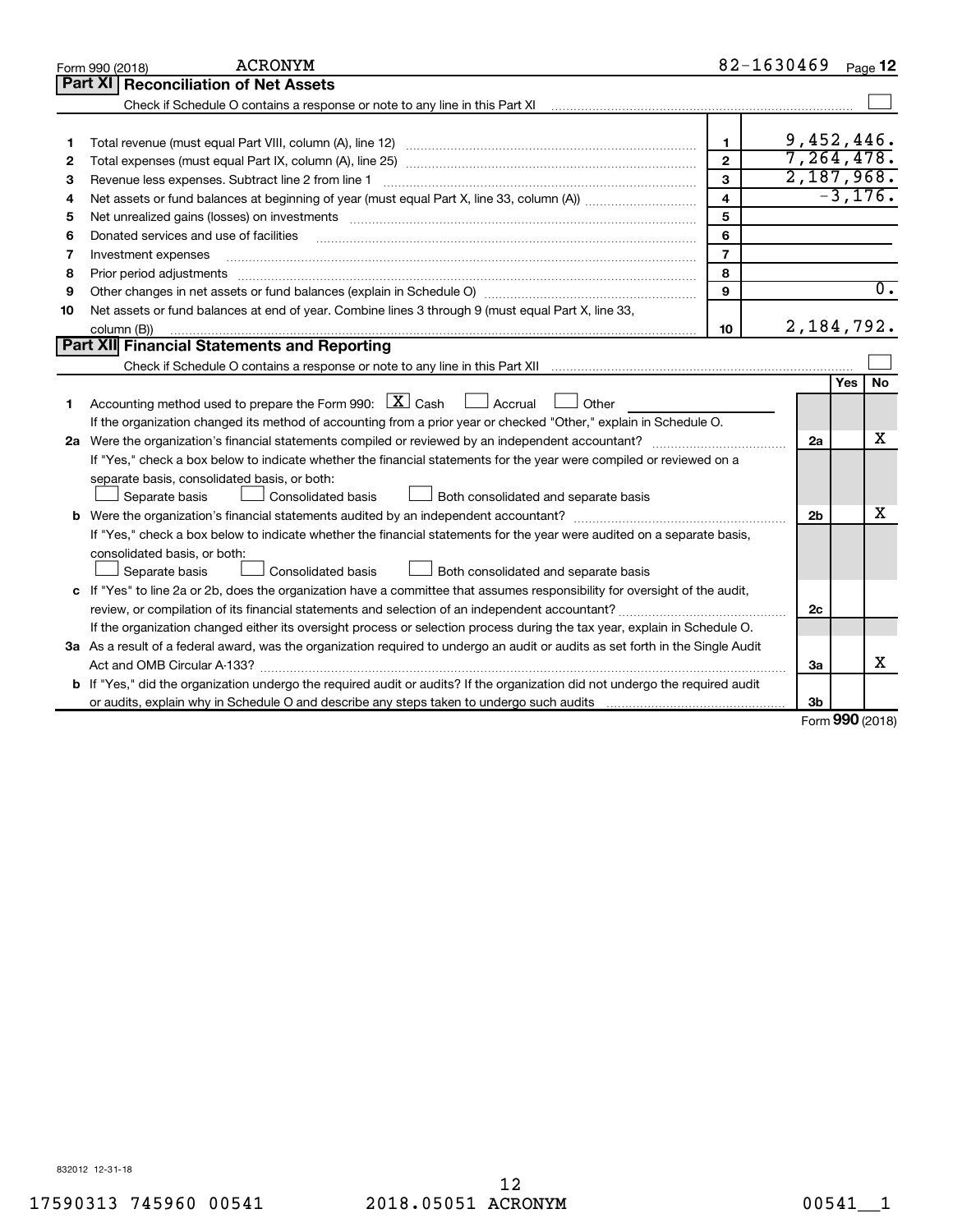|    | <b>ACRONYM</b><br>Form 990 (2018)                                                                                                                                                                                              | 82-1630469              |                |            | Page 12          |
|----|--------------------------------------------------------------------------------------------------------------------------------------------------------------------------------------------------------------------------------|-------------------------|----------------|------------|------------------|
|    | Part XI   Reconciliation of Net Assets                                                                                                                                                                                         |                         |                |            |                  |
|    | Check if Schedule O contains a response or note to any line in this Part XI                                                                                                                                                    |                         |                |            |                  |
|    |                                                                                                                                                                                                                                |                         |                |            |                  |
|    |                                                                                                                                                                                                                                | $\mathbf{1}$            | 9,452,446.     |            |                  |
| 2  |                                                                                                                                                                                                                                | $\overline{2}$          | 7,264,478.     |            |                  |
| 3  | Revenue less expenses. Subtract line 2 from line 1                                                                                                                                                                             | 3                       | 2,187,968.     |            |                  |
| 4  |                                                                                                                                                                                                                                | $\overline{\mathbf{4}}$ |                |            | $-3, 176.$       |
| 5  |                                                                                                                                                                                                                                | 5                       |                |            |                  |
| 6  | Donated services and use of facilities                                                                                                                                                                                         | 6                       |                |            |                  |
| 7  | Investment expenses                                                                                                                                                                                                            | $\overline{7}$          |                |            |                  |
| 8  | Prior period adjustments material contents and content and content and content and content and content and content and content and content and content and content and content and content and content and content and content | 8                       |                |            |                  |
| 9  |                                                                                                                                                                                                                                | 9                       |                |            | $\overline{0}$ . |
| 10 | Net assets or fund balances at end of year. Combine lines 3 through 9 (must equal Part X, line 33,                                                                                                                             |                         |                |            |                  |
|    | column (B))                                                                                                                                                                                                                    | 10                      | 2,184,792.     |            |                  |
|    | Part XII Financial Statements and Reporting                                                                                                                                                                                    |                         |                |            |                  |
|    |                                                                                                                                                                                                                                |                         |                |            |                  |
|    |                                                                                                                                                                                                                                |                         |                | Yes        | <b>No</b>        |
| 1  | Accounting method used to prepare the Form 990: $X$ Cash $\Box$ Accrual $\Box$<br>Other                                                                                                                                        |                         |                |            |                  |
|    | If the organization changed its method of accounting from a prior year or checked "Other," explain in Schedule O.                                                                                                              |                         |                |            |                  |
|    | 2a Were the organization's financial statements compiled or reviewed by an independent accountant?                                                                                                                             |                         | 2a             |            | X                |
|    | If "Yes," check a box below to indicate whether the financial statements for the year were compiled or reviewed on a                                                                                                           |                         |                |            |                  |
|    | separate basis, consolidated basis, or both:                                                                                                                                                                                   |                         |                |            |                  |
|    | Consolidated basis<br>Both consolidated and separate basis<br>Separate basis                                                                                                                                                   |                         |                |            |                  |
|    |                                                                                                                                                                                                                                |                         | 2 <sub>b</sub> |            | х                |
|    | If "Yes," check a box below to indicate whether the financial statements for the year were audited on a separate basis,                                                                                                        |                         |                |            |                  |
|    | consolidated basis, or both:                                                                                                                                                                                                   |                         |                |            |                  |
|    | Consolidated basis<br>Separate basis<br>Both consolidated and separate basis                                                                                                                                                   |                         |                |            |                  |
|    | c If "Yes" to line 2a or 2b, does the organization have a committee that assumes responsibility for oversight of the audit,                                                                                                    |                         |                |            |                  |
|    | review, or compilation of its financial statements and selection of an independent accountant?                                                                                                                                 |                         | 2c             |            |                  |
|    | If the organization changed either its oversight process or selection process during the tax year, explain in Schedule O.                                                                                                      |                         |                |            |                  |
|    | 3a As a result of a federal award, was the organization required to undergo an audit or audits as set forth in the Single Audit                                                                                                |                         |                |            |                  |
|    |                                                                                                                                                                                                                                |                         | За             |            | х                |
|    | b If "Yes," did the organization undergo the required audit or audits? If the organization did not undergo the required audit                                                                                                  |                         |                |            |                  |
|    |                                                                                                                                                                                                                                |                         | 3b             | <b>000</b> |                  |

Form (2018) **990**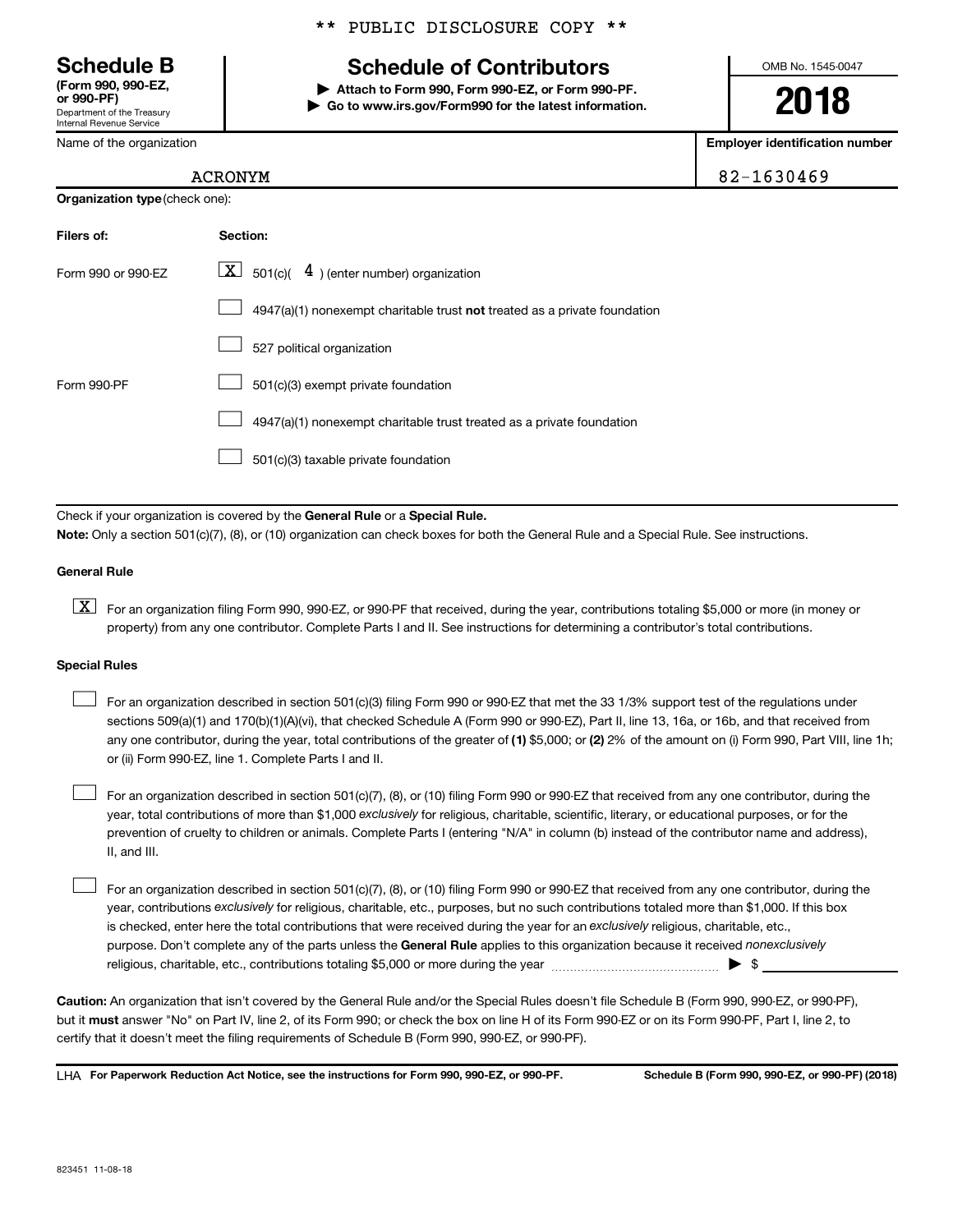Department of the Treasury Internal Revenue Service **(Form 990, 990-EZ,**

Name of the organization

**Organization type** (check one):

#### \*\* PUBLIC DISCLOSURE COPY \*\*

## **Schedule B Schedule of Contributors**

**or 990-PF) | Attach to Form 990, Form 990-EZ, or Form 990-PF. | Go to www.irs.gov/Form990 for the latest information.** OMB No. 1545-0047

**2018**

**Employer identification number**

|  | 32-1630469 |  |  |  |  |
|--|------------|--|--|--|--|
|  |            |  |  |  |  |

#### ACRONYM 8

| Filers of:         | <b>Section:</b>                                                           |
|--------------------|---------------------------------------------------------------------------|
| Form 990 or 990-EZ | $\lfloor \underline{X} \rfloor$ 501(c)( $4$ ) (enter number) organization |
|                    | 4947(a)(1) nonexempt charitable trust not treated as a private foundation |
|                    | 527 political organization                                                |
| Form 990-PF        | 501(c)(3) exempt private foundation                                       |
|                    | 4947(a)(1) nonexempt charitable trust treated as a private foundation     |
|                    | 501(c)(3) taxable private foundation                                      |

Check if your organization is covered by the General Rule or a Special Rule.

**Note:**  Only a section 501(c)(7), (8), or (10) organization can check boxes for both the General Rule and a Special Rule. See instructions.

#### **General Rule**

**K** For an organization filing Form 990, 990-EZ, or 990-PF that received, during the year, contributions totaling \$5,000 or more (in money or property) from any one contributor. Complete Parts I and II. See instructions for determining a contributor's total contributions.

#### **Special Rules**

 $\Box$ 

any one contributor, during the year, total contributions of the greater of (1) \$5,000; or (2) 2% of the amount on (i) Form 990, Part VIII, line 1h; For an organization described in section 501(c)(3) filing Form 990 or 990-EZ that met the 33 1/3% support test of the regulations under sections 509(a)(1) and 170(b)(1)(A)(vi), that checked Schedule A (Form 990 or 990-EZ), Part II, line 13, 16a, or 16b, and that received from or (ii) Form 990-EZ, line 1. Complete Parts I and II.  $\Box$ 

year, total contributions of more than \$1,000 *exclusively* for religious, charitable, scientific, literary, or educational purposes, or for the For an organization described in section 501(c)(7), (8), or (10) filing Form 990 or 990-EZ that received from any one contributor, during the prevention of cruelty to children or animals. Complete Parts I (entering "N/A" in column (b) instead of the contributor name and address), II, and III.  $\Box$ 

purpose. Don't complete any of the parts unless the General Rule applies to this organization because it received nonexclusively year, contributions exclusively for religious, charitable, etc., purposes, but no such contributions totaled more than \$1,000. If this box is checked, enter here the total contributions that were received during the year for an exclusively religious, charitable, etc., For an organization described in section 501(c)(7), (8), or (10) filing Form 990 or 990-EZ that received from any one contributor, during the religious, charitable, etc., contributions totaling \$5,000 or more during the year  $\ldots$  $\ldots$  $\ldots$  $\ldots$  $\ldots$  $\ldots$ 

**Caution:**  An organization that isn't covered by the General Rule and/or the Special Rules doesn't file Schedule B (Form 990, 990-EZ, or 990-PF),  **must** but it answer "No" on Part IV, line 2, of its Form 990; or check the box on line H of its Form 990-EZ or on its Form 990-PF, Part I, line 2, to certify that it doesn't meet the filing requirements of Schedule B (Form 990, 990-EZ, or 990-PF).

**For Paperwork Reduction Act Notice, see the instructions for Form 990, 990-EZ, or 990-PF. Schedule B (Form 990, 990-EZ, or 990-PF) (2018)** LHA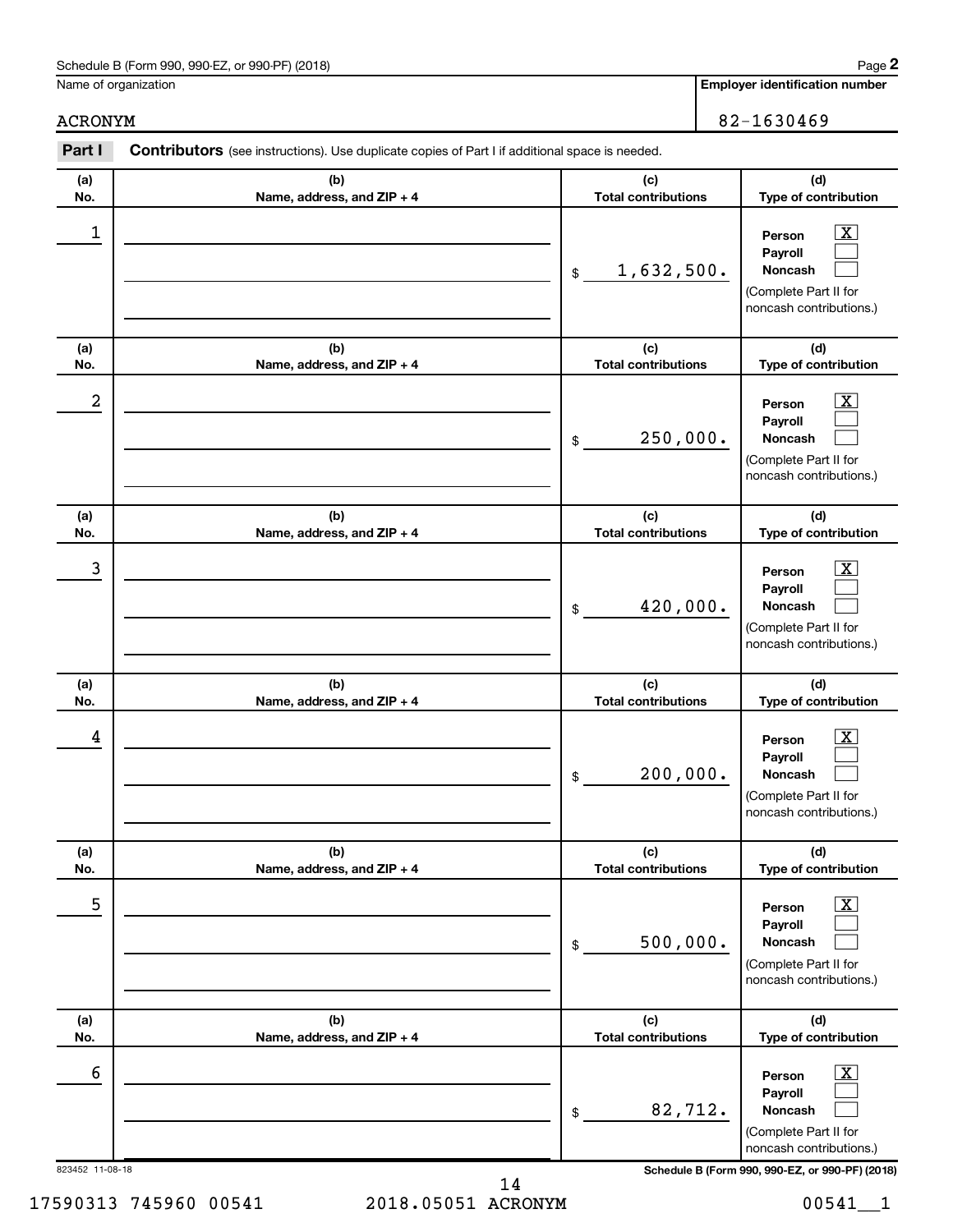Name of organization

**Employer identification number**

ACRONYM 82-1630469

| Part I               | Contributors (see instructions). Use duplicate copies of Part I if additional space is needed. |                                   |                                                                                                                                                                |
|----------------------|------------------------------------------------------------------------------------------------|-----------------------------------|----------------------------------------------------------------------------------------------------------------------------------------------------------------|
| (a)                  | (b)                                                                                            | (c)                               | (d)                                                                                                                                                            |
| No.                  | Name, address, and ZIP + 4                                                                     | <b>Total contributions</b>        | Type of contribution                                                                                                                                           |
| 1                    |                                                                                                | 1,632,500.<br>\$                  | $\overline{\text{X}}$<br>Person<br>Payroll<br><b>Noncash</b><br>(Complete Part II for<br>noncash contributions.)                                               |
| (a)                  | (b)                                                                                            | (c)                               | (d)                                                                                                                                                            |
| No.                  | Name, address, and ZIP + 4                                                                     | <b>Total contributions</b>        | Type of contribution                                                                                                                                           |
| $\boldsymbol{2}$     |                                                                                                | 250,000.<br>\$                    | $\overline{\text{X}}$<br>Person<br>Payroll<br><b>Noncash</b><br>(Complete Part II for<br>noncash contributions.)                                               |
| (a)<br>No.           | (b)<br>Name, address, and ZIP + 4                                                              | (c)<br><b>Total contributions</b> | (d)<br>Type of contribution                                                                                                                                    |
| 3                    |                                                                                                | 420,000.<br>\$                    | $\overline{\text{X}}$<br>Person<br>Payroll<br>Noncash<br>(Complete Part II for<br>noncash contributions.)                                                      |
| (a)<br>No.           | (b)<br>Name, address, and ZIP + 4                                                              | (c)<br><b>Total contributions</b> | (d)<br>Type of contribution                                                                                                                                    |
| 4                    |                                                                                                | 200,000.<br>\$                    | $\overline{\text{X}}$<br>Person<br>Payroll<br>Noncash<br>(Complete Part II for<br>noncash contributions.)                                                      |
| (a)<br>No.           | (b)<br>Name, address, and ZIP + 4                                                              | (c)<br><b>Total contributions</b> | (d)<br>Type of contribution                                                                                                                                    |
| 5                    |                                                                                                | 500,000.<br>\$                    | $\overline{\textbf{x}}$<br>Person<br>Payroll<br>Noncash<br>(Complete Part II for<br>noncash contributions.)                                                    |
| (a)<br>No.           | (b)<br>Name, address, and ZIP + 4                                                              | (c)<br><b>Total contributions</b> | (d)<br>Type of contribution                                                                                                                                    |
| 6<br>823452 11-08-18 |                                                                                                | 82,712.<br>\$                     | $\overline{\textbf{X}}$<br>Person<br>Payroll<br>Noncash<br>(Complete Part II for<br>noncash contributions.)<br>Schedule B (Form 990, 990-EZ, or 990-PF) (2018) |

17590313 745960 00541 2018.05051 ACRONYM 00541\_\_1 14

**2**

| <b>Employer identification r</b> |
|----------------------------------|
|----------------------------------|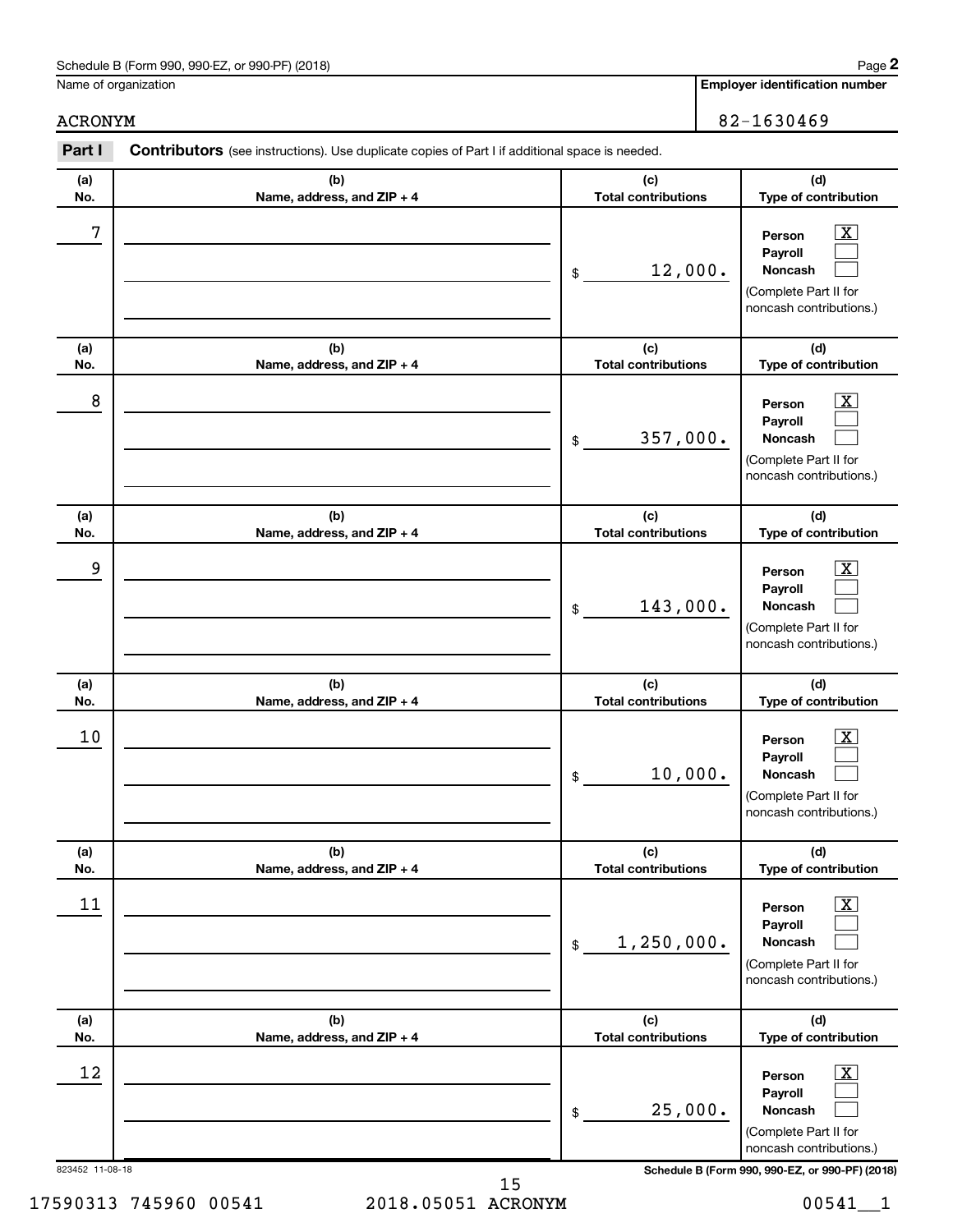Name of organization

**Employer identification number**

| Part I                | Contributors (see instructions). Use duplicate copies of Part I if additional space is needed. |                                                                                                                                                           |
|-----------------------|------------------------------------------------------------------------------------------------|-----------------------------------------------------------------------------------------------------------------------------------------------------------|
| (a)<br>No.            | (b)<br>Name, address, and ZIP + 4                                                              | (c)<br>(d)<br><b>Total contributions</b><br>Type of contribution                                                                                          |
| 7                     |                                                                                                | x<br>Person<br>Payroll<br>12,000.<br>Noncash<br>$\,$<br>(Complete Part II for<br>noncash contributions.)                                                  |
| (a)<br>No.            | (b)<br>Name, address, and ZIP + 4                                                              | (c)<br>(d)<br><b>Total contributions</b><br>Type of contribution                                                                                          |
| 8                     |                                                                                                | x<br>Person<br>Payroll<br>357,000.<br>Noncash<br>\$<br>(Complete Part II for<br>noncash contributions.)                                                   |
| (a)<br>No.            | (b)<br>Name, address, and ZIP + 4                                                              | (c)<br>(d)<br><b>Total contributions</b><br>Type of contribution                                                                                          |
| 9                     |                                                                                                | X<br>Person<br>Payroll<br>143,000.<br>Noncash<br>$\$$<br>(Complete Part II for<br>noncash contributions.)                                                 |
| (a)<br>No.            | (b)<br>Name, address, and ZIP + 4                                                              | (c)<br>(d)<br><b>Total contributions</b><br>Type of contribution                                                                                          |
| 10                    |                                                                                                | x.<br>Person<br>Payroll<br>10,000.<br>Noncash<br>\$<br>(Complete Part II for<br>noncash contributions.)                                                   |
| (a)<br>No.            | (b)<br>Name, address, and ZIP + 4                                                              | (d)<br>(c)<br><b>Total contributions</b><br>Type of contribution                                                                                          |
| 11                    |                                                                                                | х<br>Person<br>Payroll<br>1, 250, 000.<br>Noncash<br>\$<br>(Complete Part II for<br>noncash contributions.)                                               |
| (a)<br>No.            | (b)<br>Name, address, and ZIP + 4                                                              | (c)<br>(d)<br><b>Total contributions</b><br>Type of contribution                                                                                          |
| 12<br>823452 11-08-18 |                                                                                                | х<br>Person<br>Payroll<br>25,000.<br>Noncash<br>\$<br>(Complete Part II for<br>noncash contributions.)<br>Schedule B (Form 990, 990-EZ, or 990-PF) (2018) |

17590313 745960 00541 2018.05051 ACRONYM 00541\_\_1 15

## ACRONYM 82-1630469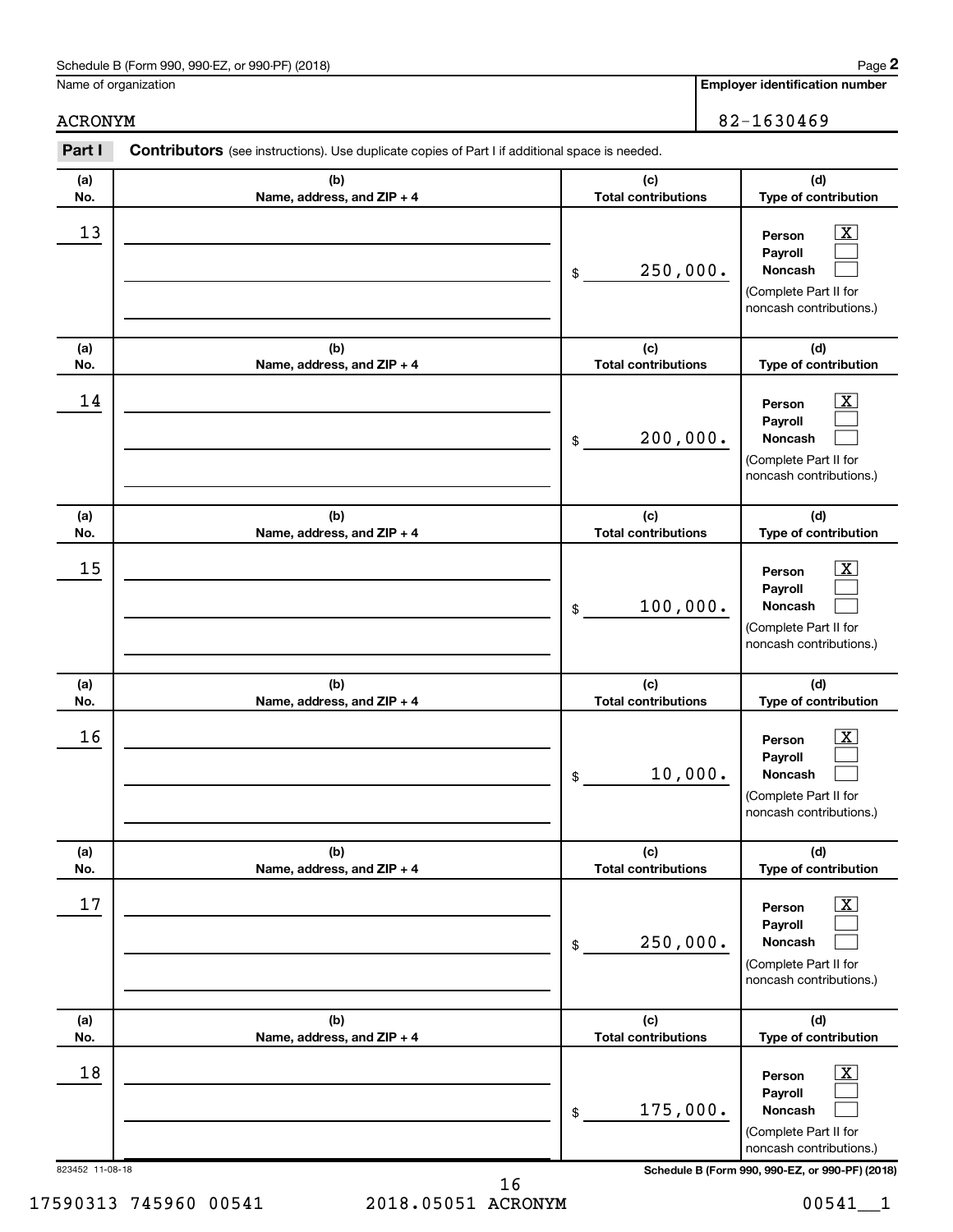Name of organization

**Employer identification number**

ACRONYM 82-1630469

| Part I          | Contributors (see instructions). Use duplicate copies of Part I if additional space is needed. |                                   |                                                                                                          |
|-----------------|------------------------------------------------------------------------------------------------|-----------------------------------|----------------------------------------------------------------------------------------------------------|
| (a)<br>No.      | (b)<br>Name, address, and ZIP + 4                                                              | (c)<br><b>Total contributions</b> | (d)<br>Type of contribution                                                                              |
| 13              |                                                                                                | 250,000.<br>\$                    | $\boxed{\textbf{X}}$<br>Person<br>Payroll<br>Noncash<br>(Complete Part II for<br>noncash contributions.) |
| (a)<br>No.      | (b)<br>Name, address, and ZIP + 4                                                              | (c)<br><b>Total contributions</b> | (d)<br>Type of contribution                                                                              |
| 14              |                                                                                                | 200,000.<br>\$                    | $\boxed{\textbf{X}}$<br>Person<br>Payroll<br>Noncash<br>(Complete Part II for<br>noncash contributions.) |
| (a)<br>No.      | (b)<br>Name, address, and ZIP + 4                                                              | (c)<br><b>Total contributions</b> | (d)<br>Type of contribution                                                                              |
| 15              |                                                                                                | 100,000.<br>\$                    | $\boxed{\textbf{X}}$<br>Person<br>Payroll<br>Noncash<br>(Complete Part II for<br>noncash contributions.) |
| (a)<br>No.      | (b)<br>Name, address, and ZIP + 4                                                              | (c)<br><b>Total contributions</b> | (d)<br>Type of contribution                                                                              |
| 16              |                                                                                                | 10,000.<br>\$                     | $\mathbf{X}$<br>Person<br>Payroll<br>Noncash<br>(Complete Part II for<br>noncash contributions.)         |
| (a)<br>No.      | (b)<br>Name, address, and ZIP + 4                                                              | (c)<br><b>Total contributions</b> | (d)<br>Type of contribution                                                                              |
| 17              |                                                                                                | 250,000.<br>$\frac{1}{2}$         | $\boxed{\text{X}}$<br>Person<br>Payroll<br>Noncash<br>(Complete Part II for<br>noncash contributions.)   |
| (a)<br>No.      | (b)<br>Name, address, and ZIP + 4                                                              | (c)<br><b>Total contributions</b> | (d)<br>Type of contribution                                                                              |
| 18              |                                                                                                | 175,000.<br>$\frac{1}{2}$         | $\boxed{\text{X}}$<br>Person<br>Payroll<br>Noncash<br>(Complete Part II for<br>noncash contributions.)   |
| 823452 11-08-18 |                                                                                                |                                   | Schedule B (Form 990, 990-EZ, or 990-PF) (2018)                                                          |

16

17590313 745960 00541 2018.05051 ACRONYM 00541\_\_1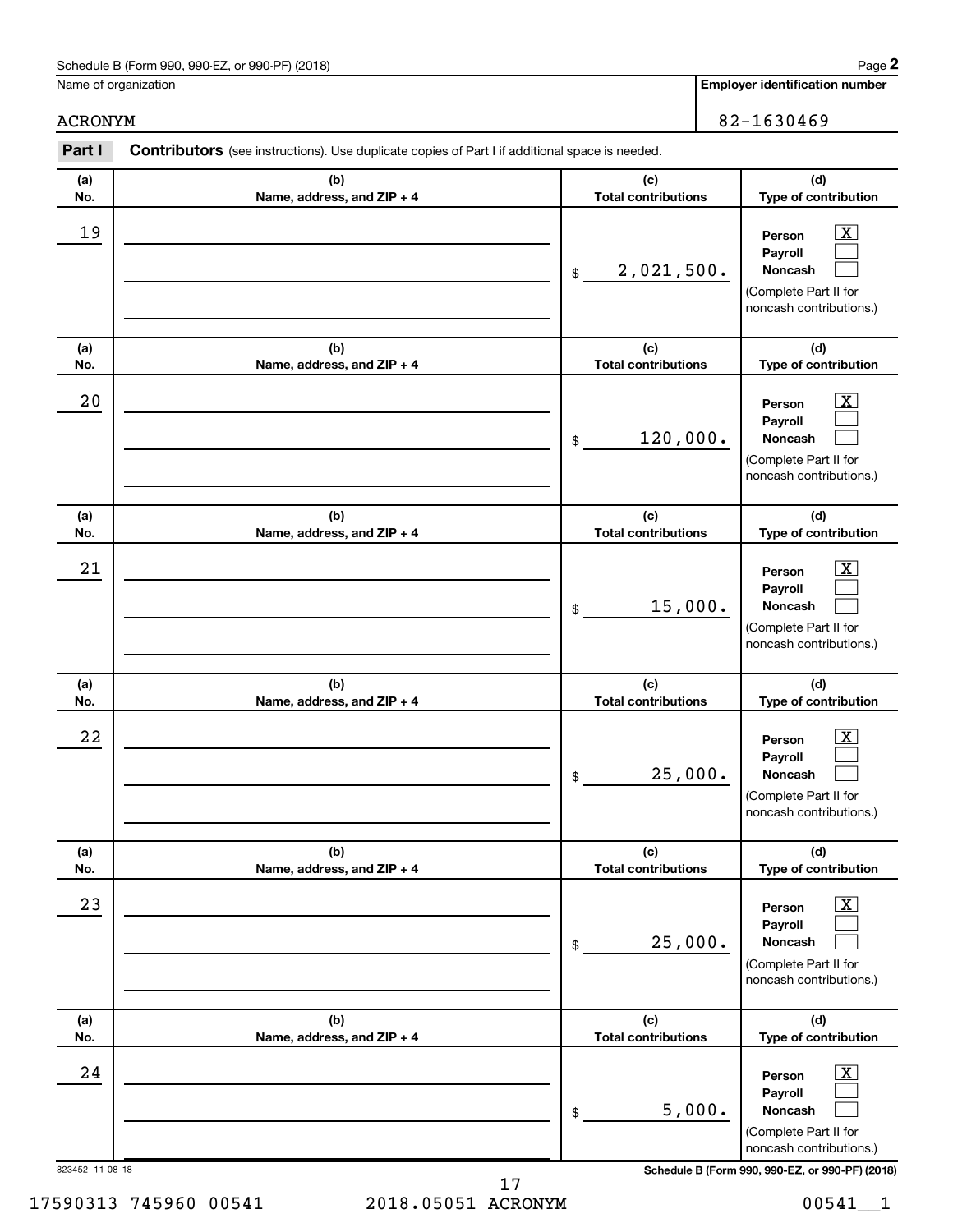Name of organization

**Employer identification number**

ACRONYM 82-1630469

| Part I          | Contributors (see instructions). Use duplicate copies of Part I if additional space is needed. |                                                                                                                 |                                                                                                             |
|-----------------|------------------------------------------------------------------------------------------------|-----------------------------------------------------------------------------------------------------------------|-------------------------------------------------------------------------------------------------------------|
| (a)<br>No.      | (b)<br>Name, address, and ZIP + 4                                                              | (c)<br><b>Total contributions</b>                                                                               | (d)<br>Type of contribution                                                                                 |
| 19              |                                                                                                | Person<br>Payroll<br>2,021,500.<br>Noncash<br>$\frac{1}{2}$<br>(Complete Part II for<br>noncash contributions.) |                                                                                                             |
| (a)<br>No.      | (b)<br>Name, address, and ZIP + 4                                                              | (c)<br><b>Total contributions</b>                                                                               | (d)<br>Type of contribution                                                                                 |
| 20              |                                                                                                | 120,000.<br>$$\mathbb{S}$$                                                                                      | $\mathbf{X}$<br>Person<br>Payroll<br>Noncash<br>(Complete Part II for<br>noncash contributions.)            |
| (a)<br>No.      | (b)<br>Name, address, and ZIP + 4                                                              | (c)<br><b>Total contributions</b>                                                                               | (d)<br>Type of contribution                                                                                 |
| 21              |                                                                                                | 15,000.<br>\$                                                                                                   | $\overline{\mathbf{X}}$<br>Person<br>Payroll<br>Noncash<br>(Complete Part II for<br>noncash contributions.) |
| (a)<br>No.      | (b)<br>Name, address, and ZIP + 4                                                              | (c)<br><b>Total contributions</b>                                                                               | (d)<br>Type of contribution                                                                                 |
| 22              |                                                                                                | 25,000.<br>$\,$                                                                                                 | $\overline{\mathbf{X}}$<br>Person<br>Payroll<br>Noncash<br>(Complete Part II for<br>noncash contributions.) |
| (a)<br>No.      | (b)<br>Name, address, and ZIP + 4                                                              | (c)<br><b>Total contributions</b>                                                                               | (d)<br>Type of contribution                                                                                 |
| 23              |                                                                                                | 25,000.<br>\$                                                                                                   | $\overline{\text{X}}$<br>Person<br>Payroll<br>Noncash<br>(Complete Part II for<br>noncash contributions.)   |
| (a)<br>No.      | (b)<br>Name, address, and ZIP + 4                                                              | (c)<br><b>Total contributions</b>                                                                               | (d)<br>Type of contribution                                                                                 |
| 24              |                                                                                                | 5,000.<br>\$                                                                                                    | $\overline{\text{X}}$<br>Person<br>Payroll<br>Noncash<br>(Complete Part II for<br>noncash contributions.)   |
| 823452 11-08-18 |                                                                                                |                                                                                                                 | Schedule B (Form 990, 990-EZ, or 990-PF) (2018)                                                             |

17

17590313 745960 00541 2018.05051 ACRONYM 00541\_\_1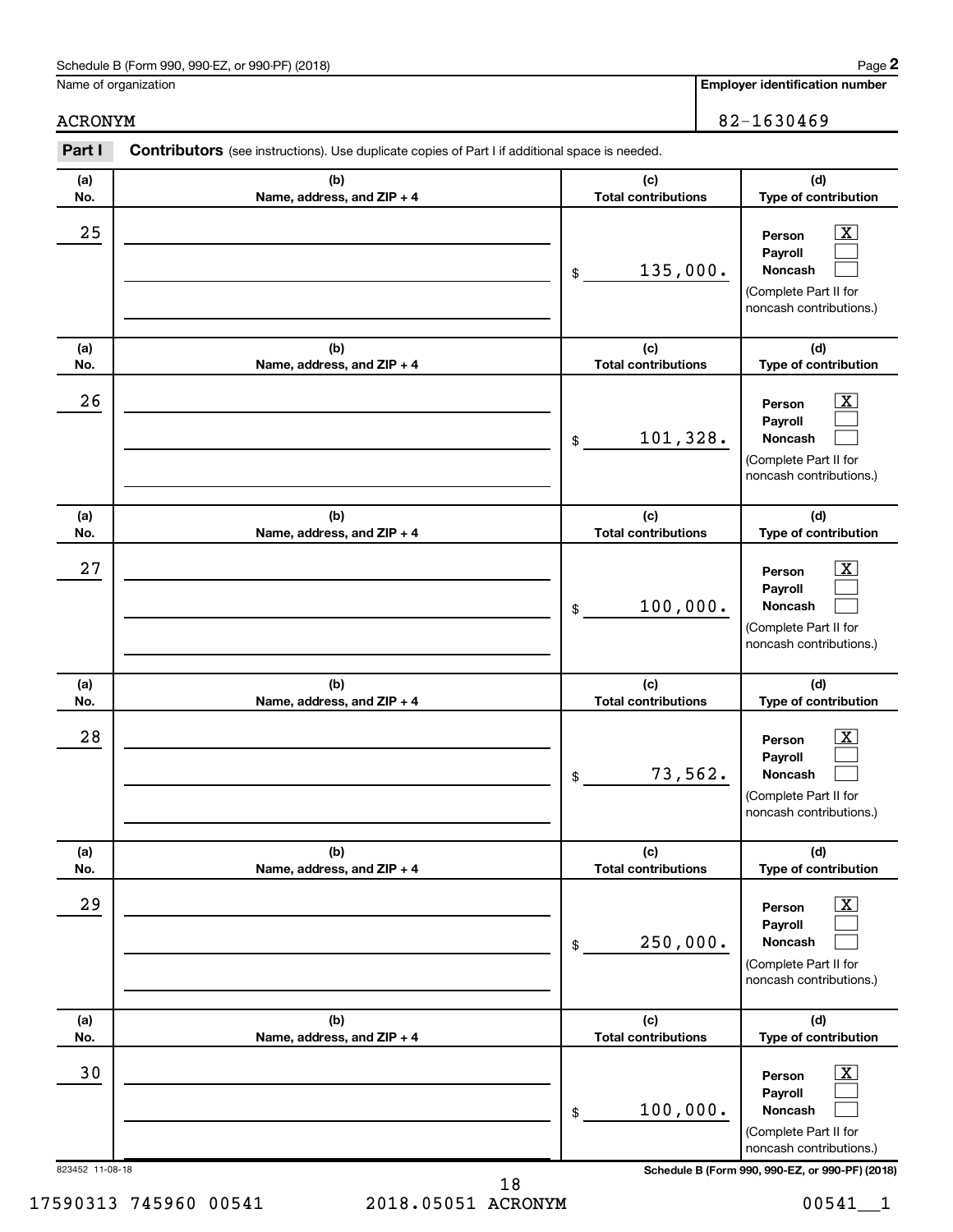Name of organization

**Employer identification number**

ACRONYM 82-1630469

| Part I          | Contributors (see instructions). Use duplicate copies of Part I if additional space is needed. |                                                                                                                            |                                                                                                             |
|-----------------|------------------------------------------------------------------------------------------------|----------------------------------------------------------------------------------------------------------------------------|-------------------------------------------------------------------------------------------------------------|
| (a)<br>No.      | (b)<br>Name, address, and ZIP + 4                                                              | (c)<br><b>Total contributions</b>                                                                                          | (d)<br>Type of contribution                                                                                 |
| 25              |                                                                                                | $\boxed{\textbf{X}}$<br>Person<br>Payroll<br>135,000.<br>Noncash<br>\$<br>(Complete Part II for<br>noncash contributions.) |                                                                                                             |
| (a)<br>No.      | (b)<br>Name, address, and ZIP + 4                                                              | (c)<br><b>Total contributions</b>                                                                                          | (d)<br>Type of contribution                                                                                 |
| 26              |                                                                                                | 101,328.<br>\$                                                                                                             | $\mathbf{X}$<br>Person<br>Payroll<br>Noncash<br>(Complete Part II for<br>noncash contributions.)            |
| (a)<br>No.      | (b)<br>Name, address, and ZIP + 4                                                              | (c)<br><b>Total contributions</b>                                                                                          | (d)<br>Type of contribution                                                                                 |
| 27              |                                                                                                | 100,000.<br>$\$\$                                                                                                          | $\overline{\mathbf{X}}$<br>Person<br>Payroll<br>Noncash<br>(Complete Part II for<br>noncash contributions.) |
| (a)<br>No.      | (b)<br>Name, address, and ZIP + 4                                                              | (c)<br><b>Total contributions</b>                                                                                          | (d)<br>Type of contribution                                                                                 |
| 28              |                                                                                                | 73,562.<br>\$                                                                                                              | $\overline{\mathbf{X}}$<br>Person<br>Payroll<br>Noncash<br>(Complete Part II for<br>noncash contributions.) |
| (a)<br>No.      | (b)<br>Name, address, and ZIP + 4                                                              | (c)<br><b>Total contributions</b>                                                                                          | (d)<br>Type of contribution                                                                                 |
| 29              |                                                                                                | 250,000.<br>\$                                                                                                             | $\overline{\mathbf{X}}$<br>Person<br>Payroll<br>Noncash<br>(Complete Part II for<br>noncash contributions.) |
| (a)<br>No.      | (b)<br>Name, address, and ZIP + 4                                                              | (c)<br><b>Total contributions</b>                                                                                          | (d)<br>Type of contribution                                                                                 |
| 30              |                                                                                                | 100,000.<br>\$                                                                                                             | $\overline{\mathbf{X}}$<br>Person<br>Payroll<br>Noncash<br>(Complete Part II for<br>noncash contributions.) |
| 823452 11-08-18 |                                                                                                |                                                                                                                            | Schedule B (Form 990, 990-EZ, or 990-PF) (2018)                                                             |

17590313 745960 00541 2018.05051 ACRONYM 00541\_\_1 18

**2**

|  | ,我们也不会有一个人的事情。""我们的人,我们也不会有一个人的人,我们也不会有一个人的人,我们也不会有一个人的人,我们也不会有一个人的人,我们也不会有一个人的人,<br>第二百一十一章 第二百一十二章 第二百一十二章 第二百一十二章 第二百一十二章 第二百一十二章 第二百一十二章 第二百一十二章 第二百一十二章 第二百一十二章 |
|--|----------------------------------------------------------------------------------------------------------------------------------------------------------------------|
|  |                                                                                                                                                                      |
|  |                                                                                                                                                                      |
|  |                                                                                                                                                                      |
|  |                                                                                                                                                                      |
|  |                                                                                                                                                                      |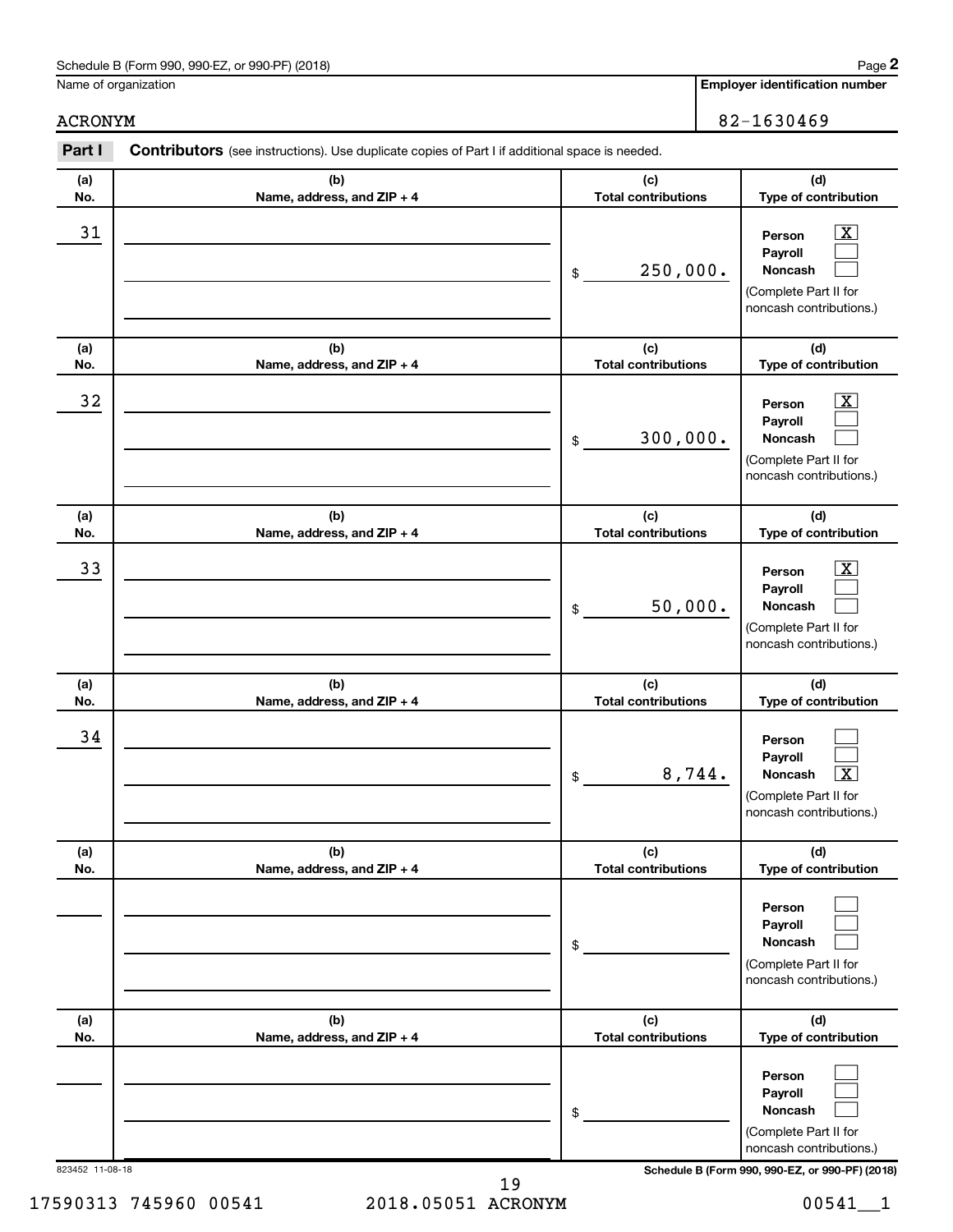Name of organization

**Employer identification number**

ACRONYM 82-1630469

| Part I          | Contributors (see instructions). Use duplicate copies of Part I if additional space is needed. |                                   |                                                                                                             |
|-----------------|------------------------------------------------------------------------------------------------|-----------------------------------|-------------------------------------------------------------------------------------------------------------|
| (a)<br>No.      | (b)<br>Name, address, and ZIP + 4                                                              | (c)<br><b>Total contributions</b> | (d)<br>Type of contribution                                                                                 |
| 31              |                                                                                                | 250,000.<br>\$                    | $\overline{\text{X}}$<br>Person<br>Payroll<br>Noncash<br>(Complete Part II for<br>noncash contributions.)   |
| (a)<br>No.      | (b)<br>Name, address, and ZIP + 4                                                              | (c)<br><b>Total contributions</b> | (d)<br>Type of contribution                                                                                 |
| 32              |                                                                                                | 300,000.<br>\$                    | $\overline{\mathbf{X}}$<br>Person<br>Payroll<br>Noncash<br>(Complete Part II for<br>noncash contributions.) |
| (a)<br>No.      | (b)<br>Name, address, and ZIP + 4                                                              | (c)<br><b>Total contributions</b> | (d)<br>Type of contribution                                                                                 |
| 33              |                                                                                                | 50,000.<br>\$                     | $\overline{\mathbf{X}}$<br>Person<br>Payroll<br>Noncash<br>(Complete Part II for<br>noncash contributions.) |
| (a)<br>No.      | (b)<br>Name, address, and ZIP + 4                                                              | (c)<br><b>Total contributions</b> | (d)<br>Type of contribution                                                                                 |
| 34              |                                                                                                | 8,744.<br>\$                      | Person<br>Payroll<br>Noncash<br>$\overline{\textbf{X}}$<br>(Complete Part II for<br>noncash contributions.) |
| (a)<br>No.      | (b)<br>Name, address, and ZIP + 4                                                              | (c)<br><b>Total contributions</b> | (d)<br>Type of contribution                                                                                 |
|                 |                                                                                                | \$                                | Person<br>Payroll<br>Noncash<br>(Complete Part II for<br>noncash contributions.)                            |
| (a)<br>No.      | (b)<br>Name, address, and ZIP + 4                                                              | (c)<br><b>Total contributions</b> | (d)<br>Type of contribution                                                                                 |
|                 |                                                                                                | \$                                | Person<br>Payroll<br>Noncash<br>(Complete Part II for<br>noncash contributions.)                            |
| 823452 11-08-18 |                                                                                                |                                   | Schedule B (Form 990, 990-EZ, or 990-PF) (2018)                                                             |

17590313 745960 00541 2018.05051 ACRONYM 00541\_\_1 19

**2**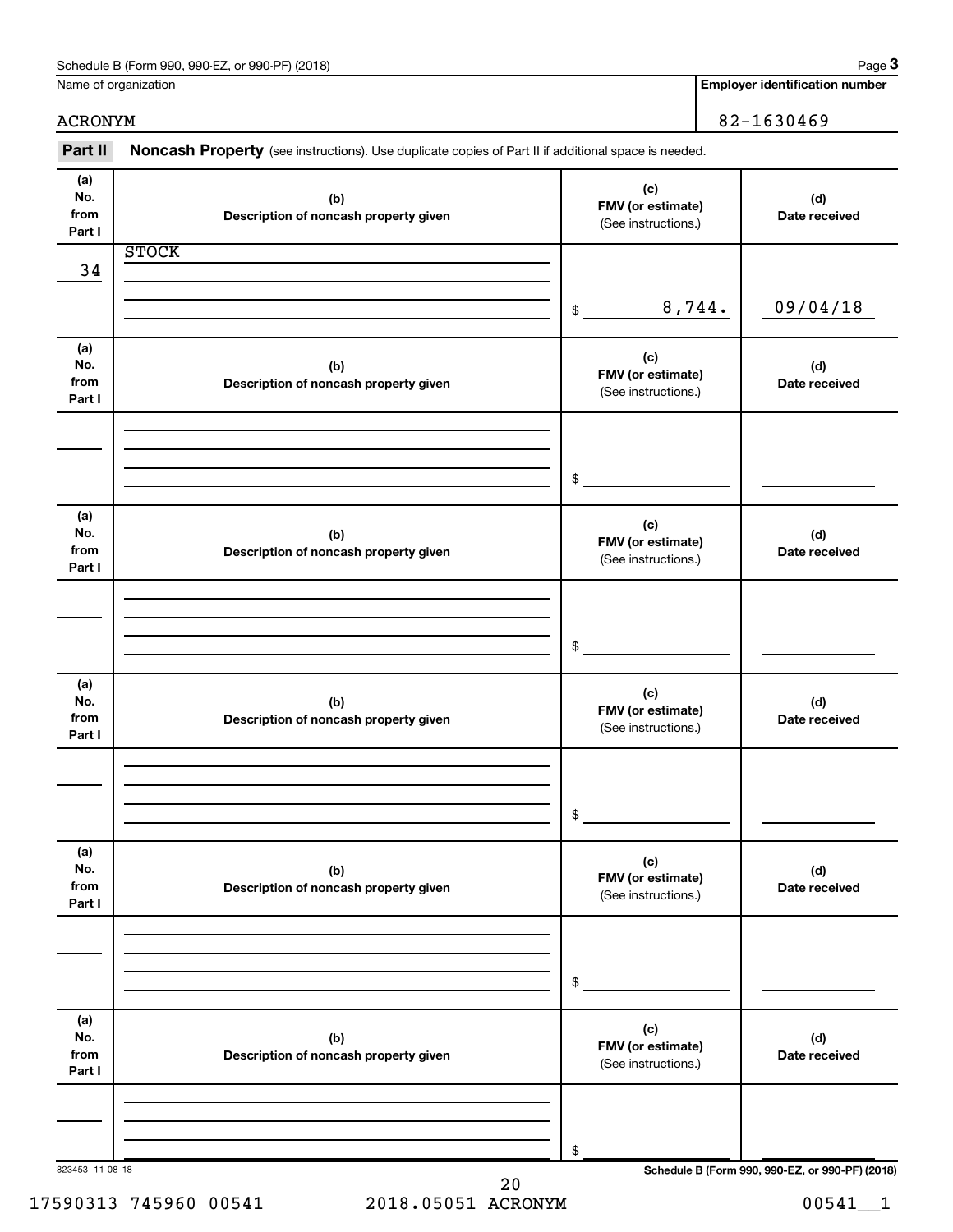|                              | Schedule B (Form 990, 990-EZ, or 990-PF) (2018)<br>Name of organization                             |                                                 | Page 3<br><b>Employer identification number</b> |
|------------------------------|-----------------------------------------------------------------------------------------------------|-------------------------------------------------|-------------------------------------------------|
|                              |                                                                                                     |                                                 |                                                 |
| <b>ACRONYM</b>               |                                                                                                     |                                                 | 82-1630469                                      |
| Part II                      | Noncash Property (see instructions). Use duplicate copies of Part II if additional space is needed. |                                                 |                                                 |
| (a)<br>No.<br>from<br>Part I | (b)<br>Description of noncash property given                                                        | (c)<br>FMV (or estimate)<br>(See instructions.) | (d)<br>Date received                            |
| 34                           | <b>STOCK</b>                                                                                        |                                                 |                                                 |
|                              |                                                                                                     | \$                                              | 8,744.<br>09/04/18                              |
| (a)<br>No.<br>from<br>Part I | (b)<br>Description of noncash property given                                                        | (c)<br>FMV (or estimate)<br>(See instructions.) | (d)<br>Date received                            |
|                              |                                                                                                     | \$                                              |                                                 |
| (a)<br>No.<br>from<br>Part I | (b)<br>Description of noncash property given                                                        | (c)<br>FMV (or estimate)<br>(See instructions.) | (d)<br>Date received                            |
|                              |                                                                                                     | \$                                              |                                                 |
| (a)<br>No.<br>from<br>Part I | (b)<br>Description of noncash property given                                                        | (c)<br>FMV (or estimate)<br>(See instructions.) | (d)<br>Date received                            |
|                              |                                                                                                     | \$                                              |                                                 |
| (a)<br>No.<br>from<br>Part I | (b)<br>Description of noncash property given                                                        | (c)<br>FMV (or estimate)<br>(See instructions.) | (d)<br>Date received                            |
|                              |                                                                                                     | \$                                              |                                                 |
| (a)<br>No.<br>from<br>Part I | (b)<br>Description of noncash property given                                                        | (c)<br>FMV (or estimate)<br>(See instructions.) | (d)<br>Date received                            |
| 823453 11-08-18              |                                                                                                     | \$                                              | Schedule B (Form 990, 990-EZ, or 990-PF) (2018) |

20

### $Schadule B (Form 990, 990-EZ or 990-EF) (2018)$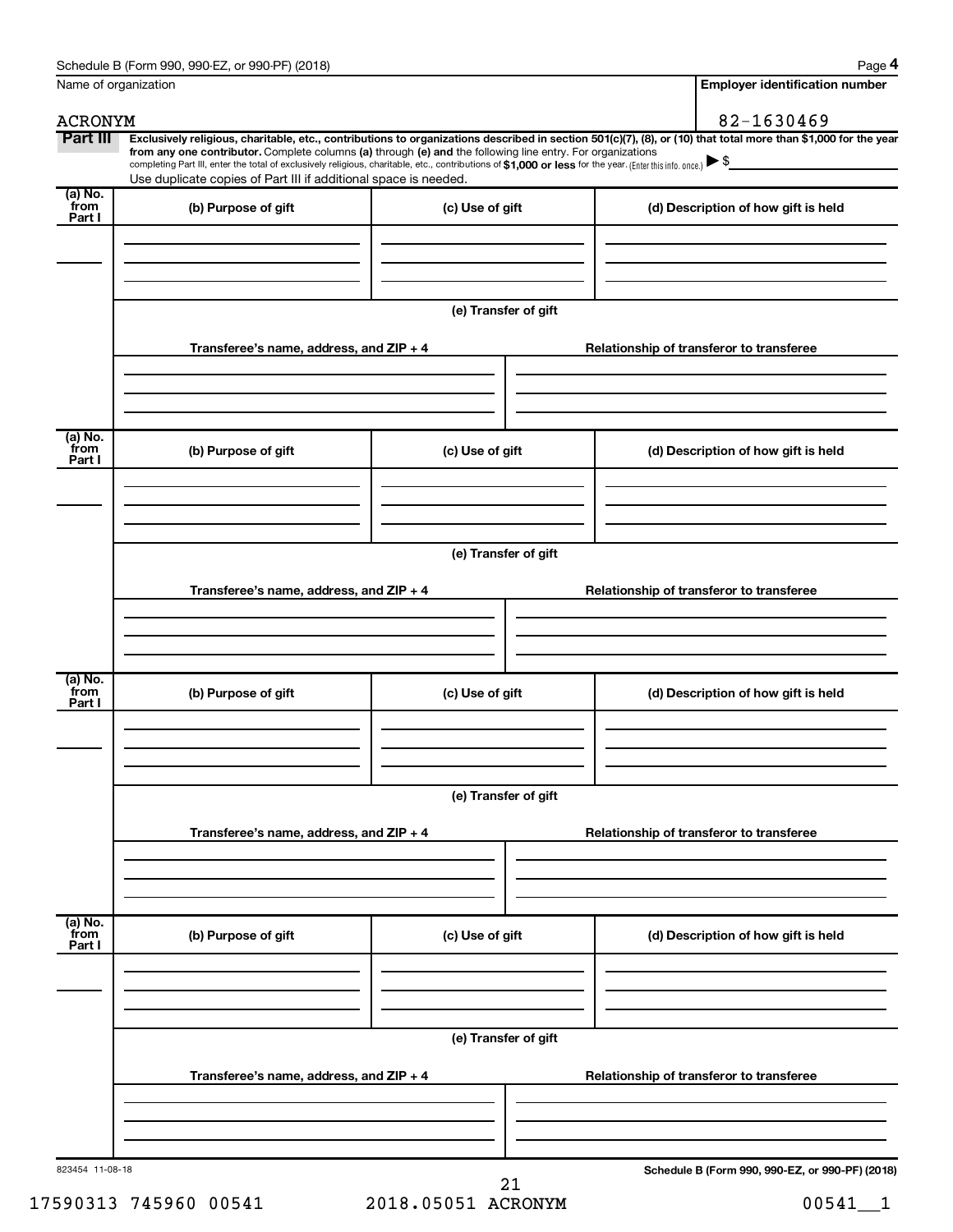|                           | Name of organization                                                                                                                                                                                                                                                                                                                      |                      | <b>Employer identification number</b>                                                                                                                          |
|---------------------------|-------------------------------------------------------------------------------------------------------------------------------------------------------------------------------------------------------------------------------------------------------------------------------------------------------------------------------------------|----------------------|----------------------------------------------------------------------------------------------------------------------------------------------------------------|
| <b>ACRONYM</b>            |                                                                                                                                                                                                                                                                                                                                           |                      | 82-1630469                                                                                                                                                     |
| Part III                  | from any one contributor. Complete columns (a) through (e) and the following line entry. For organizations<br>completing Part III, enter the total of exclusively religious, charitable, etc., contributions of \$1,000 or less for the year. (Enter this info. once.)<br>Use duplicate copies of Part III if additional space is needed. |                      | Exclusively religious, charitable, etc., contributions to organizations described in section 501(c)(7), (8), or (10) that total more than \$1,000 for the year |
| (a) No.<br>from<br>Part I | (b) Purpose of gift                                                                                                                                                                                                                                                                                                                       | (c) Use of gift      | (d) Description of how gift is held                                                                                                                            |
|                           |                                                                                                                                                                                                                                                                                                                                           |                      |                                                                                                                                                                |
|                           |                                                                                                                                                                                                                                                                                                                                           | (e) Transfer of gift |                                                                                                                                                                |
|                           | Transferee's name, address, and ZIP + 4                                                                                                                                                                                                                                                                                                   |                      | Relationship of transferor to transferee                                                                                                                       |
| (a) No.                   |                                                                                                                                                                                                                                                                                                                                           |                      |                                                                                                                                                                |
| from<br>Part I            | (b) Purpose of gift                                                                                                                                                                                                                                                                                                                       | (c) Use of gift      | (d) Description of how gift is held                                                                                                                            |
|                           |                                                                                                                                                                                                                                                                                                                                           |                      |                                                                                                                                                                |
|                           | Transferee's name, address, and ZIP + 4                                                                                                                                                                                                                                                                                                   | (e) Transfer of gift | Relationship of transferor to transferee                                                                                                                       |
|                           |                                                                                                                                                                                                                                                                                                                                           |                      |                                                                                                                                                                |
| (a) No.<br>from<br>Part I | (b) Purpose of gift                                                                                                                                                                                                                                                                                                                       | (c) Use of gift      | (d) Description of how gift is held                                                                                                                            |
|                           |                                                                                                                                                                                                                                                                                                                                           | (e) Transfer of gift |                                                                                                                                                                |
|                           | Transferee's name, address, and ZIP + 4                                                                                                                                                                                                                                                                                                   |                      | Relationship of transferor to transferee                                                                                                                       |
| (a) No.<br>from<br>Part I | (b) Purpose of gift                                                                                                                                                                                                                                                                                                                       | (c) Use of gift      | (d) Description of how gift is held                                                                                                                            |
|                           |                                                                                                                                                                                                                                                                                                                                           |                      |                                                                                                                                                                |
|                           |                                                                                                                                                                                                                                                                                                                                           | (e) Transfer of gift |                                                                                                                                                                |
|                           | Transferee's name, address, and ZIP + 4                                                                                                                                                                                                                                                                                                   |                      | Relationship of transferor to transferee                                                                                                                       |
|                           |                                                                                                                                                                                                                                                                                                                                           |                      |                                                                                                                                                                |
| 823454 11-08-18           |                                                                                                                                                                                                                                                                                                                                           | 21                   | Schedule B (Form 990, 990-EZ, or 990-PF) (2018)                                                                                                                |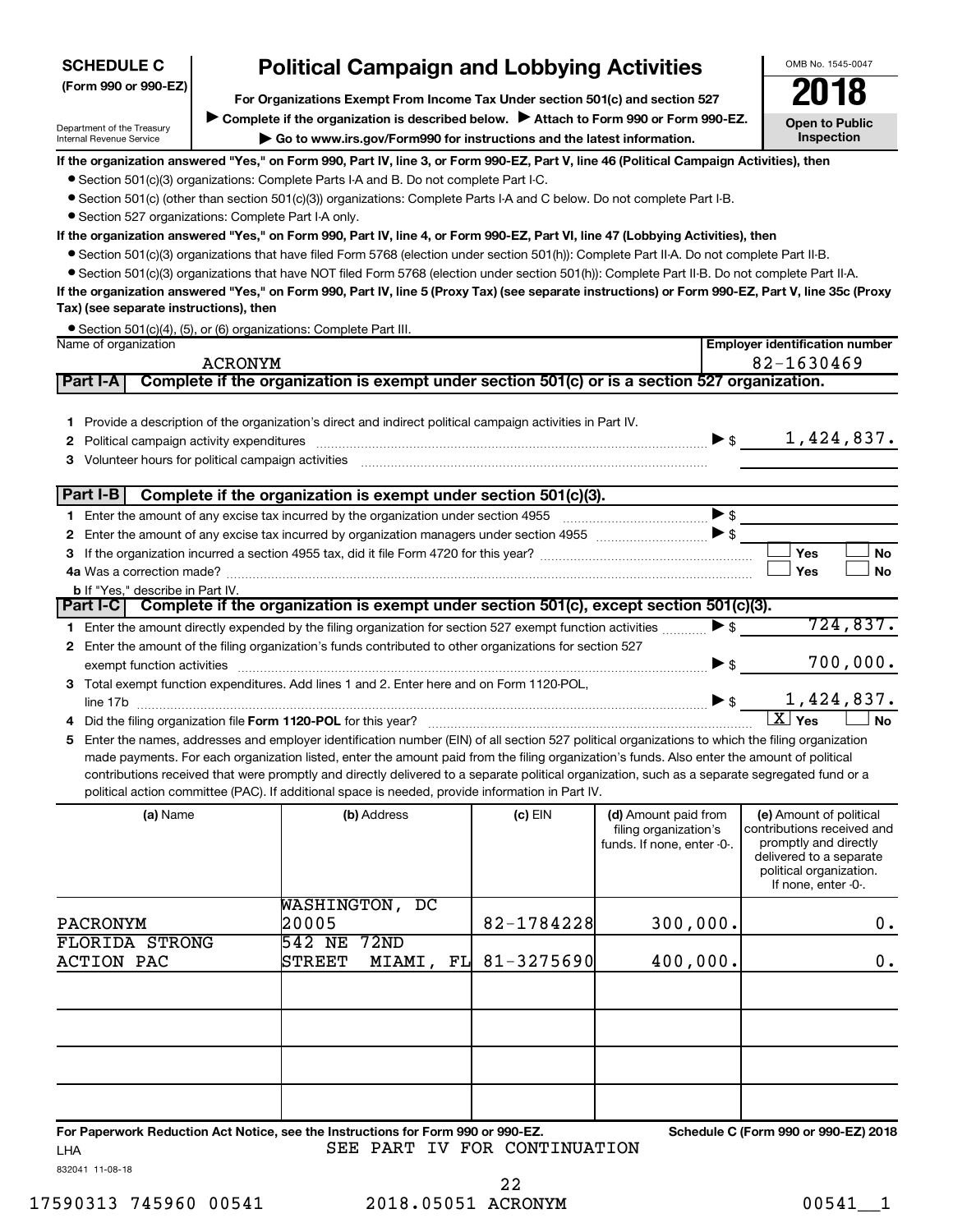#### **(Form 990 or 990-EZ) SCHEDULE C**

# **Political Campaign and Lobbying Activities**<br> **Croanizations Exempt From Income Tax Under section 501(c) and section 527**

**For Organizations Exempt From Income Tax Under section 501(c) and section 527**

Complete if the organization is described below. <br>
> Attach to Form 990 or Form 990-EZ. **| Go to www.irs.gov/Form990 for instructions and the latest information.**

**Open to Public Inspection**

OMB No. 1545-0047

Department of the Treasury - -,<br>Internal Revenue Service

**If the organization answered "Yes," on Form 990, Part IV, line 3, or Form 990-EZ, Part V, line 46 (Political Campaign Activities), then**

• Section 501(c)(3) organizations: Complete Parts I-A and B. Do not complete Part I-C.

• Section 501(c) (other than section 501(c)(3)) organizations: Complete Parts I-A and C below. Do not complete Part I-B.

• Section 527 organizations: Complete Part I-A only.

**If the organization answered "Yes," on Form 990, Part IV, line 4, or Form 990-EZ, Part VI, line 47 (Lobbying Activities), then**

• Section 501(c)(3) organizations that have filed Form 5768 (election under section 501(h)): Complete Part II-A. Do not complete Part II-B.

• Section 501(c)(3) organizations that have NOT filed Form 5768 (election under section 501(h)): Complete Part II-B. Do not complete Part II-A.

**If the organization answered "Yes," on Form 990, Part IV, line 5 (Proxy Tax) (see separate instructions) or Form 990-EZ, Part V, line 35c (Proxy Tax) (see separate instructions), then**

• Section 501(c)(4), (5), or (6) organizations: Complete Part III.

|   | Name of organization                                                                                                                                                                                                                                                               |                                                                                                                                                                                                                                                                                                                                                                                                   | <b>Employer identification number</b> |                          |                                        |  |
|---|------------------------------------------------------------------------------------------------------------------------------------------------------------------------------------------------------------------------------------------------------------------------------------|---------------------------------------------------------------------------------------------------------------------------------------------------------------------------------------------------------------------------------------------------------------------------------------------------------------------------------------------------------------------------------------------------|---------------------------------------|--------------------------|----------------------------------------|--|
|   | <b>ACRONYM</b>                                                                                                                                                                                                                                                                     |                                                                                                                                                                                                                                                                                                                                                                                                   |                                       |                          | 82-1630469                             |  |
|   | Part I-A                                                                                                                                                                                                                                                                           | Complete if the organization is exempt under section 501(c) or is a section 527 organization.                                                                                                                                                                                                                                                                                                     |                                       |                          |                                        |  |
|   |                                                                                                                                                                                                                                                                                    | 1 Provide a description of the organization's direct and indirect political campaign activities in Part IV.                                                                                                                                                                                                                                                                                       |                                       |                          | 1,424,837.<br>$\blacktriangleright$ \$ |  |
|   | Part I-B                                                                                                                                                                                                                                                                           | Complete if the organization is exempt under section 501(c)(3).                                                                                                                                                                                                                                                                                                                                   |                                       |                          |                                        |  |
|   |                                                                                                                                                                                                                                                                                    |                                                                                                                                                                                                                                                                                                                                                                                                   |                                       |                          |                                        |  |
|   |                                                                                                                                                                                                                                                                                    | 2 Enter the amount of any excise tax incurred by organization managers under section 4955 [1001] [1001] 5                                                                                                                                                                                                                                                                                         |                                       |                          |                                        |  |
|   |                                                                                                                                                                                                                                                                                    |                                                                                                                                                                                                                                                                                                                                                                                                   |                                       |                          | Yes<br><b>No</b>                       |  |
|   |                                                                                                                                                                                                                                                                                    |                                                                                                                                                                                                                                                                                                                                                                                                   |                                       |                          | Yes<br><b>No</b>                       |  |
|   | <b>b</b> If "Yes." describe in Part IV.                                                                                                                                                                                                                                            |                                                                                                                                                                                                                                                                                                                                                                                                   |                                       |                          |                                        |  |
|   |                                                                                                                                                                                                                                                                                    | Part I-C Complete if the organization is exempt under section 501(c), except section 501(c)(3).                                                                                                                                                                                                                                                                                                   |                                       |                          |                                        |  |
|   |                                                                                                                                                                                                                                                                                    | 1 Enter the amount directly expended by the filing organization for section 527 exempt function activities                                                                                                                                                                                                                                                                                        |                                       | $\blacktriangleright$ \$ | 724,837.                               |  |
|   |                                                                                                                                                                                                                                                                                    | 2 Enter the amount of the filing organization's funds contributed to other organizations for section 527                                                                                                                                                                                                                                                                                          |                                       |                          | 700,000.                               |  |
|   | exempt function activities                                                                                                                                                                                                                                                         |                                                                                                                                                                                                                                                                                                                                                                                                   |                                       | $\blacktriangleright$ \$ |                                        |  |
|   |                                                                                                                                                                                                                                                                                    | 3 Total exempt function expenditures. Add lines 1 and 2. Enter here and on Form 1120-POL,                                                                                                                                                                                                                                                                                                         |                                       | $\blacktriangleright$ \$ | 1,424,837.                             |  |
|   | line 17b<br>Did the filing organization file Form 1120-POL for this year?                                                                                                                                                                                                          |                                                                                                                                                                                                                                                                                                                                                                                                   |                                       |                          | $\overline{X}$ Yes<br><b>No</b>        |  |
| 5 |                                                                                                                                                                                                                                                                                    | Enter the names, addresses and employer identification number (EIN) of all section 527 political organizations to which the filing organization                                                                                                                                                                                                                                                   |                                       |                          |                                        |  |
|   |                                                                                                                                                                                                                                                                                    | made payments. For each organization listed, enter the amount paid from the filing organization's funds. Also enter the amount of political<br>contributions received that were promptly and directly delivered to a separate political organization, such as a separate segregated fund or a<br>political action committee (PAC). If additional space is needed, provide information in Part IV. |                                       |                          |                                        |  |
|   | (a) Name<br>(b) Address<br>$(c)$ EIN<br>(d) Amount paid from<br>(e) Amount of political<br>filing organization's<br>contributions received and<br>promptly and directly<br>funds. If none, enter -0-.<br>delivered to a separate<br>political organization.<br>If none, enter -0-. |                                                                                                                                                                                                                                                                                                                                                                                                   |                                       |                          |                                        |  |
|   | <b>PACRONYM</b>                                                                                                                                                                                                                                                                    | WASHINGTON, DC<br>20005                                                                                                                                                                                                                                                                                                                                                                           | 82-1784228                            | 300,000.                 | 0.                                     |  |
|   | <b>FLORIDA STRONG</b>                                                                                                                                                                                                                                                              | 542 NE 72ND                                                                                                                                                                                                                                                                                                                                                                                       |                                       |                          |                                        |  |
|   | <b>ACTION PAC</b>                                                                                                                                                                                                                                                                  | STREET<br>MIAMI,<br>FLI                                                                                                                                                                                                                                                                                                                                                                           | 81-3275690                            | 400,000.                 | 0.                                     |  |
|   |                                                                                                                                                                                                                                                                                    |                                                                                                                                                                                                                                                                                                                                                                                                   |                                       |                          |                                        |  |
|   |                                                                                                                                                                                                                                                                                    |                                                                                                                                                                                                                                                                                                                                                                                                   |                                       |                          |                                        |  |

832041 11-08-18 **For Paperwork Reduction Act Notice, see the Instructions for Form 990 or 990-EZ. Schedule C (Form 990 or 990-EZ) 2018** LHA SEE PART IV FOR CONTINUATION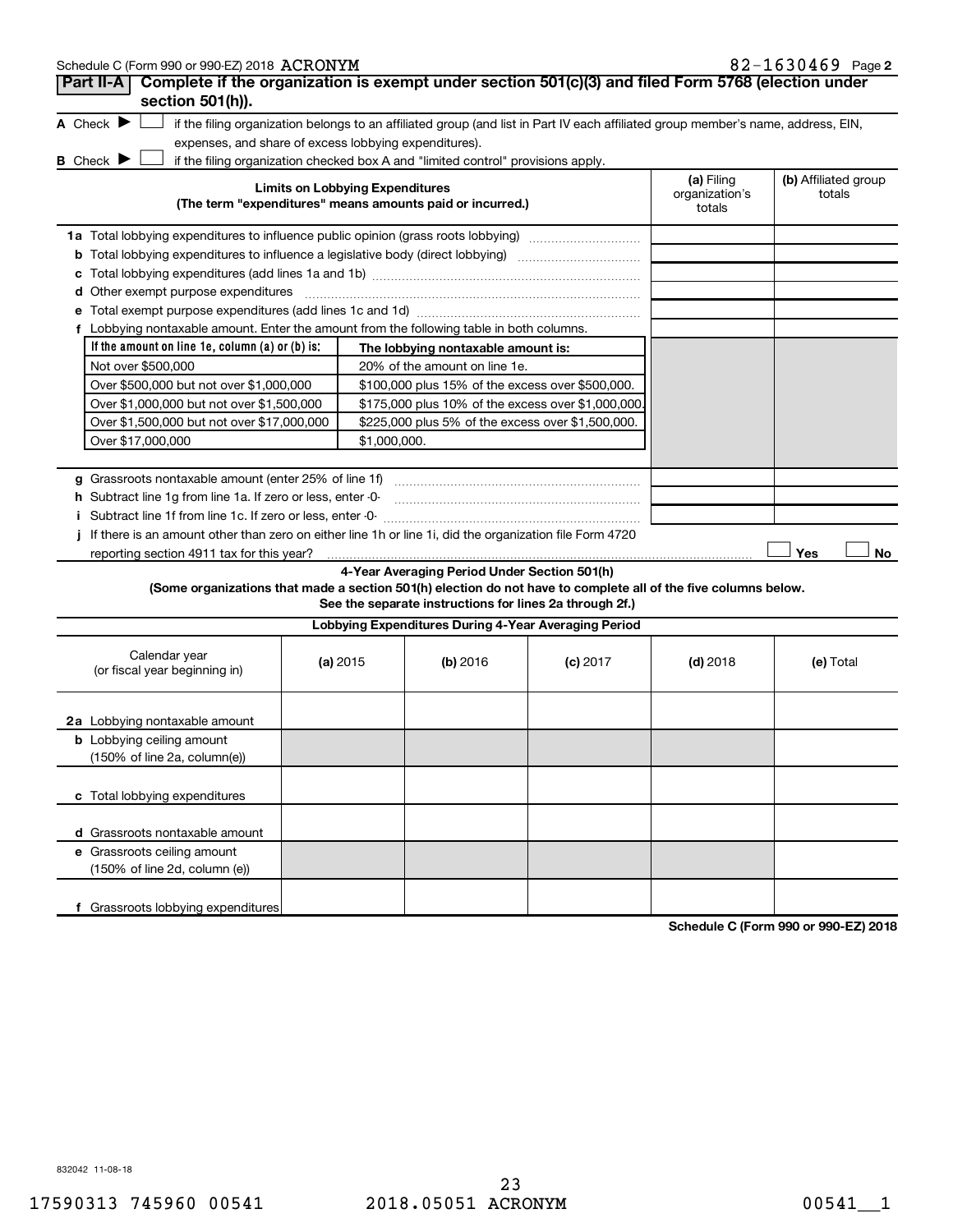| Schedule C (Form 990 or 990-EZ) 2018 ACRONYM                                                                                        |                                        |                                                                                                                                   |            |                                        | $82 - 1630469$ Page 2          |
|-------------------------------------------------------------------------------------------------------------------------------------|----------------------------------------|-----------------------------------------------------------------------------------------------------------------------------------|------------|----------------------------------------|--------------------------------|
| Complete if the organization is exempt under section 501(c)(3) and filed Form 5768 (election under<br>Part II-A<br>section 501(h)). |                                        |                                                                                                                                   |            |                                        |                                |
| A Check $\blacktriangleright$<br>expenses, and share of excess lobbying expenditures).                                              |                                        | if the filing organization belongs to an affiliated group (and list in Part IV each affiliated group member's name, address, EIN, |            |                                        |                                |
| <b>B</b> Check ▶                                                                                                                    |                                        | if the filing organization checked box A and "limited control" provisions apply.                                                  |            |                                        |                                |
|                                                                                                                                     | <b>Limits on Lobbying Expenditures</b> | (The term "expenditures" means amounts paid or incurred.)                                                                         |            | (a) Filing<br>organization's<br>totals | (b) Affiliated group<br>totals |
|                                                                                                                                     |                                        |                                                                                                                                   |            |                                        |                                |
|                                                                                                                                     |                                        |                                                                                                                                   |            |                                        |                                |
| c                                                                                                                                   |                                        |                                                                                                                                   |            |                                        |                                |
|                                                                                                                                     |                                        |                                                                                                                                   |            |                                        |                                |
|                                                                                                                                     |                                        |                                                                                                                                   |            |                                        |                                |
| f Lobbying nontaxable amount. Enter the amount from the following table in both columns.                                            |                                        |                                                                                                                                   |            |                                        |                                |
| If the amount on line 1e, column $(a)$ or $(b)$ is:                                                                                 |                                        | The lobbying nontaxable amount is:                                                                                                |            |                                        |                                |
| Not over \$500,000                                                                                                                  |                                        | 20% of the amount on line 1e.                                                                                                     |            |                                        |                                |
| Over \$500,000 but not over \$1,000,000                                                                                             |                                        | \$100,000 plus 15% of the excess over \$500,000.                                                                                  |            |                                        |                                |
| Over \$1,000,000 but not over \$1,500,000                                                                                           |                                        | \$175,000 plus 10% of the excess over \$1,000,000                                                                                 |            |                                        |                                |
| Over \$1,500,000 but not over \$17,000,000                                                                                          |                                        | \$225,000 plus 5% of the excess over \$1,500,000.                                                                                 |            |                                        |                                |
| Over \$17,000,000                                                                                                                   |                                        | \$1,000,000.                                                                                                                      |            |                                        |                                |
|                                                                                                                                     |                                        |                                                                                                                                   |            |                                        |                                |
|                                                                                                                                     |                                        |                                                                                                                                   |            |                                        |                                |
| h Subtract line 1q from line 1a. If zero or less, enter -0-                                                                         |                                        |                                                                                                                                   |            |                                        |                                |
|                                                                                                                                     |                                        |                                                                                                                                   |            |                                        |                                |
| If there is an amount other than zero on either line 1h or line 1i, did the organization file Form 4720                             |                                        |                                                                                                                                   |            |                                        |                                |
| reporting section 4911 tax for this year?                                                                                           |                                        |                                                                                                                                   |            |                                        | Yes<br>No.                     |
| (Some organizations that made a section 501(h) election do not have to complete all of the five columns below.                      |                                        | 4-Year Averaging Period Under Section 501(h)<br>See the separate instructions for lines 2a through 2f.)                           |            |                                        |                                |
|                                                                                                                                     |                                        | Lobbying Expenditures During 4-Year Averaging Period                                                                              |            |                                        |                                |
|                                                                                                                                     |                                        |                                                                                                                                   |            |                                        |                                |
| Calendar year                                                                                                                       |                                        |                                                                                                                                   |            |                                        |                                |
| (or fiscal year beginning in)                                                                                                       | (a) 2015                               | (b) 2016                                                                                                                          | $(c)$ 2017 | $(d)$ 2018                             | (e) Total                      |
| 2a Lobbying nontaxable amount                                                                                                       |                                        |                                                                                                                                   |            |                                        |                                |
| <b>b</b> Lobbying ceiling amount                                                                                                    |                                        |                                                                                                                                   |            |                                        |                                |
| (150% of line 2a, column(e))                                                                                                        |                                        |                                                                                                                                   |            |                                        |                                |
| c Total lobbying expenditures                                                                                                       |                                        |                                                                                                                                   |            |                                        |                                |
|                                                                                                                                     |                                        |                                                                                                                                   |            |                                        |                                |
| d Grassroots nontaxable amount                                                                                                      |                                        |                                                                                                                                   |            |                                        |                                |
| e Grassroots ceiling amount<br>(150% of line 2d, column (e))                                                                        |                                        |                                                                                                                                   |            |                                        |                                |
|                                                                                                                                     |                                        |                                                                                                                                   |            |                                        |                                |

**Schedule C (Form 990 or 990-EZ) 2018**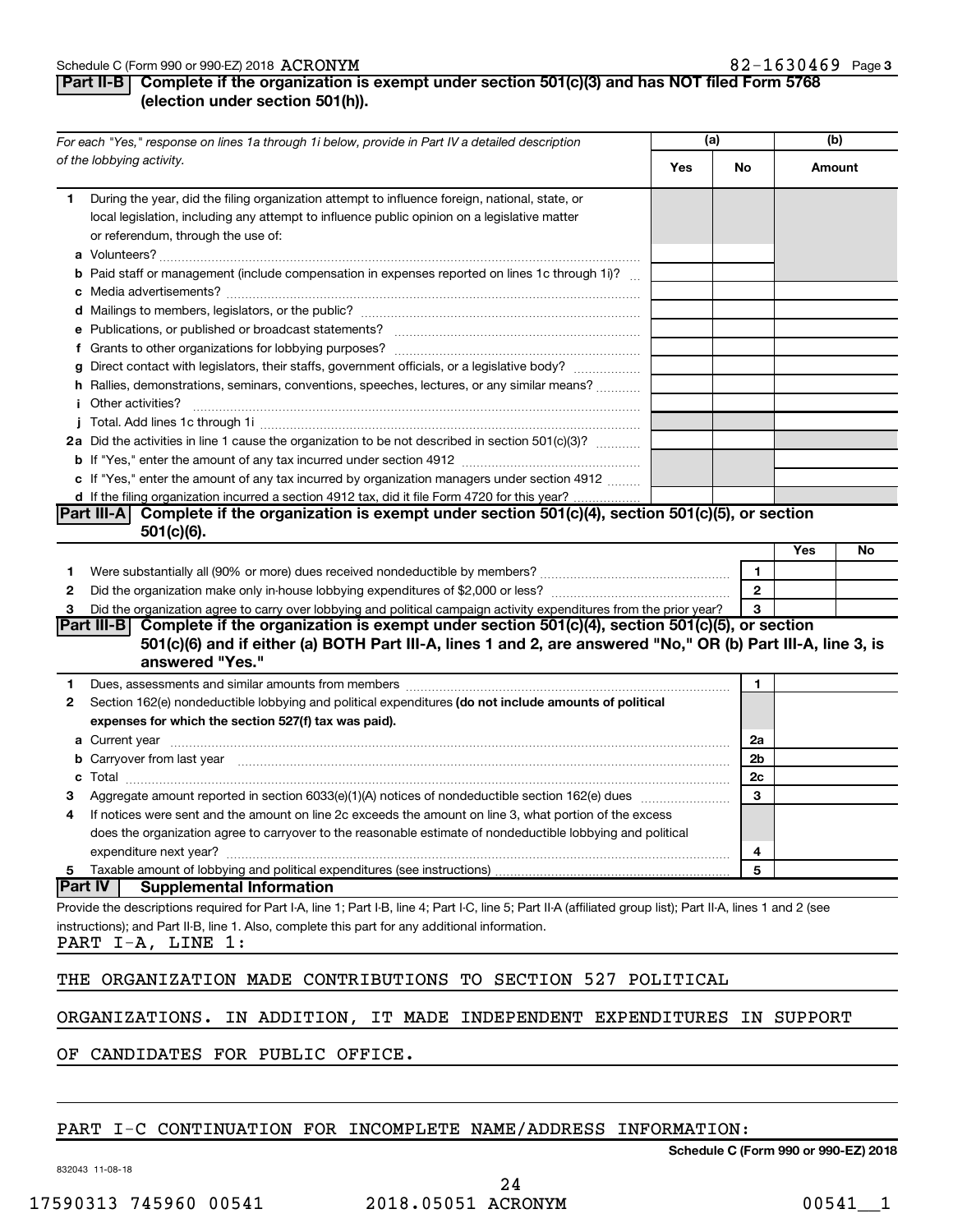#### **Part II-B Complete if the organization is exempt under section 501(c)(3) and has NOT filed Form 5768 (election under section 501(h)).**

| For each "Yes," response on lines 1a through 1i below, provide in Part IV a detailed description                                                                                                                                                                                                                                                                                                                                                                                                                                                                                                                                                                                                                                                                                      |           | (a)                               |         | (b) |  |
|---------------------------------------------------------------------------------------------------------------------------------------------------------------------------------------------------------------------------------------------------------------------------------------------------------------------------------------------------------------------------------------------------------------------------------------------------------------------------------------------------------------------------------------------------------------------------------------------------------------------------------------------------------------------------------------------------------------------------------------------------------------------------------------|-----------|-----------------------------------|---------|-----|--|
| of the lobbying activity.                                                                                                                                                                                                                                                                                                                                                                                                                                                                                                                                                                                                                                                                                                                                                             | Yes       | No                                | Amount  |     |  |
| During the year, did the filing organization attempt to influence foreign, national, state, or<br>1.<br>local legislation, including any attempt to influence public opinion on a legislative matter<br>or referendum, through the use of:<br><b>b</b> Paid staff or management (include compensation in expenses reported on lines 1c through 1i)?<br>g Direct contact with legislators, their staffs, government officials, or a legislative body?<br>h Rallies, demonstrations, seminars, conventions, speeches, lectures, or any similar means?<br><i>i</i> Other activities?<br>2a Did the activities in line 1 cause the organization to be not described in section 501(c)(3)?<br>c If "Yes," enter the amount of any tax incurred by organization managers under section 4912 |           |                                   |         |     |  |
| d If the filing organization incurred a section 4912 tax, did it file Form 4720 for this year?                                                                                                                                                                                                                                                                                                                                                                                                                                                                                                                                                                                                                                                                                        |           |                                   |         |     |  |
| Complete if the organization is exempt under section 501(c)(4), section 501(c)(5), or section<br><b>Part III-A</b><br>$501(c)(6)$ .                                                                                                                                                                                                                                                                                                                                                                                                                                                                                                                                                                                                                                                   |           |                                   |         |     |  |
|                                                                                                                                                                                                                                                                                                                                                                                                                                                                                                                                                                                                                                                                                                                                                                                       |           |                                   | Yes     | No  |  |
| Were substantially all (90% or more) dues received nondeductible by members? www.communition.communition.<br>1<br>2<br>Did the organization agree to carry over lobbying and political campaign activity expenditures from the prior year?<br>З<br>Part III-B Complete if the organization is exempt under section 501(c)(4), section 501(c)(5), or section<br>501(c)(6) and if either (a) BOTH Part III-A, lines 1 and 2, are answered "No," OR (b) Part III-A, line 3, is                                                                                                                                                                                                                                                                                                           |           | $\mathbf{1}$<br>$\mathbf{2}$<br>3 |         |     |  |
| answered "Yes."                                                                                                                                                                                                                                                                                                                                                                                                                                                                                                                                                                                                                                                                                                                                                                       |           |                                   |         |     |  |
| Dues, assessments and similar amounts from members [111] Dues, assessments and similar and similar amounts from members [111] Dues, assessments and similar amounts from members [11] Dues and Superior and Superior and Super<br>1<br>Section 162(e) nondeductible lobbying and political expenditures (do not include amounts of political<br>2<br>expenses for which the section 527(f) tax was paid).                                                                                                                                                                                                                                                                                                                                                                             |           | 1                                 |         |     |  |
|                                                                                                                                                                                                                                                                                                                                                                                                                                                                                                                                                                                                                                                                                                                                                                                       |           | 2a                                |         |     |  |
| b Carryover from last year manufactured and content to content the content of the content of the content of the content of the content of the content of the content of the content of the content of the content of the conte                                                                                                                                                                                                                                                                                                                                                                                                                                                                                                                                                        |           | 2b<br>2c                          |         |     |  |
|                                                                                                                                                                                                                                                                                                                                                                                                                                                                                                                                                                                                                                                                                                                                                                                       |           | 3                                 |         |     |  |
| If notices were sent and the amount on line 2c exceeds the amount on line 3, what portion of the excess<br>4<br>does the organization agree to carryover to the reasonable estimate of nondeductible lobbying and political<br>expenditure next year?                                                                                                                                                                                                                                                                                                                                                                                                                                                                                                                                 |           | 4                                 |         |     |  |
| Taxable amount of lobbying and political expenditures (see instructions)<br>5                                                                                                                                                                                                                                                                                                                                                                                                                                                                                                                                                                                                                                                                                                         |           | 5                                 |         |     |  |
| <b>Part IV</b><br><b>Supplemental Information</b>                                                                                                                                                                                                                                                                                                                                                                                                                                                                                                                                                                                                                                                                                                                                     |           |                                   |         |     |  |
| Provide the descriptions required for Part I-A, line 1; Part I-B, line 4; Part I-C, line 5; Part II-A (affiliated group list); Part II-A, lines 1 and 2 (see<br>instructions); and Part II-B, line 1. Also, complete this part for any additional information.<br>PART I-A, LINE 1:<br>SECTION 527<br>ORGANIZATION MADE CONTRIBUTIONS<br>THE<br>TO.                                                                                                                                                                                                                                                                                                                                                                                                                                   | POLITICAL |                                   |         |     |  |
| ORGANIZATIONS.<br>IN ADDITION, IT MADE INDEPENDENT EXPENDITURES                                                                                                                                                                                                                                                                                                                                                                                                                                                                                                                                                                                                                                                                                                                       |           | IN                                | SUPPORT |     |  |
| CANDIDATES FOR PUBLIC OFFICE.<br>OF.                                                                                                                                                                                                                                                                                                                                                                                                                                                                                                                                                                                                                                                                                                                                                  |           |                                   |         |     |  |

#### PART I-C CONTINUATION FOR INCOMPLETE NAME/ADDRESS INFORMATION:

832043 11-08-18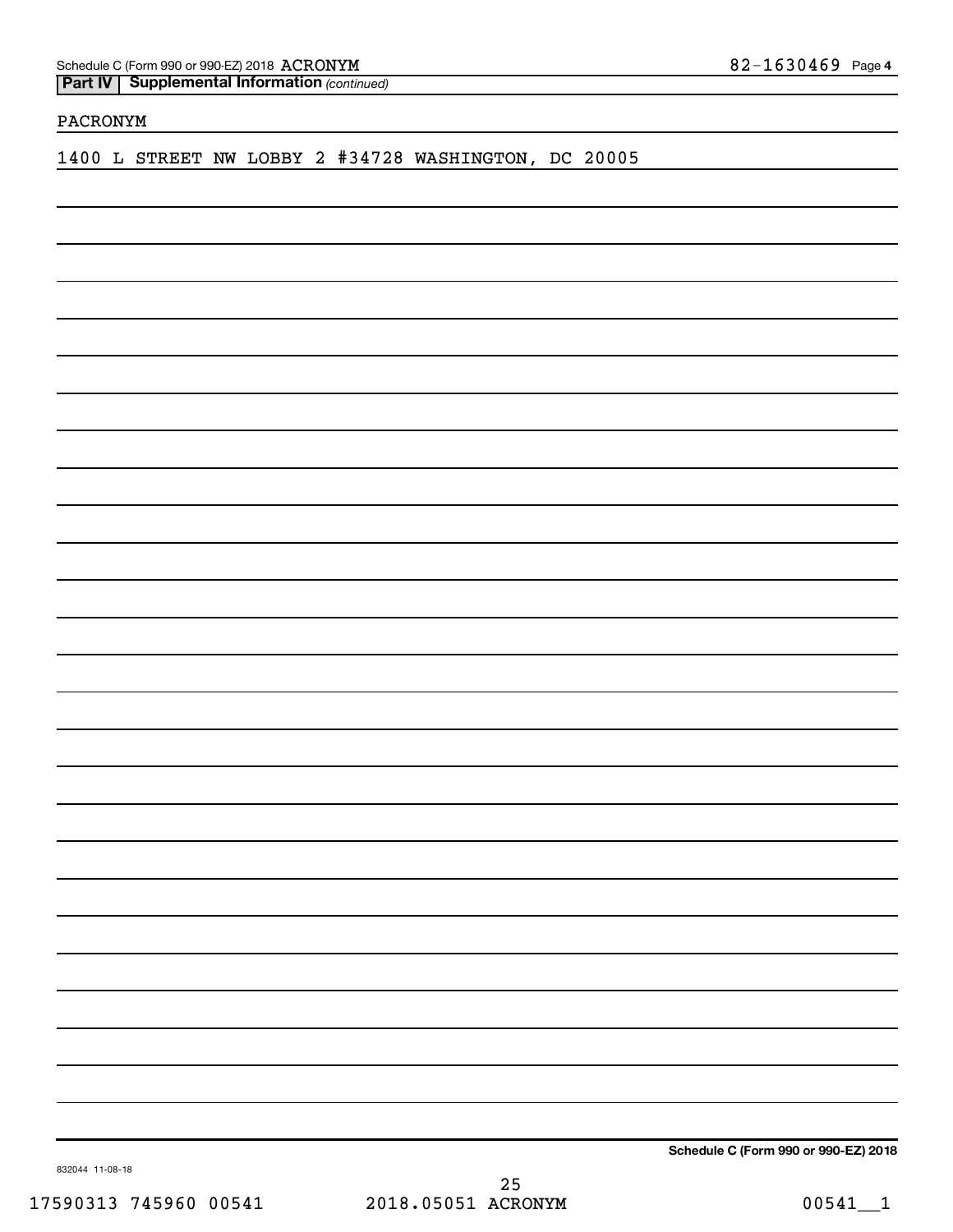Schedule C (Form 990 or 990-EZ) 2018 ACRONYM

**Part IV** | Supplemental Information (continued)

#### PACRONYM

1400 L STREET NW LOBBY 2 #34728 WASHINGTON, DC 20005

**Schedule C (Form 990 or 990-EZ) 2018**

832044 11-08-18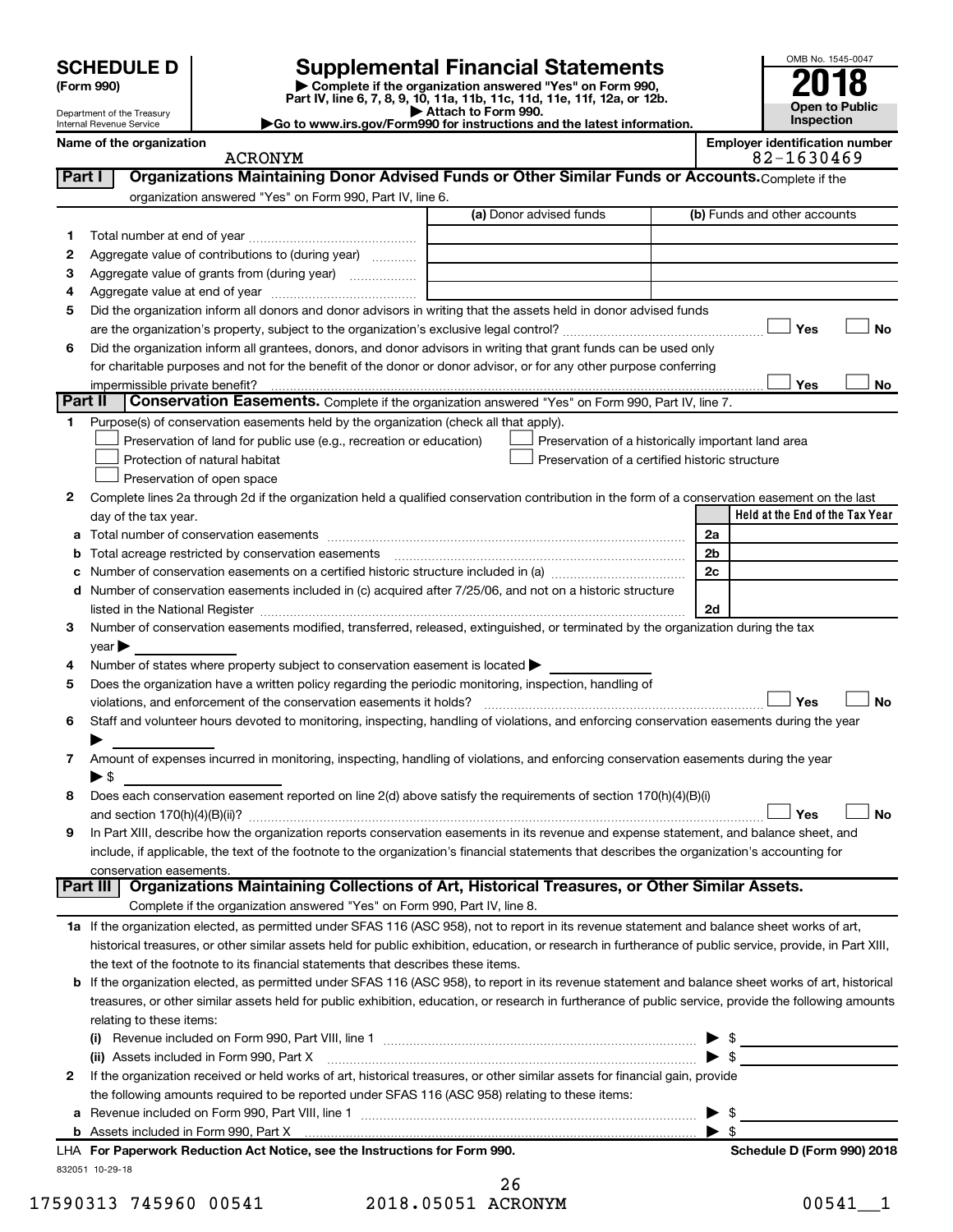| (Form 990) |  |
|------------|--|
|------------|--|

# **SCHEDULE D Supplemental Financial Statements**<br> **Form 990 2018**<br> **Part IV** line 6.7.8.9.10, 11a, 11b, 11d, 11d, 11d, 11d, 11d, 12a, 0r, 12b

**(Form 990) | Complete if the organization answered "Yes" on Form 990, Part IV, line 6, 7, 8, 9, 10, 11a, 11b, 11c, 11d, 11e, 11f, 12a, or 12b.**

**| Attach to Form 990. |Go to www.irs.gov/Form990 for instructions and the latest information.**



Department of the Treasury Internal Revenue Service

ACRONYM 82-1630469

**Name of the organization Employer identification number**

| Part I       | Organizations Maintaining Donor Advised Funds or Other Similar Funds or Accounts. Complete if the                                                                                                                                                                                                                                                                  |                         |                                                    |    |
|--------------|--------------------------------------------------------------------------------------------------------------------------------------------------------------------------------------------------------------------------------------------------------------------------------------------------------------------------------------------------------------------|-------------------------|----------------------------------------------------|----|
|              | organization answered "Yes" on Form 990, Part IV, line 6.                                                                                                                                                                                                                                                                                                          |                         |                                                    |    |
|              |                                                                                                                                                                                                                                                                                                                                                                    | (a) Donor advised funds | (b) Funds and other accounts                       |    |
| 1.           |                                                                                                                                                                                                                                                                                                                                                                    |                         |                                                    |    |
| 2            | Aggregate value of contributions to (during year)                                                                                                                                                                                                                                                                                                                  |                         |                                                    |    |
| з            | Aggregate value of grants from (during year)                                                                                                                                                                                                                                                                                                                       |                         |                                                    |    |
| 4            |                                                                                                                                                                                                                                                                                                                                                                    |                         |                                                    |    |
| 5            | Did the organization inform all donors and donor advisors in writing that the assets held in donor advised funds                                                                                                                                                                                                                                                   |                         |                                                    |    |
|              |                                                                                                                                                                                                                                                                                                                                                                    |                         | Yes                                                | No |
| 6            | Did the organization inform all grantees, donors, and donor advisors in writing that grant funds can be used only                                                                                                                                                                                                                                                  |                         |                                                    |    |
|              | for charitable purposes and not for the benefit of the donor or donor advisor, or for any other purpose conferring                                                                                                                                                                                                                                                 |                         |                                                    |    |
|              | impermissible private benefit?                                                                                                                                                                                                                                                                                                                                     |                         | Yes                                                | No |
| Part II      | <b>Conservation Easements.</b> Complete if the organization answered "Yes" on Form 990, Part IV, line 7.                                                                                                                                                                                                                                                           |                         |                                                    |    |
| 1.           | Purpose(s) of conservation easements held by the organization (check all that apply).                                                                                                                                                                                                                                                                              |                         |                                                    |    |
|              | Preservation of land for public use (e.g., recreation or education)                                                                                                                                                                                                                                                                                                |                         | Preservation of a historically important land area |    |
|              | Protection of natural habitat                                                                                                                                                                                                                                                                                                                                      |                         | Preservation of a certified historic structure     |    |
|              | Preservation of open space                                                                                                                                                                                                                                                                                                                                         |                         |                                                    |    |
| 2            | Complete lines 2a through 2d if the organization held a qualified conservation contribution in the form of a conservation easement on the last                                                                                                                                                                                                                     |                         |                                                    |    |
|              | day of the tax year.                                                                                                                                                                                                                                                                                                                                               |                         | Held at the End of the Tax Year                    |    |
|              |                                                                                                                                                                                                                                                                                                                                                                    |                         | 2a                                                 |    |
|              | <b>b</b> Total acreage restricted by conservation easements                                                                                                                                                                                                                                                                                                        |                         | 2b                                                 |    |
| с            | Number of conservation easements on a certified historic structure included in (a) manufacture included in (a)                                                                                                                                                                                                                                                     |                         | 2c                                                 |    |
|              | d Number of conservation easements included in (c) acquired after 7/25/06, and not on a historic structure                                                                                                                                                                                                                                                         |                         |                                                    |    |
| З.           | listed in the National Register [11, 1200] [12] The National Property of the National Property of the National Register [11, 12] [12] The National Register [11, 12] [12] The National Register [11, 12] [12] The National Reg<br>Number of conservation easements modified, transferred, released, extinguished, or terminated by the organization during the tax |                         | 2d                                                 |    |
|              | year                                                                                                                                                                                                                                                                                                                                                               |                         |                                                    |    |
| 4            | Number of states where property subject to conservation easement is located >                                                                                                                                                                                                                                                                                      |                         |                                                    |    |
| 5            | Does the organization have a written policy regarding the periodic monitoring, inspection, handling of                                                                                                                                                                                                                                                             |                         |                                                    |    |
|              | violations, and enforcement of the conservation easements it holds?                                                                                                                                                                                                                                                                                                |                         | Yes                                                | No |
| 6            | Staff and volunteer hours devoted to monitoring, inspecting, handling of violations, and enforcing conservation easements during the year                                                                                                                                                                                                                          |                         |                                                    |    |
|              |                                                                                                                                                                                                                                                                                                                                                                    |                         |                                                    |    |
| 7            | Amount of expenses incurred in monitoring, inspecting, handling of violations, and enforcing conservation easements during the year                                                                                                                                                                                                                                |                         |                                                    |    |
|              | ▶ \$                                                                                                                                                                                                                                                                                                                                                               |                         |                                                    |    |
| 8            | Does each conservation easement reported on line 2(d) above satisfy the requirements of section 170(h)(4)(B)(i)                                                                                                                                                                                                                                                    |                         |                                                    |    |
|              |                                                                                                                                                                                                                                                                                                                                                                    |                         | Yes                                                | No |
| 9            | In Part XIII, describe how the organization reports conservation easements in its revenue and expense statement, and balance sheet, and                                                                                                                                                                                                                            |                         |                                                    |    |
|              | include, if applicable, the text of the footnote to the organization's financial statements that describes the organization's accounting for                                                                                                                                                                                                                       |                         |                                                    |    |
|              | conservation easements.                                                                                                                                                                                                                                                                                                                                            |                         |                                                    |    |
| Part III     | Organizations Maintaining Collections of Art, Historical Treasures, or Other Similar Assets.                                                                                                                                                                                                                                                                       |                         |                                                    |    |
|              | Complete if the organization answered "Yes" on Form 990, Part IV, line 8.                                                                                                                                                                                                                                                                                          |                         |                                                    |    |
|              | 1a If the organization elected, as permitted under SFAS 116 (ASC 958), not to report in its revenue statement and balance sheet works of art,                                                                                                                                                                                                                      |                         |                                                    |    |
|              | historical treasures, or other similar assets held for public exhibition, education, or research in furtherance of public service, provide, in Part XIII,                                                                                                                                                                                                          |                         |                                                    |    |
|              | the text of the footnote to its financial statements that describes these items.                                                                                                                                                                                                                                                                                   |                         |                                                    |    |
|              | <b>b</b> If the organization elected, as permitted under SFAS 116 (ASC 958), to report in its revenue statement and balance sheet works of art, historical                                                                                                                                                                                                         |                         |                                                    |    |
|              | treasures, or other similar assets held for public exhibition, education, or research in furtherance of public service, provide the following amounts                                                                                                                                                                                                              |                         |                                                    |    |
|              | relating to these items:                                                                                                                                                                                                                                                                                                                                           |                         |                                                    |    |
|              |                                                                                                                                                                                                                                                                                                                                                                    |                         |                                                    |    |
|              | (ii) Assets included in Form 990, Part X [11] [12] Assets included in Form 990, Part X                                                                                                                                                                                                                                                                             |                         | $\blacktriangleright$ s                            |    |
| $\mathbf{2}$ | If the organization received or held works of art, historical treasures, or other similar assets for financial gain, provide                                                                                                                                                                                                                                       |                         |                                                    |    |
|              | the following amounts required to be reported under SFAS 116 (ASC 958) relating to these items:                                                                                                                                                                                                                                                                    |                         |                                                    |    |
| а            |                                                                                                                                                                                                                                                                                                                                                                    |                         | \$<br>\$                                           |    |
|              | LHA For Paperwork Reduction Act Notice, see the Instructions for Form 990.                                                                                                                                                                                                                                                                                         |                         | ▶<br>Schedule D (Form 990) 2018                    |    |
|              | 832051 10-29-18                                                                                                                                                                                                                                                                                                                                                    |                         |                                                    |    |

|                    | 26 |
|--------------------|----|
| 2018.05051 ACRONYM |    |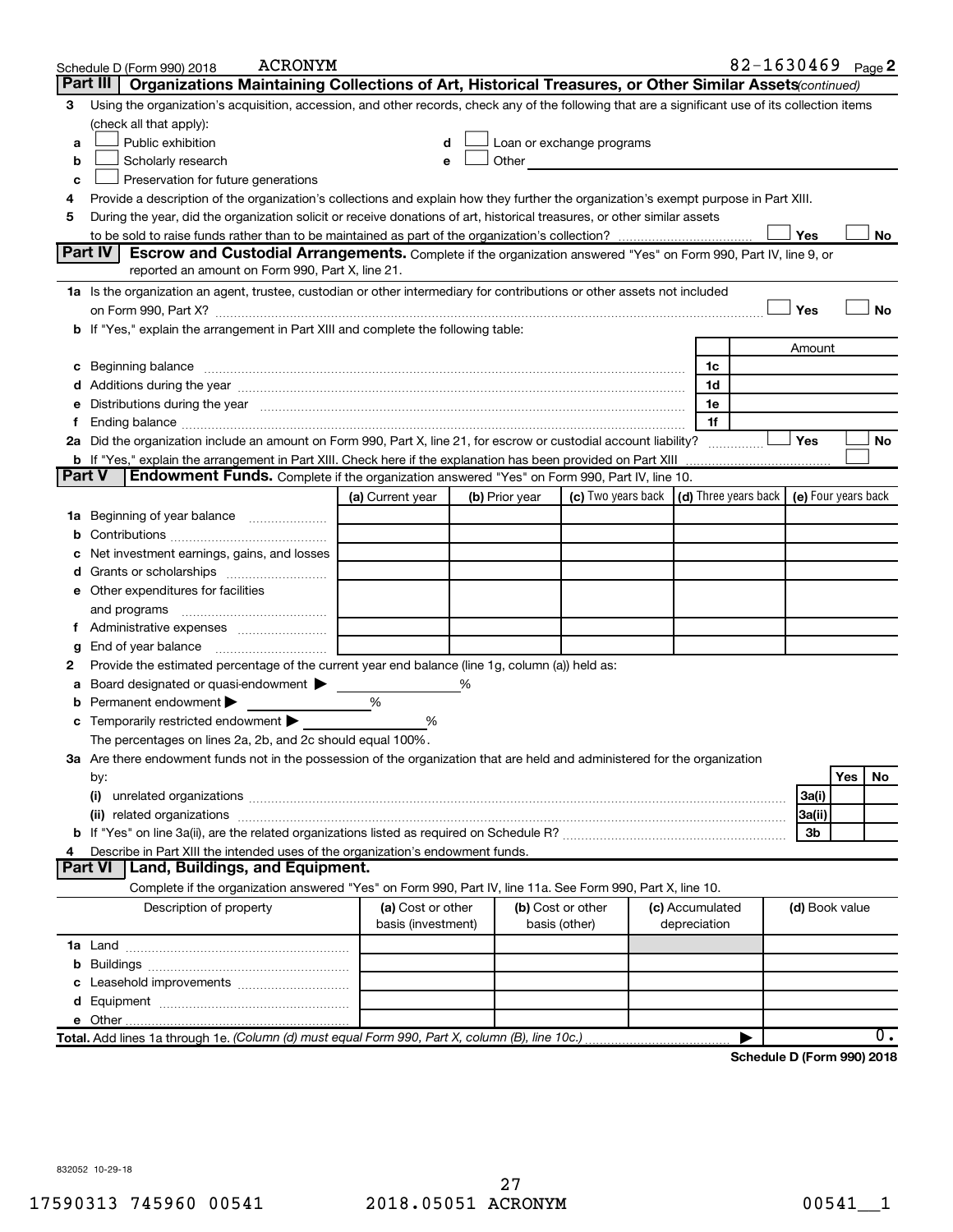|        | 82-1630469 Page 2<br><b>ACRONYM</b><br>Schedule D (Form 990) 2018                                                                                                                                                             |                                         |                |  |                                                                                                                                                                                                                                |                 |              |                                                 |                |     |           |
|--------|-------------------------------------------------------------------------------------------------------------------------------------------------------------------------------------------------------------------------------|-----------------------------------------|----------------|--|--------------------------------------------------------------------------------------------------------------------------------------------------------------------------------------------------------------------------------|-----------------|--------------|-------------------------------------------------|----------------|-----|-----------|
|        | Part III<br>Organizations Maintaining Collections of Art, Historical Treasures, or Other Similar Assets (continued)                                                                                                           |                                         |                |  |                                                                                                                                                                                                                                |                 |              |                                                 |                |     |           |
| з      | Using the organization's acquisition, accession, and other records, check any of the following that are a significant use of its collection items                                                                             |                                         |                |  |                                                                                                                                                                                                                                |                 |              |                                                 |                |     |           |
|        | (check all that apply):                                                                                                                                                                                                       |                                         |                |  |                                                                                                                                                                                                                                |                 |              |                                                 |                |     |           |
| a      | Public exhibition                                                                                                                                                                                                             | d                                       |                |  | Loan or exchange programs                                                                                                                                                                                                      |                 |              |                                                 |                |     |           |
| b      | Scholarly research                                                                                                                                                                                                            | е                                       |                |  | Other and the control of the control of the control of the control of the control of the control of the control of the control of the control of the control of the control of the control of the control of the control of th |                 |              |                                                 |                |     |           |
| с      | Preservation for future generations                                                                                                                                                                                           |                                         |                |  |                                                                                                                                                                                                                                |                 |              |                                                 |                |     |           |
| 4      | Provide a description of the organization's collections and explain how they further the organization's exempt purpose in Part XIII.                                                                                          |                                         |                |  |                                                                                                                                                                                                                                |                 |              |                                                 |                |     |           |
| 5      | During the year, did the organization solicit or receive donations of art, historical treasures, or other similar assets                                                                                                      |                                         |                |  |                                                                                                                                                                                                                                |                 |              |                                                 |                |     |           |
|        |                                                                                                                                                                                                                               |                                         |                |  |                                                                                                                                                                                                                                |                 |              |                                                 | Yes            |     | No        |
|        | Part IV<br><b>Escrow and Custodial Arrangements.</b> Complete if the organization answered "Yes" on Form 990, Part IV, line 9, or                                                                                             |                                         |                |  |                                                                                                                                                                                                                                |                 |              |                                                 |                |     |           |
|        | reported an amount on Form 990, Part X, line 21.                                                                                                                                                                              |                                         |                |  |                                                                                                                                                                                                                                |                 |              |                                                 |                |     |           |
|        | 1a Is the organization an agent, trustee, custodian or other intermediary for contributions or other assets not included                                                                                                      |                                         |                |  |                                                                                                                                                                                                                                |                 |              |                                                 |                |     |           |
|        |                                                                                                                                                                                                                               |                                         |                |  |                                                                                                                                                                                                                                |                 |              |                                                 | Yes            |     | No        |
|        | b If "Yes," explain the arrangement in Part XIII and complete the following table:                                                                                                                                            |                                         |                |  |                                                                                                                                                                                                                                |                 |              |                                                 |                |     |           |
|        |                                                                                                                                                                                                                               |                                         |                |  |                                                                                                                                                                                                                                |                 |              |                                                 | Amount         |     |           |
| c      | Beginning balance measurements and contain the contract of the contract of the contract of the contract of the                                                                                                                |                                         |                |  |                                                                                                                                                                                                                                |                 | 1c           |                                                 |                |     |           |
|        |                                                                                                                                                                                                                               |                                         |                |  |                                                                                                                                                                                                                                |                 | 1d           |                                                 |                |     |           |
|        | Distributions during the year manufactured and contain an account of the year manufactured and the year manufactured and the year manufactured and the year manufactured and the year manufactured and the state of the state |                                         |                |  |                                                                                                                                                                                                                                |                 | 1e           |                                                 |                |     |           |
| Ť.     |                                                                                                                                                                                                                               |                                         |                |  |                                                                                                                                                                                                                                |                 | 1f           |                                                 |                |     |           |
|        | 2a Did the organization include an amount on Form 990, Part X, line 21, for escrow or custodial account liability?                                                                                                            |                                         |                |  |                                                                                                                                                                                                                                |                 |              | .                                               | Yes            |     | <b>No</b> |
|        | <b>b</b> If "Yes," explain the arrangement in Part XIII. Check here if the explanation has been provided on Part XIII                                                                                                         |                                         |                |  |                                                                                                                                                                                                                                |                 |              |                                                 |                |     |           |
| Part V | Endowment Funds. Complete if the organization answered "Yes" on Form 990, Part IV, line 10.                                                                                                                                   |                                         |                |  |                                                                                                                                                                                                                                |                 |              |                                                 |                |     |           |
|        |                                                                                                                                                                                                                               | (a) Current year                        | (b) Prior year |  | (c) Two years back                                                                                                                                                                                                             |                 |              | (d) Three years back $\mid$ (e) Four years back |                |     |           |
| ٦а     | Beginning of year balance                                                                                                                                                                                                     |                                         |                |  |                                                                                                                                                                                                                                |                 |              |                                                 |                |     |           |
| b      |                                                                                                                                                                                                                               |                                         |                |  |                                                                                                                                                                                                                                |                 |              |                                                 |                |     |           |
|        | Net investment earnings, gains, and losses                                                                                                                                                                                    |                                         |                |  |                                                                                                                                                                                                                                |                 |              |                                                 |                |     |           |
| a      |                                                                                                                                                                                                                               |                                         |                |  |                                                                                                                                                                                                                                |                 |              |                                                 |                |     |           |
|        | e Other expenditures for facilities                                                                                                                                                                                           |                                         |                |  |                                                                                                                                                                                                                                |                 |              |                                                 |                |     |           |
|        | and programs                                                                                                                                                                                                                  |                                         |                |  |                                                                                                                                                                                                                                |                 |              |                                                 |                |     |           |
|        |                                                                                                                                                                                                                               |                                         |                |  |                                                                                                                                                                                                                                |                 |              |                                                 |                |     |           |
| g<br>2 | Provide the estimated percentage of the current year end balance (line 1g, column (a)) held as:                                                                                                                               |                                         |                |  |                                                                                                                                                                                                                                |                 |              |                                                 |                |     |           |
| а      | Board designated or quasi-endowment                                                                                                                                                                                           |                                         | ℅              |  |                                                                                                                                                                                                                                |                 |              |                                                 |                |     |           |
|        | Permanent endowment                                                                                                                                                                                                           | %                                       |                |  |                                                                                                                                                                                                                                |                 |              |                                                 |                |     |           |
| с      | Temporarily restricted endowment                                                                                                                                                                                              | ℅                                       |                |  |                                                                                                                                                                                                                                |                 |              |                                                 |                |     |           |
|        | The percentages on lines 2a, 2b, and 2c should equal 100%.                                                                                                                                                                    |                                         |                |  |                                                                                                                                                                                                                                |                 |              |                                                 |                |     |           |
|        | 3a Are there endowment funds not in the possession of the organization that are held and administered for the organization                                                                                                    |                                         |                |  |                                                                                                                                                                                                                                |                 |              |                                                 |                |     |           |
|        | by:                                                                                                                                                                                                                           |                                         |                |  |                                                                                                                                                                                                                                |                 |              |                                                 |                | Yes | No        |
|        | (i)                                                                                                                                                                                                                           |                                         |                |  |                                                                                                                                                                                                                                |                 |              |                                                 | 3a(i)          |     |           |
|        |                                                                                                                                                                                                                               |                                         |                |  |                                                                                                                                                                                                                                |                 |              |                                                 | 3a(ii)         |     |           |
|        |                                                                                                                                                                                                                               |                                         |                |  |                                                                                                                                                                                                                                |                 |              |                                                 | 3b             |     |           |
|        | Describe in Part XIII the intended uses of the organization's endowment funds.                                                                                                                                                |                                         |                |  |                                                                                                                                                                                                                                |                 |              |                                                 |                |     |           |
|        | Land, Buildings, and Equipment.<br><b>Part VI</b>                                                                                                                                                                             |                                         |                |  |                                                                                                                                                                                                                                |                 |              |                                                 |                |     |           |
|        | Complete if the organization answered "Yes" on Form 990, Part IV, line 11a. See Form 990, Part X, line 10.                                                                                                                    |                                         |                |  |                                                                                                                                                                                                                                |                 |              |                                                 |                |     |           |
|        | Description of property                                                                                                                                                                                                       | (a) Cost or other<br>basis (investment) |                |  | (b) Cost or other<br>basis (other)                                                                                                                                                                                             | (c) Accumulated | depreciation |                                                 | (d) Book value |     |           |
|        |                                                                                                                                                                                                                               |                                         |                |  |                                                                                                                                                                                                                                |                 |              |                                                 |                |     |           |
| b      |                                                                                                                                                                                                                               |                                         |                |  |                                                                                                                                                                                                                                |                 |              |                                                 |                |     |           |
|        |                                                                                                                                                                                                                               |                                         |                |  |                                                                                                                                                                                                                                |                 |              |                                                 |                |     |           |
|        |                                                                                                                                                                                                                               |                                         |                |  |                                                                                                                                                                                                                                |                 |              |                                                 |                |     |           |
|        |                                                                                                                                                                                                                               |                                         |                |  |                                                                                                                                                                                                                                |                 |              |                                                 |                |     |           |
|        | Total. Add lines 1a through 1e. (Column (d) must equal Form 990, Part X, column (B), line 10c.)                                                                                                                               |                                         |                |  |                                                                                                                                                                                                                                |                 |              |                                                 |                |     | 0.        |
|        |                                                                                                                                                                                                                               |                                         |                |  |                                                                                                                                                                                                                                |                 |              |                                                 |                |     |           |

**Schedule D (Form 990) 2018**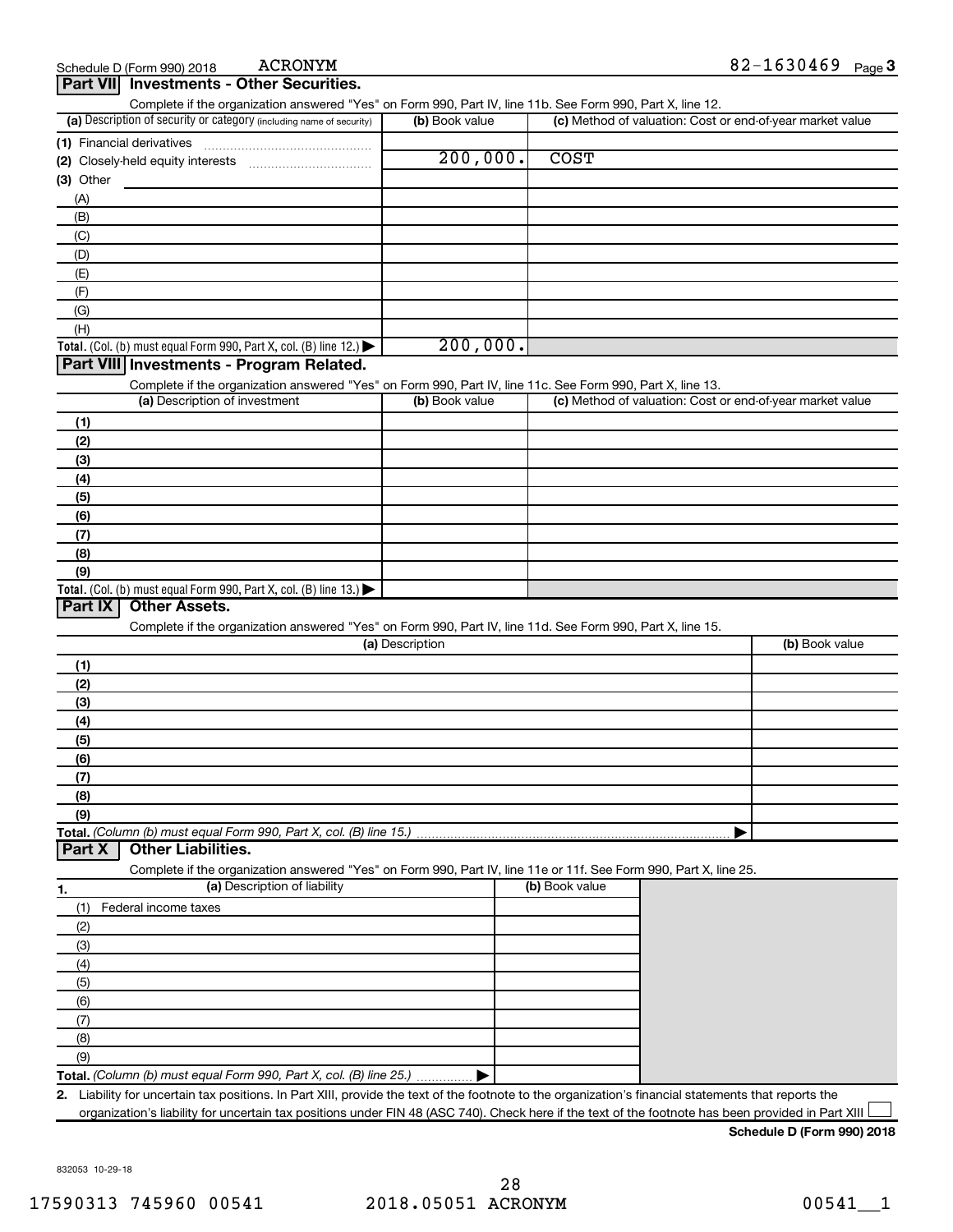Complete if the organization answered "Yes" on Form 990, Part IV, line 11b. See Form 990, Part X, line 12.

| (a) Description of security or category (including name of security) | (b) Book value | (c) Method of valuation: Cost or end-of-year market value |
|----------------------------------------------------------------------|----------------|-----------------------------------------------------------|
| (1) Financial derivatives                                            |                |                                                           |
| (2) Closely-held equity interests                                    | 200,000.       | <b>COST</b>                                               |
| (3) Other                                                            |                |                                                           |
| (A)                                                                  |                |                                                           |
| (B)                                                                  |                |                                                           |
| (C)                                                                  |                |                                                           |
| (D)                                                                  |                |                                                           |
| (E)                                                                  |                |                                                           |
| (F)                                                                  |                |                                                           |
| (G)                                                                  |                |                                                           |
| (H)                                                                  |                |                                                           |
| Total. (Col. (b) must equal Form 990, Part X, col. (B) line $12$ .)  | 200,000.       |                                                           |
| Dout VIII Increatus cute Dua nuove Delate d                          |                |                                                           |

#### **Part VIII Investments - Program Related.**

Complete if the organization answered "Yes" on Form 990, Part IV, line 11c. See Form 990, Part X, line 13.

| (a) Description of investment                                                           | (b) Book value | (c) Method of valuation: Cost or end-of-year market value |
|-----------------------------------------------------------------------------------------|----------------|-----------------------------------------------------------|
| (1)                                                                                     |                |                                                           |
| (2)                                                                                     |                |                                                           |
| $\left(3\right)$                                                                        |                |                                                           |
| (4)                                                                                     |                |                                                           |
| (5)                                                                                     |                |                                                           |
| (6)                                                                                     |                |                                                           |
| (7)                                                                                     |                |                                                           |
| (8)                                                                                     |                |                                                           |
| (9)                                                                                     |                |                                                           |
| Total. (Col. (b) must equal Form 990, Part X, col. (B) line $13.$ $\blacktriangleright$ |                |                                                           |

#### **Part IX Other Assets.**

Complete if the organization answered "Yes" on Form 990, Part IV, line 11d. See Form 990, Part X, line 15.

| (a) Description      | (b) Book value |
|----------------------|----------------|
| (1)                  |                |
| (2)                  |                |
| $\left(3\right)$     |                |
| (4)                  |                |
| $\frac{1}{\sqrt{5}}$ |                |
| (6)                  |                |
| (7)                  |                |
| (8)                  |                |
| (9)                  |                |
|                      |                |

#### **Part X Other Liabilities.**

Complete if the organization answered "Yes" on Form 990, Part IV, line 11e or 11f. See Form 990, Part X, line 25.

| 1.  | (a) Description of liability                                       | (b) Book value |
|-----|--------------------------------------------------------------------|----------------|
| (1) | Federal income taxes                                               |                |
| (2) |                                                                    |                |
| (3) |                                                                    |                |
| (4) |                                                                    |                |
| (5) |                                                                    |                |
| (6) |                                                                    |                |
| (7) |                                                                    |                |
| (8) |                                                                    |                |
| (9) |                                                                    |                |
|     | Total. (Column (b) must equal Form 990, Part X, col. (B) line 25.) |                |

**2.** Liability for uncertain tax positions. In Part XIII, provide the text of the footnote to the organization's financial statements that reports the organization's liability for uncertain tax positions under FIN 48 (ASC 740). Check here if the text of the footnote has been provided in Part XIII  $\Box$ 

#### **Schedule D (Form 990) 2018**

832053 10-29-18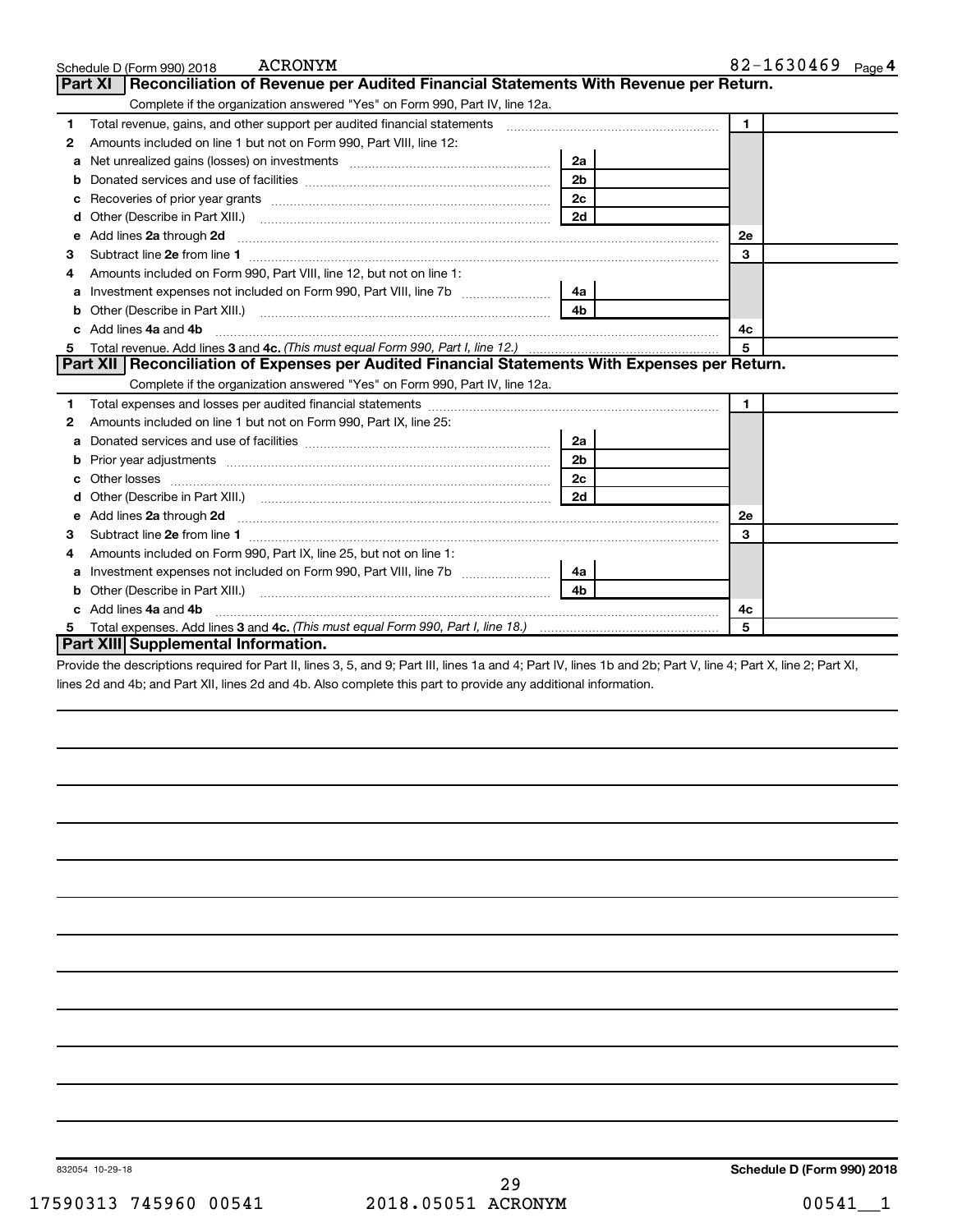|    | ACRONYM<br>Schedule D (Form 990) 2018                                                                                                                                                                                                |                | 82-1630469 Page 4 |
|----|--------------------------------------------------------------------------------------------------------------------------------------------------------------------------------------------------------------------------------------|----------------|-------------------|
|    | Reconciliation of Revenue per Audited Financial Statements With Revenue per Return.<br><b>Part XI</b>                                                                                                                                |                |                   |
|    | Complete if the organization answered "Yes" on Form 990, Part IV, line 12a.                                                                                                                                                          |                |                   |
| 1  | Total revenue, gains, and other support per audited financial statements [[[[[[[[[[[[[[[[[[[[[[[[]]]]]]]]]]]]                                                                                                                        |                | $\blacksquare$    |
| 2  | Amounts included on line 1 but not on Form 990, Part VIII, line 12:                                                                                                                                                                  |                |                   |
| a  |                                                                                                                                                                                                                                      | 2a             |                   |
| b  |                                                                                                                                                                                                                                      | 2 <sub>b</sub> |                   |
| с  |                                                                                                                                                                                                                                      | 2 <sub>c</sub> |                   |
| d  |                                                                                                                                                                                                                                      | 2d             |                   |
| e  | Add lines 2a through 2d <b>continuum continuum contract and all the contract and all the contract and all the contract and all the contract of the contract of the contract of the contract of the contract of the contract of t</b> |                | 2e                |
| з  | Subtract line 2e from line 1 <b>manufacture in the contract of the 2e</b> from line 1                                                                                                                                                |                | 3                 |
|    | Amounts included on Form 990, Part VIII, line 12, but not on line 1:                                                                                                                                                                 |                |                   |
| a  |                                                                                                                                                                                                                                      | 4a             |                   |
| b  | Other (Describe in Part XIII.) <b>Construction Contract Construction</b> Chern Construction Chern Chern Chern Chern Chern Chern Chern Chern Chern Chern Chern Chern Chern Chern Chern Chern Chern Chern Chern Chern Chern Chern Che  | 4 <sub>b</sub> |                   |
| c. | Add lines 4a and 4b                                                                                                                                                                                                                  |                | 4c                |
| 5  |                                                                                                                                                                                                                                      |                | 5                 |
|    | Part XII   Reconciliation of Expenses per Audited Financial Statements With Expenses per Return.                                                                                                                                     |                |                   |
|    | Complete if the organization answered "Yes" on Form 990, Part IV, line 12a.                                                                                                                                                          |                |                   |
| 1  |                                                                                                                                                                                                                                      |                | $\mathbf{1}$      |
| 2  | Amounts included on line 1 but not on Form 990, Part IX, line 25:                                                                                                                                                                    |                |                   |
| a  |                                                                                                                                                                                                                                      | 2a             |                   |
| b  |                                                                                                                                                                                                                                      | 2b             |                   |
|    |                                                                                                                                                                                                                                      | 2c             |                   |
|    |                                                                                                                                                                                                                                      | 2d             |                   |
| e  |                                                                                                                                                                                                                                      |                | <b>2e</b>         |
| З  | Subtract line 2e from line 1                                                                                                                                                                                                         |                | 3                 |
| 4  | Amounts included on Form 990, Part IX, line 25, but not on line 1:                                                                                                                                                                   |                |                   |
| a  |                                                                                                                                                                                                                                      | 4a             |                   |
| b  |                                                                                                                                                                                                                                      | 4h             |                   |
|    | Add lines 4a and 4b                                                                                                                                                                                                                  |                | 4c                |
| 5  |                                                                                                                                                                                                                                      |                | 5                 |
|    | Part XIII Supplemental Information.                                                                                                                                                                                                  |                |                   |

Provide the descriptions required for Part II, lines 3, 5, and 9; Part III, lines 1a and 4; Part IV, lines 1b and 2b; Part V, line 4; Part X, line 2; Part XI, lines 2d and 4b; and Part XII, lines 2d and 4b. Also complete this part to provide any additional information.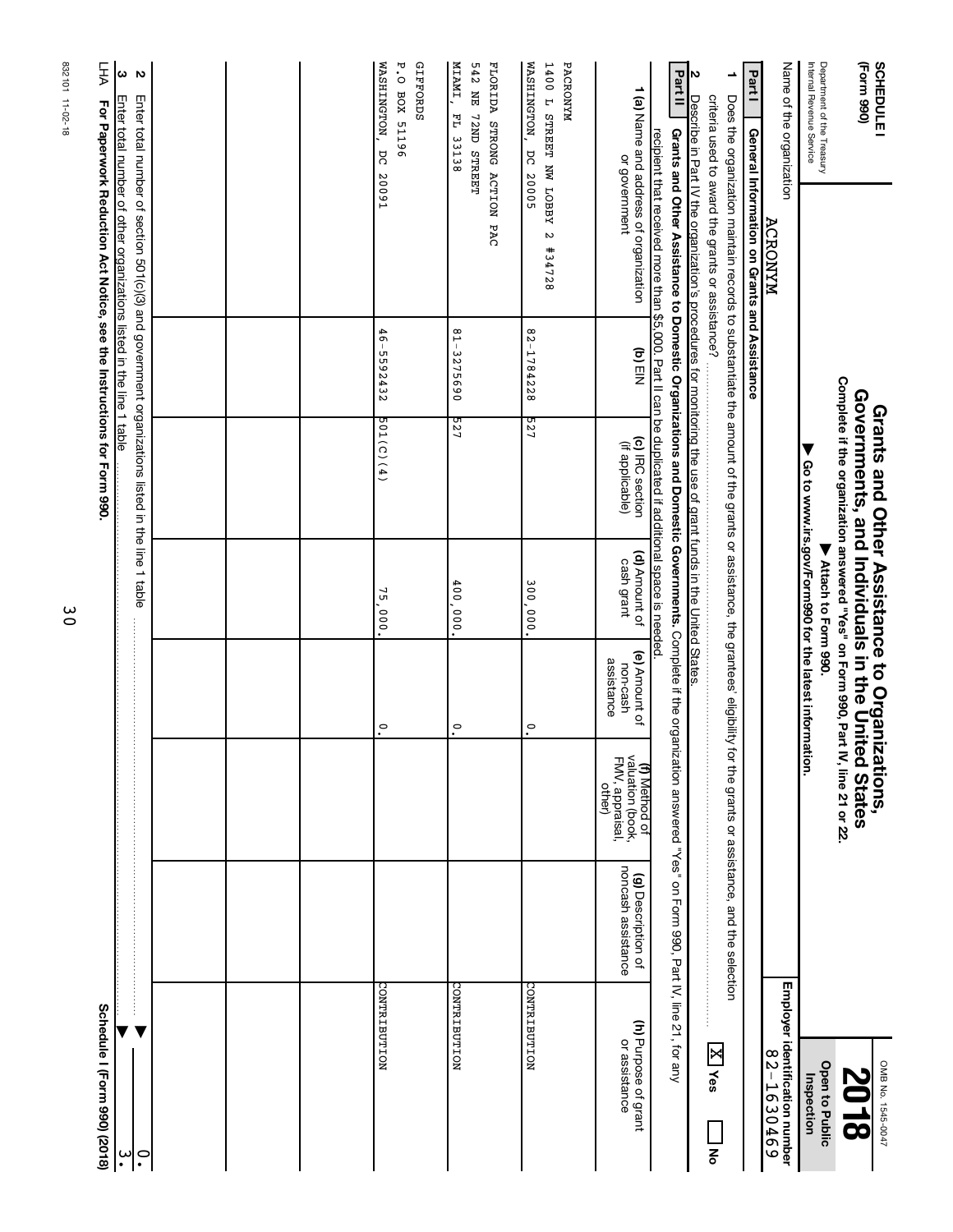| Grants and Other Assistance to Domestic Organizations and Domestic Governments. Complete if the organization answered "Yes" on Form 990, Part IV, line 21, for any<br>Complete if the organization answered "Yes" on Form 990, Part IV, line 21 or 22.<br>Governments, and Individuals in the United States<br>for the grants or assistance, and the selection<br>valuation (book,<br>FMV, appraisal,<br>(f) Method of<br>noncash assistance<br>(g) Description of |
|--------------------------------------------------------------------------------------------------------------------------------------------------------------------------------------------------------------------------------------------------------------------------------------------------------------------------------------------------------------------------------------------------------------------------------------------------------------------|

30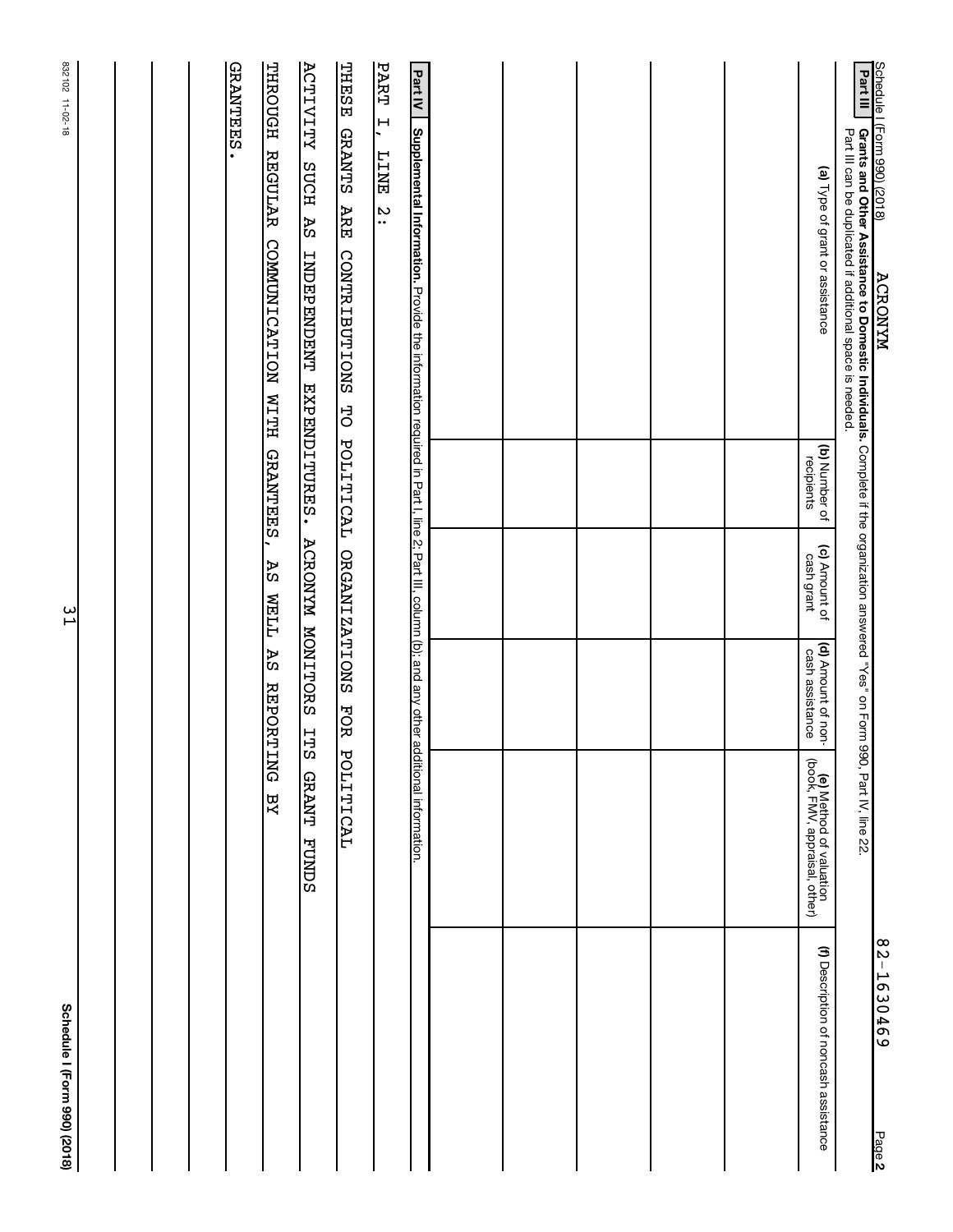| Schedule   (Form 990) (2018)<br><b>ACRONYM</b>                                                                                                                                                                 |                             |                                                            |                                             |                                                          | 82-1630469<br>Page 2                  |
|----------------------------------------------------------------------------------------------------------------------------------------------------------------------------------------------------------------|-----------------------------|------------------------------------------------------------|---------------------------------------------|----------------------------------------------------------|---------------------------------------|
| Part III<br><b>Grants and Other Assistance to Domestic Individuals.</b> Complete if the organization answered "Yes" on Form 990, Part IV, line 22<br>Part III can be duplicated if additional space is needed. |                             |                                                            |                                             |                                                          |                                       |
| (a) Type of grant or assistance                                                                                                                                                                                | (b) Number of<br>recipients | (c) Amount of<br>cash grant                                | (d) Amount of non-<br>cash assistance       | (e) Method of valuation<br>(book, FMV, appraisal, other) | (f) Description of noncash assistance |
|                                                                                                                                                                                                                |                             |                                                            |                                             |                                                          |                                       |
|                                                                                                                                                                                                                |                             |                                                            |                                             |                                                          |                                       |
|                                                                                                                                                                                                                |                             |                                                            |                                             |                                                          |                                       |
|                                                                                                                                                                                                                |                             |                                                            |                                             |                                                          |                                       |
|                                                                                                                                                                                                                |                             |                                                            |                                             |                                                          |                                       |
| Part IV<br><b>Supplemental Information.</b> Provide the information required in Part I, line 2; Part III, column (b); and any other a                                                                          |                             |                                                            |                                             | dditional information.                                   |                                       |
| THESE<br>PART<br>$\overline{F}$<br><b>GRANTS</b><br><b>EINET</b><br><b>ARE</b><br>$\ddot{ }$<br>CONTRIBUTIONS                                                                                                  |                             | TO POLITICAL ORGANIZATIONS                                 | FOR                                         | POLITICAL                                                |                                       |
| THROUGH REGULAR<br>ROUS YTTVITS<br><b>AS</b><br>COMMUNICATION WITH GRANTEES,<br><b>TNDEPENDENT</b>                                                                                                             |                             | EXPENDITURES. ACRONYM MONITORS<br><b>AS</b><br><b>TTEM</b> | <b>AS</b><br><b>REPORTING</b><br><b>ITS</b> | <b>GRANT</b><br>ΥA<br><b>FUNDS</b>                       |                                       |
| GRANTEES.                                                                                                                                                                                                      |                             |                                                            |                                             |                                                          |                                       |
|                                                                                                                                                                                                                |                             |                                                            |                                             |                                                          |                                       |
|                                                                                                                                                                                                                |                             |                                                            |                                             |                                                          |                                       |
|                                                                                                                                                                                                                |                             | 51                                                         |                                             |                                                          |                                       |
| 832102 11-02-18                                                                                                                                                                                                |                             |                                                            |                                             |                                                          | Schedule I (Form 990) (2018)          |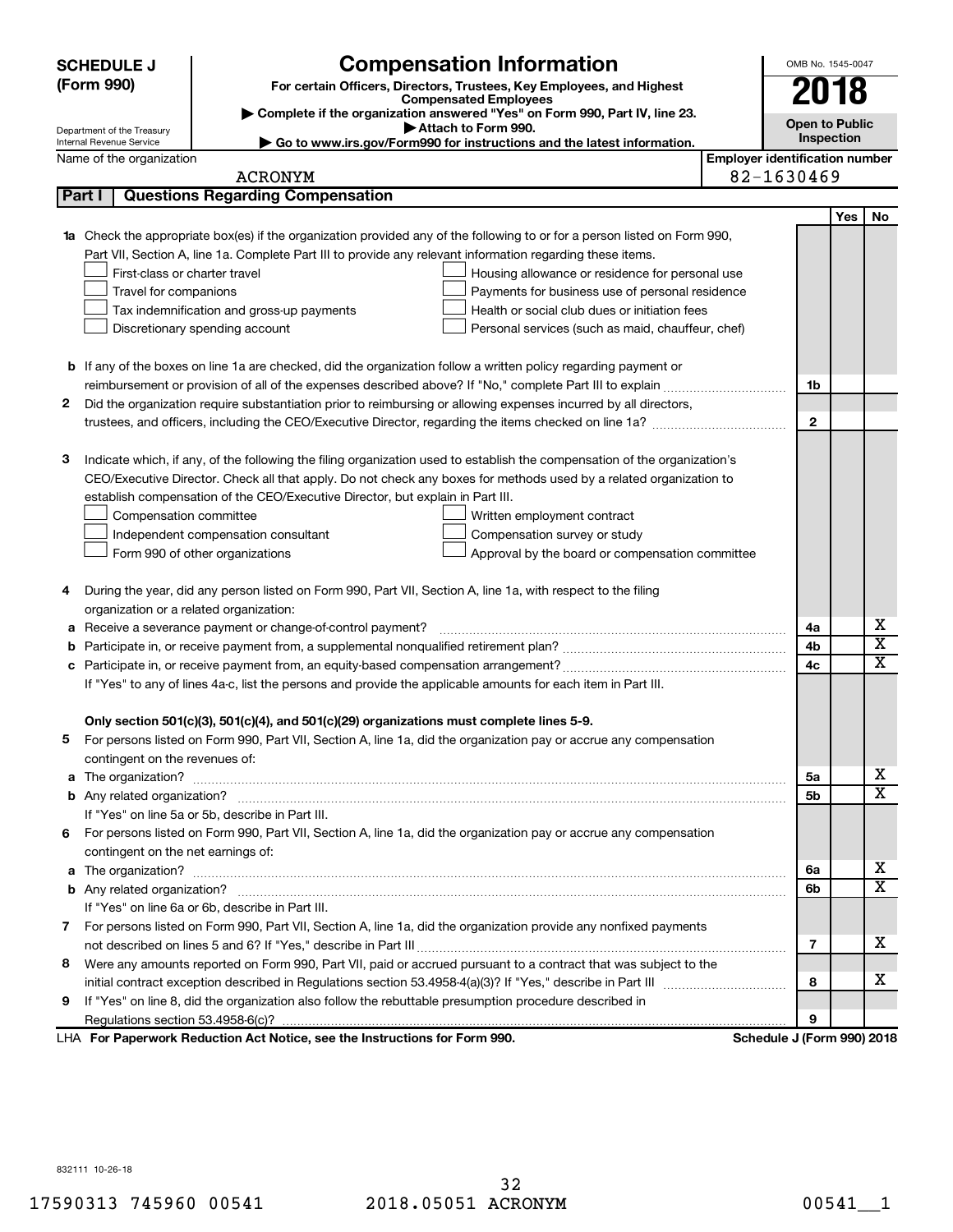|   | <b>SCHEDULE J</b>                                      | <b>Compensation Information</b>                                                                                             |                                       | OMB No. 1545-0047          |            |                         |
|---|--------------------------------------------------------|-----------------------------------------------------------------------------------------------------------------------------|---------------------------------------|----------------------------|------------|-------------------------|
|   | (Form 990)                                             | For certain Officers, Directors, Trustees, Key Employees, and Highest                                                       |                                       |                            |            |                         |
|   |                                                        | <b>Compensated Employees</b>                                                                                                |                                       | 2018                       |            |                         |
|   |                                                        | Complete if the organization answered "Yes" on Form 990, Part IV, line 23.<br>Attach to Form 990.                           |                                       | <b>Open to Public</b>      |            |                         |
|   | Department of the Treasury<br>Internal Revenue Service | Go to www.irs.gov/Form990 for instructions and the latest information.                                                      |                                       | Inspection                 |            |                         |
|   | Name of the organization                               |                                                                                                                             | <b>Employer identification number</b> |                            |            |                         |
|   |                                                        | <b>ACRONYM</b>                                                                                                              |                                       | 82-1630469                 |            |                         |
|   | Part I                                                 | <b>Questions Regarding Compensation</b>                                                                                     |                                       |                            |            |                         |
|   |                                                        |                                                                                                                             |                                       |                            | <b>Yes</b> | No                      |
|   |                                                        | Check the appropriate box(es) if the organization provided any of the following to or for a person listed on Form 990,      |                                       |                            |            |                         |
|   |                                                        | Part VII, Section A, line 1a. Complete Part III to provide any relevant information regarding these items.                  |                                       |                            |            |                         |
|   | First-class or charter travel                          | Housing allowance or residence for personal use                                                                             |                                       |                            |            |                         |
|   | Travel for companions                                  | Payments for business use of personal residence                                                                             |                                       |                            |            |                         |
|   |                                                        | Health or social club dues or initiation fees<br>Tax indemnification and gross-up payments                                  |                                       |                            |            |                         |
|   |                                                        | Discretionary spending account<br>Personal services (such as maid, chauffeur, chef)                                         |                                       |                            |            |                         |
|   |                                                        |                                                                                                                             |                                       |                            |            |                         |
|   |                                                        | <b>b</b> If any of the boxes on line 1a are checked, did the organization follow a written policy regarding payment or      |                                       |                            |            |                         |
|   |                                                        |                                                                                                                             |                                       | 1b                         |            |                         |
| 2 |                                                        | Did the organization require substantiation prior to reimbursing or allowing expenses incurred by all directors,            |                                       |                            |            |                         |
|   |                                                        |                                                                                                                             |                                       | $\mathbf{2}$               |            |                         |
|   |                                                        |                                                                                                                             |                                       |                            |            |                         |
| З |                                                        | Indicate which, if any, of the following the filing organization used to establish the compensation of the organization's   |                                       |                            |            |                         |
|   |                                                        | CEO/Executive Director. Check all that apply. Do not check any boxes for methods used by a related organization to          |                                       |                            |            |                         |
|   |                                                        | establish compensation of the CEO/Executive Director, but explain in Part III.                                              |                                       |                            |            |                         |
|   | Compensation committee                                 | Written employment contract                                                                                                 |                                       |                            |            |                         |
|   |                                                        | Independent compensation consultant<br>Compensation survey or study                                                         |                                       |                            |            |                         |
|   |                                                        | Form 990 of other organizations<br>Approval by the board or compensation committee                                          |                                       |                            |            |                         |
| 4 |                                                        | During the year, did any person listed on Form 990, Part VII, Section A, line 1a, with respect to the filing                |                                       |                            |            |                         |
|   | organization or a related organization:                |                                                                                                                             |                                       |                            |            |                         |
| а |                                                        | Receive a severance payment or change-of-control payment?                                                                   |                                       | 4a                         |            | х                       |
| b |                                                        |                                                                                                                             |                                       | 4b                         |            | $\overline{\mathbf{X}}$ |
| с |                                                        |                                                                                                                             |                                       | 4c                         |            | X                       |
|   |                                                        | If "Yes" to any of lines 4a-c, list the persons and provide the applicable amounts for each item in Part III.               |                                       |                            |            |                         |
|   |                                                        |                                                                                                                             |                                       |                            |            |                         |
|   |                                                        | Only section 501(c)(3), 501(c)(4), and 501(c)(29) organizations must complete lines 5-9.                                    |                                       |                            |            |                         |
|   |                                                        | For persons listed on Form 990, Part VII, Section A, line 1a, did the organization pay or accrue any compensation           |                                       |                            |            |                         |
|   | contingent on the revenues of:                         |                                                                                                                             |                                       |                            |            |                         |
| a |                                                        |                                                                                                                             |                                       | 5a                         |            | x                       |
|   |                                                        |                                                                                                                             |                                       | 5b                         |            | X                       |
|   |                                                        | If "Yes" on line 5a or 5b, describe in Part III.                                                                            |                                       |                            |            |                         |
|   |                                                        | 6 For persons listed on Form 990, Part VII, Section A, line 1a, did the organization pay or accrue any compensation         |                                       |                            |            |                         |
|   | contingent on the net earnings of:                     |                                                                                                                             |                                       |                            |            |                         |
| a |                                                        | The organization? <b>With the organization</b> ? <b>With the organization with the organization? With the organization?</b> |                                       | 6a                         |            | x                       |
|   |                                                        |                                                                                                                             |                                       | 6b                         |            | х                       |
|   |                                                        | If "Yes" on line 6a or 6b, describe in Part III.                                                                            |                                       |                            |            |                         |
|   |                                                        | 7 For persons listed on Form 990, Part VII, Section A, line 1a, did the organization provide any nonfixed payments          |                                       |                            |            |                         |
|   |                                                        |                                                                                                                             |                                       | 7                          |            | x                       |
| 8 |                                                        | Were any amounts reported on Form 990, Part VII, paid or accrued pursuant to a contract that was subject to the             |                                       |                            |            |                         |
|   |                                                        |                                                                                                                             |                                       | 8                          |            | х                       |
| 9 |                                                        | If "Yes" on line 8, did the organization also follow the rebuttable presumption procedure described in                      |                                       |                            |            |                         |
|   |                                                        |                                                                                                                             |                                       | 9                          |            |                         |
|   |                                                        | LHA For Paperwork Reduction Act Notice, see the Instructions for Form 990.                                                  |                                       | Schedule J (Form 990) 2018 |            |                         |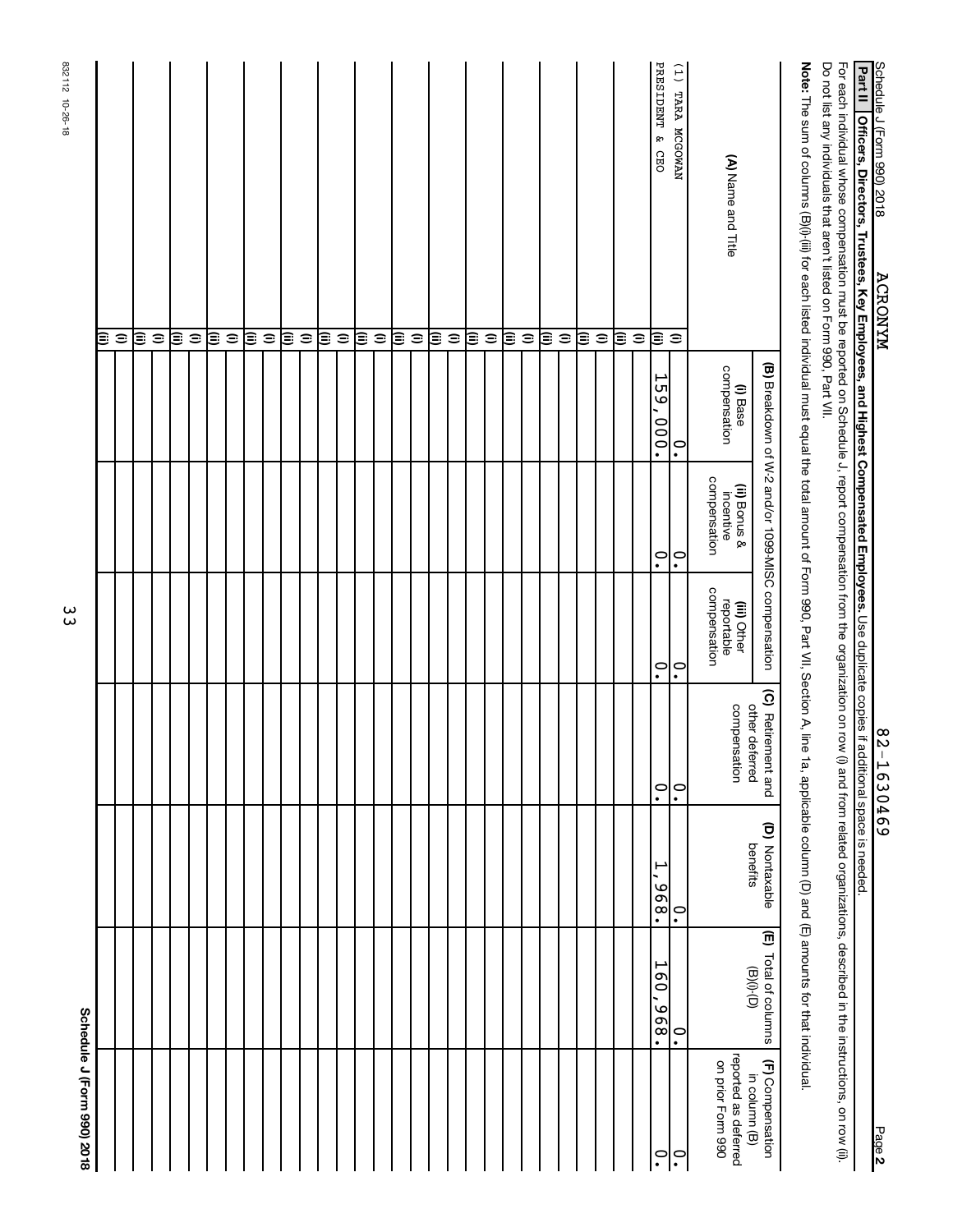| Schedule J (Form 990) 2018                                 |                                  |                                                                                 |                                |                                           |                                                    |                          |                                                                                                                                                                                                  |
|------------------------------------------------------------|----------------------------------|---------------------------------------------------------------------------------|--------------------------------|-------------------------------------------|----------------------------------------------------|--------------------------|--------------------------------------------------------------------------------------------------------------------------------------------------------------------------------------------------|
|                                                            |                                  |                                                                                 |                                |                                           |                                                    |                          | Œ                                                                                                                                                                                                |
|                                                            |                                  |                                                                                 |                                |                                           |                                                    |                          | $\widehat{=}$                                                                                                                                                                                    |
|                                                            |                                  |                                                                                 |                                |                                           |                                                    |                          | ι≣                                                                                                                                                                                               |
|                                                            |                                  |                                                                                 |                                |                                           |                                                    |                          | $\widehat{=}$                                                                                                                                                                                    |
|                                                            |                                  |                                                                                 |                                |                                           |                                                    |                          | ι≣                                                                                                                                                                                               |
|                                                            |                                  |                                                                                 |                                |                                           |                                                    |                          | $\widehat{=}$                                                                                                                                                                                    |
|                                                            |                                  |                                                                                 |                                |                                           |                                                    |                          | ε                                                                                                                                                                                                |
|                                                            |                                  |                                                                                 |                                |                                           |                                                    |                          | $\widehat{=}$                                                                                                                                                                                    |
|                                                            |                                  |                                                                                 |                                |                                           |                                                    |                          | ε                                                                                                                                                                                                |
|                                                            |                                  |                                                                                 |                                |                                           |                                                    |                          | $\widehat{=}$                                                                                                                                                                                    |
|                                                            |                                  |                                                                                 |                                |                                           |                                                    |                          | ε                                                                                                                                                                                                |
|                                                            |                                  |                                                                                 |                                |                                           |                                                    |                          | $\widehat{=}$                                                                                                                                                                                    |
|                                                            |                                  |                                                                                 |                                |                                           |                                                    |                          | β                                                                                                                                                                                                |
|                                                            |                                  |                                                                                 |                                |                                           |                                                    |                          | $\widehat{=}$                                                                                                                                                                                    |
|                                                            |                                  |                                                                                 |                                |                                           |                                                    |                          | ι≣                                                                                                                                                                                               |
|                                                            |                                  |                                                                                 |                                |                                           |                                                    |                          | $\widehat{=}$                                                                                                                                                                                    |
|                                                            |                                  |                                                                                 |                                |                                           |                                                    |                          | ι≣                                                                                                                                                                                               |
|                                                            |                                  |                                                                                 |                                |                                           |                                                    |                          | $\widehat{=}$                                                                                                                                                                                    |
|                                                            |                                  |                                                                                 |                                |                                           |                                                    |                          | (ii)                                                                                                                                                                                             |
|                                                            |                                  |                                                                                 |                                |                                           |                                                    |                          | $\widehat{=}$                                                                                                                                                                                    |
|                                                            |                                  |                                                                                 |                                |                                           |                                                    |                          | ι≣                                                                                                                                                                                               |
|                                                            |                                  |                                                                                 |                                |                                           |                                                    |                          | $\widehat{=}$                                                                                                                                                                                    |
|                                                            |                                  |                                                                                 |                                |                                           |                                                    |                          | ι≣                                                                                                                                                                                               |
|                                                            |                                  |                                                                                 |                                |                                           |                                                    |                          | $\widehat{=}$                                                                                                                                                                                    |
|                                                            |                                  |                                                                                 |                                |                                           |                                                    |                          | ι≣                                                                                                                                                                                               |
|                                                            |                                  |                                                                                 |                                |                                           |                                                    |                          | $\widehat{=}$                                                                                                                                                                                    |
|                                                            |                                  |                                                                                 |                                |                                           |                                                    |                          | ε                                                                                                                                                                                                |
|                                                            |                                  |                                                                                 |                                |                                           |                                                    |                          | $\widehat{=}$                                                                                                                                                                                    |
|                                                            |                                  |                                                                                 |                                |                                           |                                                    |                          | ε                                                                                                                                                                                                |
|                                                            |                                  |                                                                                 |                                |                                           |                                                    |                          | $\widehat{=}$                                                                                                                                                                                    |
|                                                            | ۳<br>$\overline{0}$<br>.896      | ۳<br>.896                                                                       | $\ddot{\cdot}$                 | $\ddot{\cdot}$                            | $\ddot{\phantom{0}}$                               | 159,<br>000.             | PRESIDENT & CEO<br>β                                                                                                                                                                             |
|                                                            | $\overset{\circ}{\cdot}$         | $\ddot{\phantom{0}}$                                                            | $\overset{\circ}{\cdot}$       | $\overset{\circ}{\cdot}$                  | $\overset{\circ}{\cdot}$                           | $\overset{\circ}{\cdot}$ | (1) TARA MCGOWAN<br>$\widehat{\mathbf{z}}$                                                                                                                                                       |
| reported as deferred<br>on prior Form 990<br>in column (B) | $\Theta$ <sub>(i)</sub> $\Theta$ | benefits                                                                        | other deferred<br>compensation | reportable<br>compensation<br>(iii) Other | compensation<br>(ii) Bonus &<br>incentive          | compensation<br>(i) Base | (A) Name and Title                                                                                                                                                                               |
| (F) Compensation                                           | (E) Total of columns             | (D) Nontaxable                                                                  | (C) Retirement and             |                                           | (B) Breakdown of W-2 and/or 1099-MISC compensation |                          |                                                                                                                                                                                                  |
|                                                            |                                  | 1a, applicable column (D) and (E) amounts for that individual.                  |                                |                                           |                                                    |                          | Note: The sum of columns (B)(i); for each listed individual must equal the total amount of Form 990, Part VII, Section A, line                                                                   |
|                                                            |                                  | (i) and from related organizations, described in the instructions, on row (ii). |                                |                                           |                                                    |                          | Do not list any individuals that aren't listed on Form 990, Part VII.<br>For each individual whose compensation must be reported on Schedule J, report compensation from the organization on row |
|                                                            |                                  |                                                                                 |                                |                                           |                                                    |                          | <b>Part II</b><br>Officers, Directors, Trustees, Key Employees, and Highest Compensated Employees. Use duplicate copies if additional space is needed.                                           |
| Page 2                                                     |                                  |                                                                                 | 82-1630469                     |                                           |                                                    |                          | Schedule J (Form 990) 2018<br><b>ACRONYM</b>                                                                                                                                                     |

832112 10-26-18

832112 10-26-18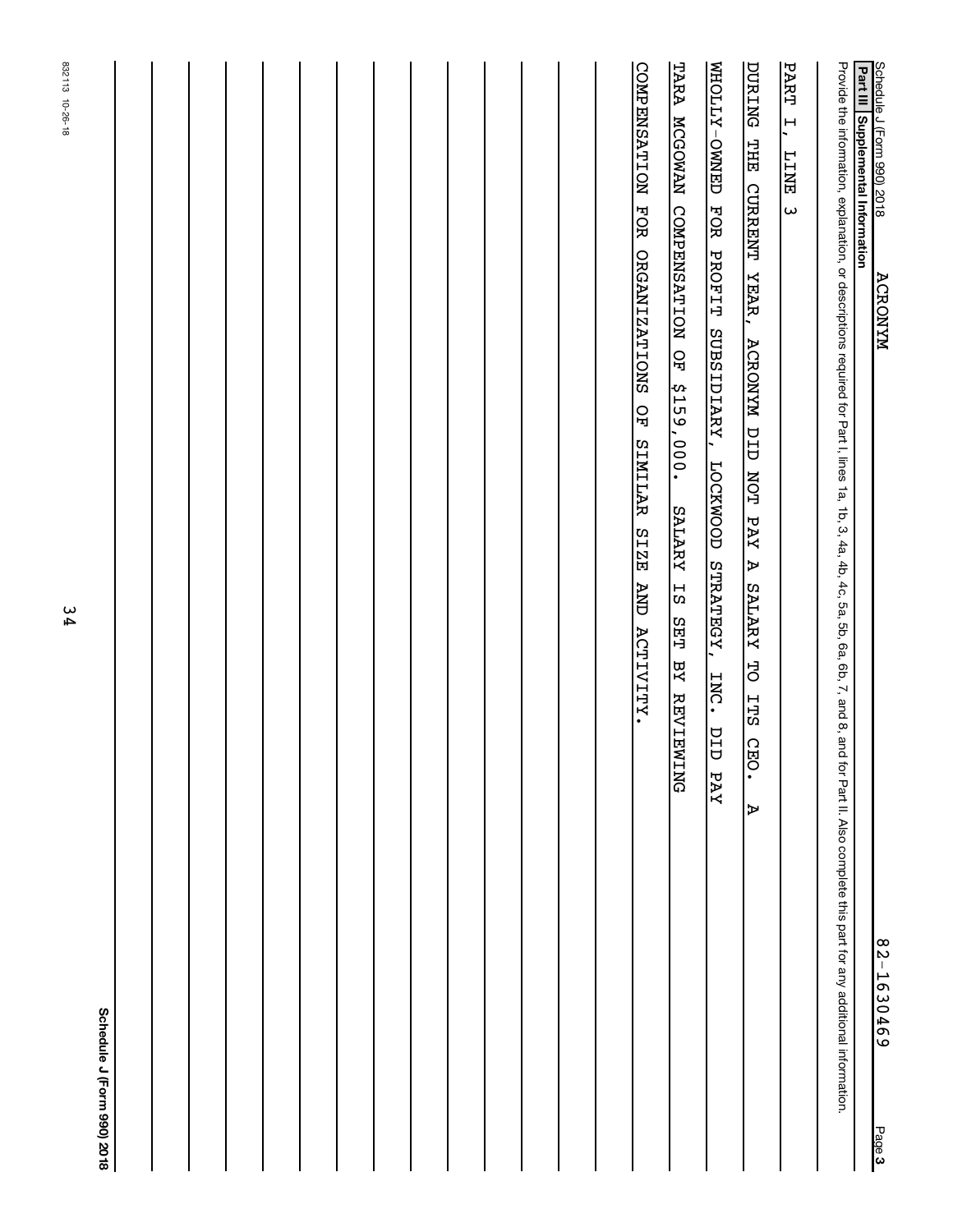|        | Schedule J (Form 990) 2018                                                                                                                                                                                                     |                            |
|--------|--------------------------------------------------------------------------------------------------------------------------------------------------------------------------------------------------------------------------------|----------------------------|
|        |                                                                                                                                                                                                                                |                            |
|        |                                                                                                                                                                                                                                |                            |
|        |                                                                                                                                                                                                                                |                            |
|        |                                                                                                                                                                                                                                |                            |
|        |                                                                                                                                                                                                                                |                            |
|        |                                                                                                                                                                                                                                |                            |
|        |                                                                                                                                                                                                                                |                            |
|        |                                                                                                                                                                                                                                |                            |
|        |                                                                                                                                                                                                                                |                            |
|        |                                                                                                                                                                                                                                |                            |
|        |                                                                                                                                                                                                                                |                            |
|        |                                                                                                                                                                                                                                |                            |
|        |                                                                                                                                                                                                                                |                            |
|        |                                                                                                                                                                                                                                |                            |
|        | COMPENSATION FOR ORGANIZATIONS OF<br>SIMILAR SIZE AND ACTTVITY.                                                                                                                                                                |                            |
|        | TARA MCGOWAN COMPENSATION OF<br>\$159,000.<br>SALARY IS<br><b>SET</b><br>BY REVIEWING                                                                                                                                          |                            |
|        | FOR<br>PROFIT<br>SUBSIDIARY,<br>LOCKWOOD STRATEGY,<br>INC.<br>$\overline{\square}$<br>Ò<br>PAY                                                                                                                                 | <b>MHOLLY-ONNED</b>        |
|        | <b>DURING THE CURRENT YEAR,</b><br>ACRONYN DID NOT PAY<br><b>A SALARY TO</b><br><b>TTS</b><br>$\Omega$<br>iя<br>С<br>Þ                                                                                                         |                            |
|        | <b>TINET</b><br>$\omega$                                                                                                                                                                                                       | PART<br>$\ddot{=}$         |
|        | Provide the information, or descriptions required for Part I, lines 1a, 16, 3, 4a, 4b, 5, 5a, 5b, 6a, 5b, 6a, 6b, 7, and 8, and for Part II. Hoss 1a, 40, 5, 4a, 46, 58, 68, 7, and 8, and for Part II. Also complete this par |                            |
| Page 3 | Part III Supplemental Information<br><b>ACRONYM</b><br>82-1630469                                                                                                                                                              | Schedule J (Form 990) 2018 |
|        |                                                                                                                                                                                                                                |                            |

832113 10-26-18

832113 10-26-18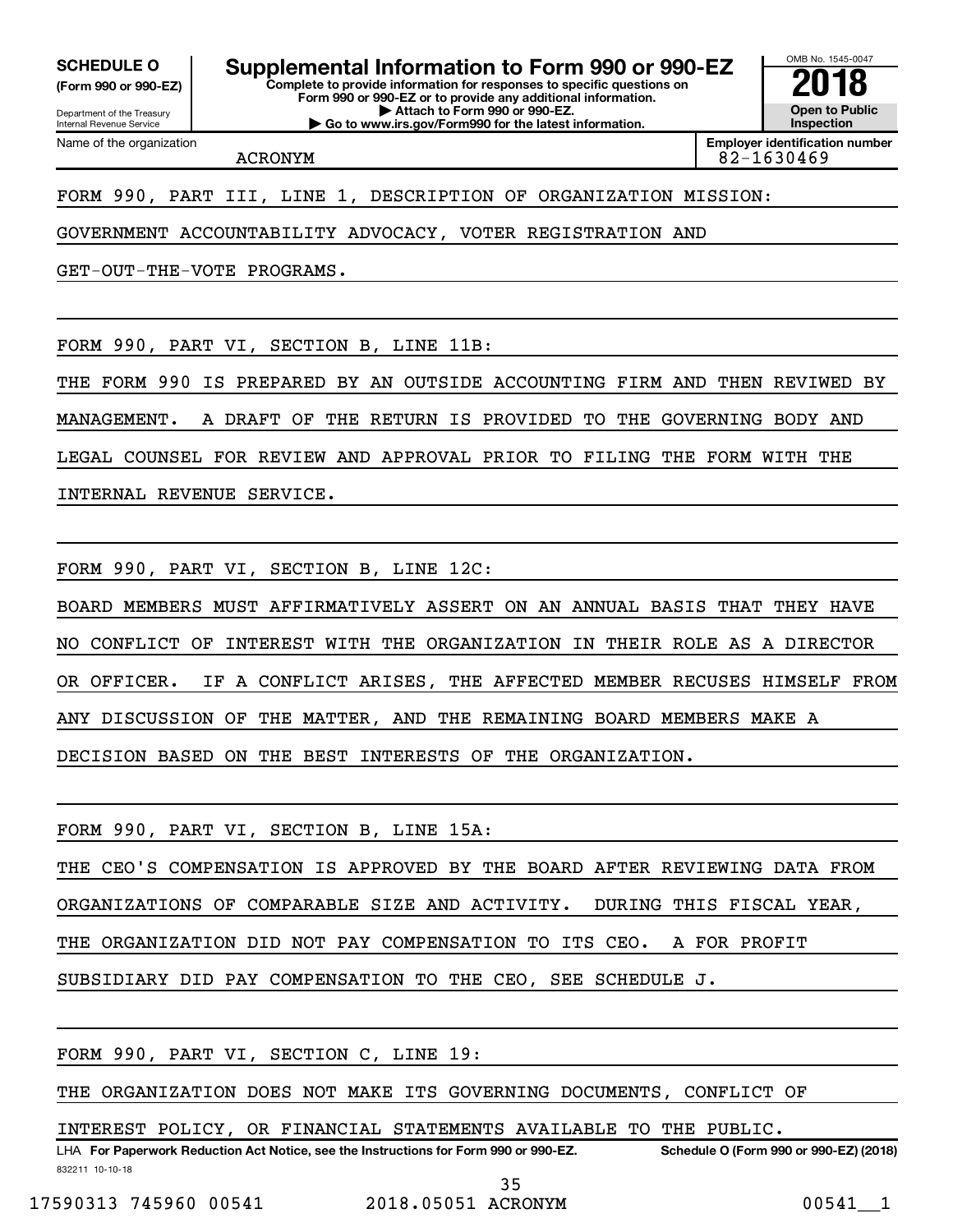**(Form 990 or 990-EZ)**

Name of the organization

**Complete to provide information for responses to specific questions on** SCHEDULE O **Supplemental Information to Form 990 or 990-EZ 2018**<br>(Form 990 or 990-EZ) Complete to provide information for responses to specific questions on

Department of the Treasury Internal Revenue Service

**Form 990 or 990-EZ or to provide any additional information. | Attach to Form 990 or 990-EZ. | Go to www.irs.gov/Form990 for the latest information.**

**Open to Public Inspection**

OMB No. 1545-0047

**Employer identification number** ACRONYM 82-1630469

FORM 990, PART III, LINE 1, DESCRIPTION OF ORGANIZATION MISSION:

GOVERNMENT ACCOUNTABILITY ADVOCACY, VOTER REGISTRATION AND

GET-OUT-THE-VOTE PROGRAMS.

FORM 990, PART VI, SECTION B, LINE 11B:

THE FORM 990 IS PREPARED BY AN OUTSIDE ACCOUNTING FIRM AND THEN REVIWED BY

MANAGEMENT. A DRAFT OF THE RETURN IS PROVIDED TO THE GOVERNING BODY AND

LEGAL COUNSEL FOR REVIEW AND APPROVAL PRIOR TO FILING THE FORM WITH THE

INTERNAL REVENUE SERVICE.

FORM 990, PART VI, SECTION B, LINE 12C:

BOARD MEMBERS MUST AFFIRMATIVELY ASSERT ON AN ANNUAL BASIS THAT THEY HAVE NO CONFLICT OF INTEREST WITH THE ORGANIZATION IN THEIR ROLE AS A DIRECTOR OR OFFICER. IF A CONFLICT ARISES, THE AFFECTED MEMBER RECUSES HIMSELF FROM ANY DISCUSSION OF THE MATTER, AND THE REMAINING BOARD MEMBERS MAKE A DECISION BASED ON THE BEST INTERESTS OF THE ORGANIZATION.

FORM 990, PART VI, SECTION B, LINE 15A: THE CEO'S COMPENSATION IS APPROVED BY THE BOARD AFTER REVIEWING DATA FROM ORGANIZATIONS OF COMPARABLE SIZE AND ACTIVITY. DURING THIS FISCAL YEAR, THE ORGANIZATION DID NOT PAY COMPENSATION TO ITS CEO. A FOR PROFIT SUBSIDIARY DID PAY COMPENSATION TO THE CEO, SEE SCHEDULE J.

FORM 990, PART VI, SECTION C, LINE 19:

THE ORGANIZATION DOES NOT MAKE ITS GOVERNING DOCUMENTS, CONFLICT OF

INTEREST POLICY, OR FINANCIAL STATEMENTS AVAILABLE TO THE PUBLIC.

832211 10-10-18 LHA For Paperwork Reduction Act Notice, see the Instructions for Form 990 or 990-EZ. Schedule O (Form 990 or 990-EZ) (2018)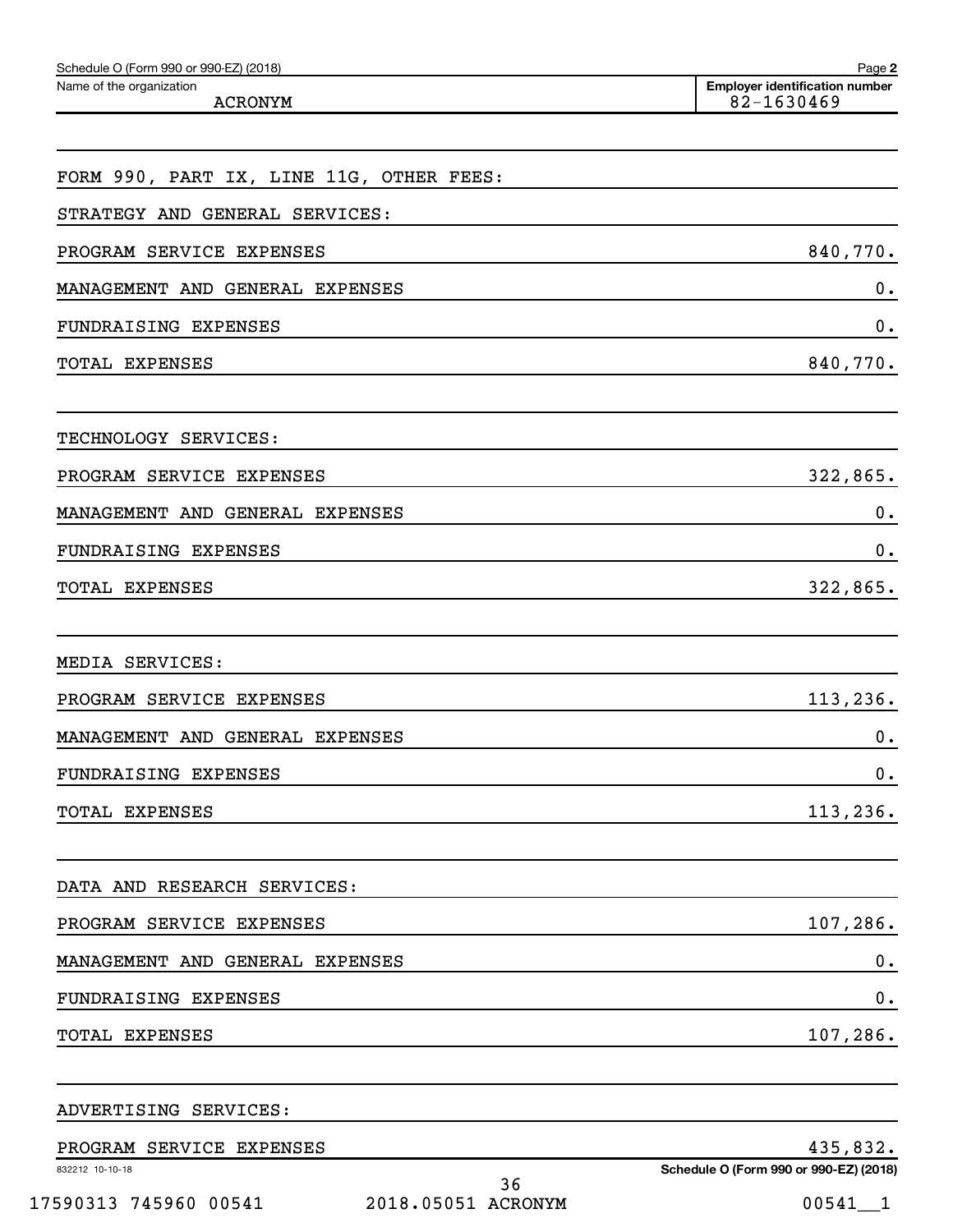| Schedule O (Form 990 or 990-EZ) (2018)     | Page 2                                              |
|--------------------------------------------|-----------------------------------------------------|
| Name of the organization<br><b>ACRONYM</b> | <b>Employer identification number</b><br>82-1630469 |
|                                            |                                                     |
| FORM 990, PART IX, LINE 11G, OTHER FEES:   |                                                     |
| STRATEGY AND GENERAL SERVICES:             |                                                     |
| PROGRAM SERVICE EXPENSES                   | 840,770.                                            |
| MANAGEMENT AND GENERAL EXPENSES            | 0.                                                  |
| FUNDRAISING EXPENSES                       | 0.                                                  |
| TOTAL EXPENSES                             | 840,770.                                            |
| TECHNOLOGY SERVICES:                       |                                                     |
| PROGRAM SERVICE EXPENSES                   | 322,865.                                            |
| MANAGEMENT AND GENERAL EXPENSES            | 0.                                                  |
| FUNDRAISING EXPENSES                       | 0.                                                  |
| TOTAL EXPENSES                             | 322,865.                                            |
|                                            |                                                     |
| MEDIA SERVICES:                            |                                                     |
| PROGRAM SERVICE EXPENSES                   | 113, 236.                                           |
| MANAGEMENT AND GENERAL EXPENSES            | 0.                                                  |
| FUNDRAISING EXPENSES                       | $\mathbf 0$ .                                       |
| TOTAL EXPENSES                             | 113,236.                                            |
| DATA AND RESEARCH SERVICES:                |                                                     |
| PROGRAM SERVICE EXPENSES                   | 107,286.                                            |
| MANAGEMENT AND GENERAL EXPENSES            | 0.                                                  |
| FUNDRAISING EXPENSES                       | $\mathbf 0$ .                                       |
| TOTAL EXPENSES                             | 107,286.                                            |
| ADVERTISING SERVICES:                      |                                                     |
| PROGRAM SERVICE EXPENSES                   | 435,832.                                            |
| 832212 10-10-18                            | Schedule O (Form 990 or 990-EZ) (2018)              |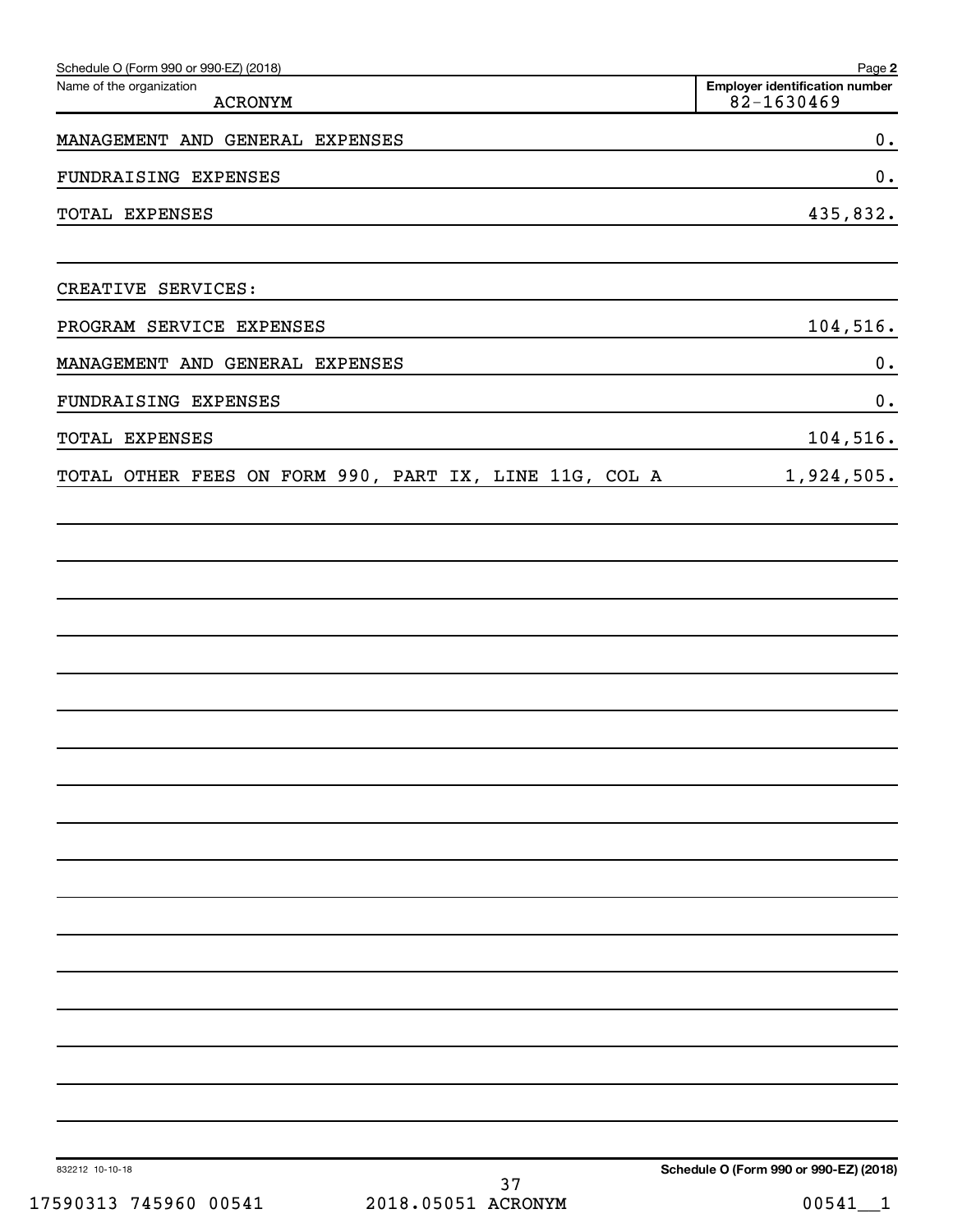| Schedule O (Form 990 or 990-EZ) (2018)                 | Page 2                                              |
|--------------------------------------------------------|-----------------------------------------------------|
| Name of the organization<br><b>ACRONYM</b>             | <b>Employer identification number</b><br>82-1630469 |
| MANAGEMENT AND GENERAL EXPENSES                        | $\boldsymbol{0}$ .                                  |
| FUNDRAISING EXPENSES                                   | $\boldsymbol{0}$ .                                  |
| TOTAL EXPENSES                                         | 435,832.                                            |
| CREATIVE SERVICES:                                     |                                                     |
| PROGRAM SERVICE EXPENSES                               | 104,516.                                            |
| MANAGEMENT AND GENERAL EXPENSES                        | $\boldsymbol{0}$ .                                  |
| FUNDRAISING EXPENSES                                   | $\boldsymbol{0}$ .                                  |
| TOTAL EXPENSES                                         | 104,516.                                            |
| TOTAL OTHER FEES ON FORM 990, PART IX, LINE 11G, COL A | 1,924,505.                                          |
|                                                        |                                                     |
|                                                        |                                                     |
|                                                        |                                                     |
|                                                        |                                                     |
|                                                        |                                                     |
|                                                        |                                                     |
|                                                        |                                                     |
|                                                        |                                                     |
|                                                        |                                                     |
|                                                        |                                                     |
|                                                        |                                                     |
|                                                        |                                                     |
|                                                        |                                                     |
|                                                        |                                                     |
|                                                        |                                                     |
|                                                        |                                                     |
|                                                        |                                                     |
| 832212 10-10-18<br>37                                  | Schedule O (Form 990 or 990-EZ) (2018)              |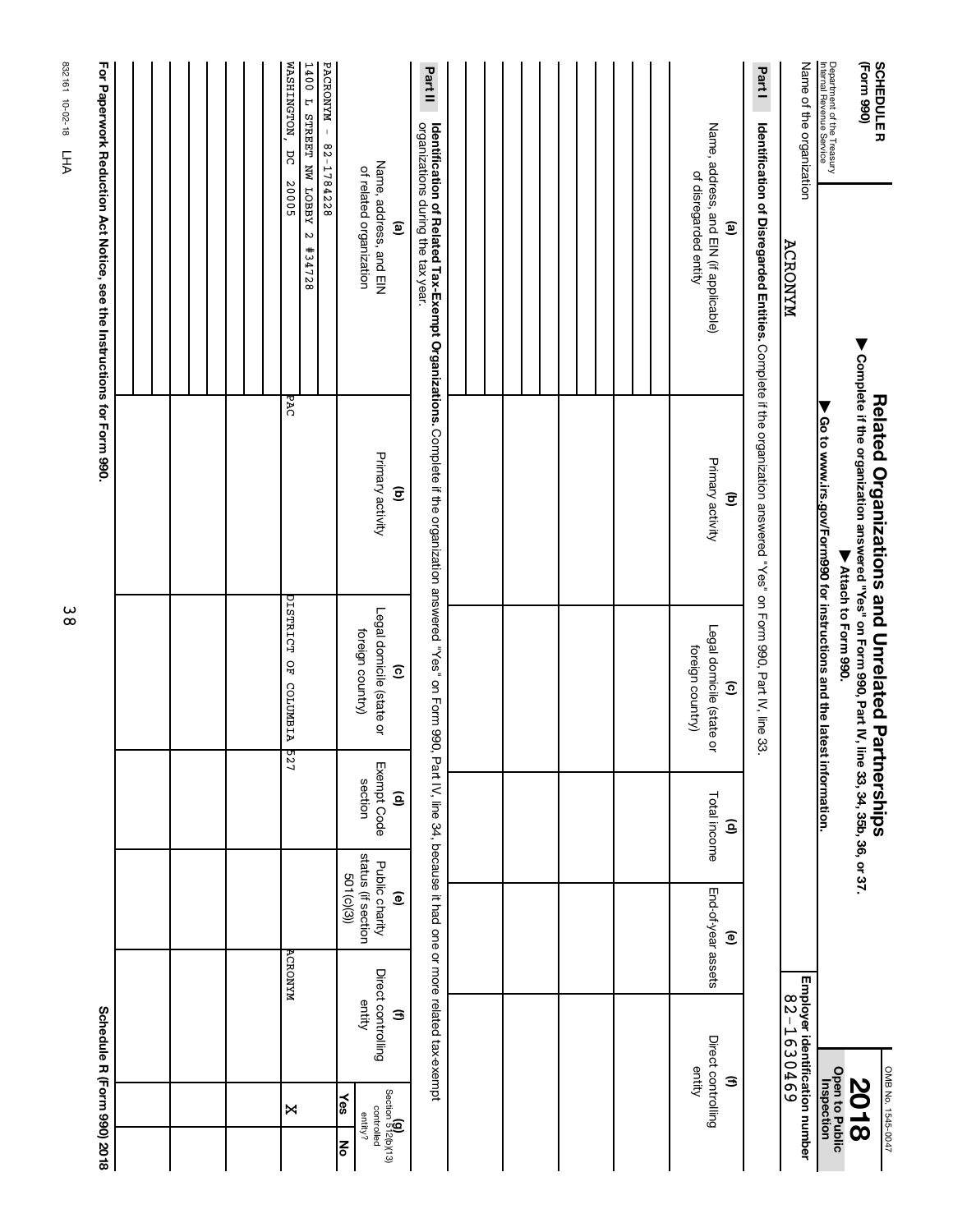|                                                                    |  | WASHINGTON,<br>PACRONYM - 82-1784228<br>1400 L STREET NW LOBBY<br>ΩC<br>20005 |                                                                              | Part II                                                                                                                                                   |  |  |                                                                                           | Part I                                                                                                            | Name of the organization                     | Department of the Treasury<br>Internal Revenue Service                 | (Form 990)<br><b>SCHEDULER</b>                                                                                                                              |
|--------------------------------------------------------------------|--|-------------------------------------------------------------------------------|------------------------------------------------------------------------------|-----------------------------------------------------------------------------------------------------------------------------------------------------------|--|--|-------------------------------------------------------------------------------------------|-------------------------------------------------------------------------------------------------------------------|----------------------------------------------|------------------------------------------------------------------------|-------------------------------------------------------------------------------------------------------------------------------------------------------------|
| For Paperwork Reduction Act Notice, see the Instructions form 990. |  | $\boldsymbol{\omega}$<br>#34728                                               | Name, address, and EIN<br>of related organization<br>©                       |                                                                                                                                                           |  |  | Name, address, and EIN (if applicable)<br>of disregarded entity<br>$\widehat{\mathbf{e}}$ |                                                                                                                   | ACRONYM                                      |                                                                        |                                                                                                                                                             |
|                                                                    |  | ਨਾਰ                                                                           | Primary activity<br>$\widehat{\mathbf{c}}$                                   | <b>Identification of Related Tax-Exempt Organizations.</b> Complete if the organization answered "Yes" on Form 990,<br>organizations during the tax year. |  |  | Primary activity<br>$\widehat{\mathbf{c}}$                                                | Identification of Disregarded Entities. Complete if the organization answered "Yes" on Form 990, Part IV, line 33 |                                              | Go to www.irs.gov/Form990 for instructions and the latest information. | ▶ Complete if the organization answered "Yes" on Form 990, Part IV, line 33, 34, 35b, 36, or 37.<br><b>Related Organizations and Unrelated Partnerships</b> |
|                                                                    |  | DISTRICT OF COLUMBIA                                                          | Legal domicile (state or<br>foreign country)<br>$\widehat{c}$                |                                                                                                                                                           |  |  | Legal domicile (state or<br>foreign country)<br>$\widehat{\mathbf{c}}$                    |                                                                                                                   |                                              |                                                                        | ▼ Attach to Form 990.                                                                                                                                       |
|                                                                    |  | <b>227</b>                                                                    | Exempt Code<br>section<br>$\widehat{\mathbf{e}}$                             |                                                                                                                                                           |  |  | Total income<br>$\widehat{\mathsf{e}}$                                                    |                                                                                                                   |                                              |                                                                        |                                                                                                                                                             |
|                                                                    |  | <b>ACRONYM</b>                                                                | status (if section<br>Public charity<br>501(c)(3))<br>$\widehat{\mathbf{e}}$ | Part IV, line 34, because it had one or more related tax-exempt                                                                                           |  |  | End-of-year assets<br>$\widehat{\mathbf{e}}$                                              |                                                                                                                   |                                              |                                                                        |                                                                                                                                                             |
| Schedule R (Form 990) 2018                                         |  |                                                                               | Direct controlling<br>entity<br>3                                            |                                                                                                                                                           |  |  | Direct controlling<br>entity<br>Э                                                         |                                                                                                                   | Employer identification number<br>82-1630469 |                                                                        |                                                                                                                                                             |
|                                                                    |  | Χ                                                                             | Section 512(b)(13)<br>$\frac{1}{36}$<br>controlled<br>entity?<br>종           |                                                                                                                                                           |  |  |                                                                                           |                                                                                                                   |                                              | <b>Open to Public</b><br>Inspection                                    | OMB No. 1545-0047<br><b>2018</b>                                                                                                                            |

38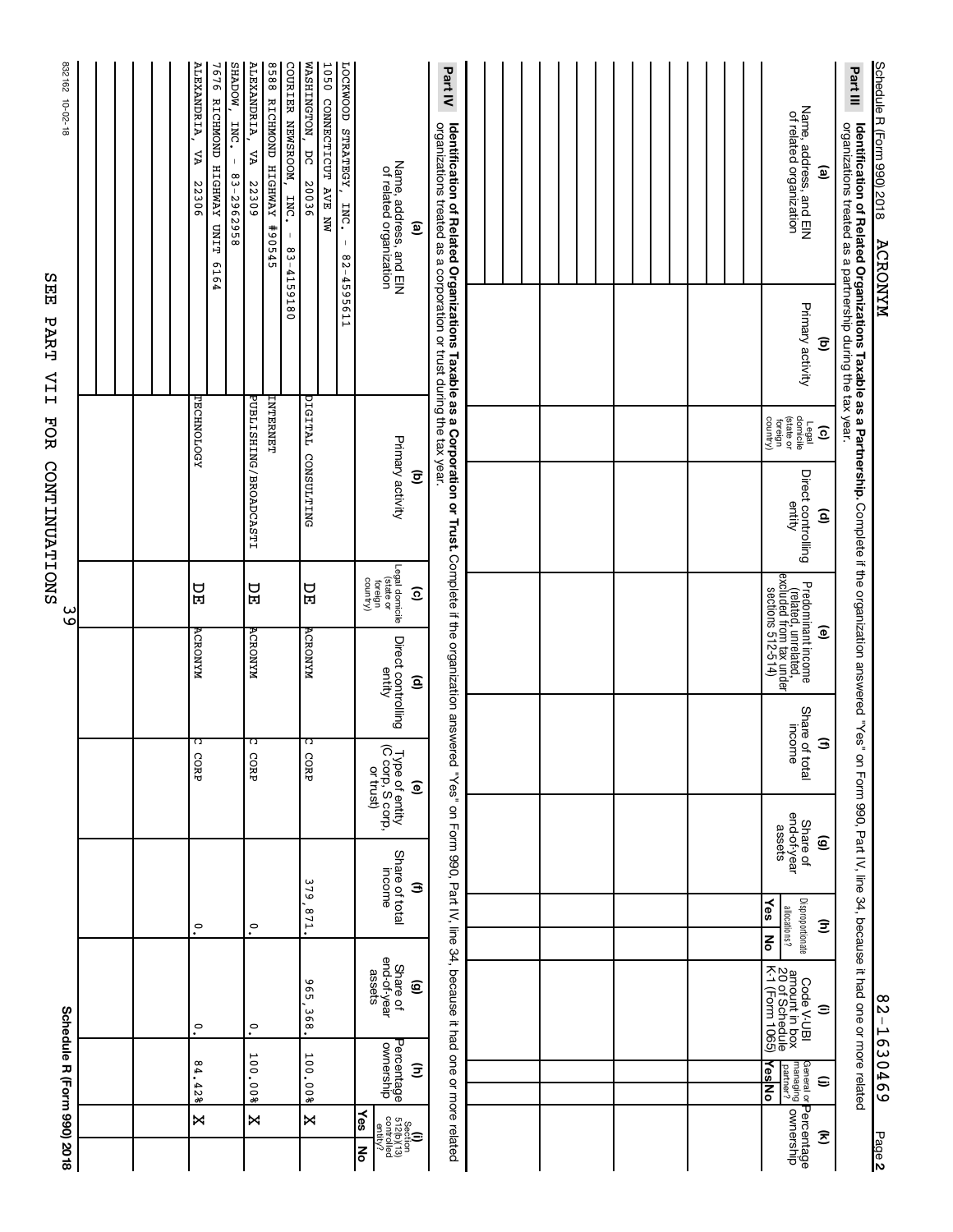|                                                                                                                                                                                                                                                      | Schedule R (Form 990) 2018                       |                                                                       |                                                              |                                        |                                                                           |                                                        | س<br>৩                                                                                          | CONTINUATIONS                                          | FOR                                                                   | 묩<br>PART<br>IIA                           | 832162<br>10-02-18<br>ທ                                                                                                                                                                                                                           |
|------------------------------------------------------------------------------------------------------------------------------------------------------------------------------------------------------------------------------------------------------|--------------------------------------------------|-----------------------------------------------------------------------|--------------------------------------------------------------|----------------------------------------|---------------------------------------------------------------------------|--------------------------------------------------------|-------------------------------------------------------------------------------------------------|--------------------------------------------------------|-----------------------------------------------------------------------|--------------------------------------------|---------------------------------------------------------------------------------------------------------------------------------------------------------------------------------------------------------------------------------------------------|
|                                                                                                                                                                                                                                                      |                                                  |                                                                       |                                                              |                                        |                                                                           |                                                        |                                                                                                 |                                                        |                                                                       |                                            |                                                                                                                                                                                                                                                   |
|                                                                                                                                                                                                                                                      |                                                  |                                                                       |                                                              |                                        |                                                                           |                                                        |                                                                                                 |                                                        |                                                                       |                                            |                                                                                                                                                                                                                                                   |
| ×                                                                                                                                                                                                                                                    | 84.428                                           | $\circ$                                                               | $\circ$                                                      |                                        | ೧<br>CORP                                                                 | <b>ACRONYM</b>                                         | PЕ                                                                                              |                                                        | TECHNOLOGY                                                            |                                            | ALEXANDRIA,<br><b>NOUTHS</b><br><b>7676 RICHMOND</b><br>INC.<br>٧Δ<br>$\mathsf I$<br><b>HIGHWAY</b><br>83-2962958<br>22306<br>TIMUTT<br>6164                                                                                                      |
| ×                                                                                                                                                                                                                                                    | 100.00%                                          | °.                                                                    | $\tilde{\cdot}$                                              |                                        | ೧<br>CORP                                                                 | <b>ACRONYM</b>                                         | <b>DH</b>                                                                                       | PUBLISANG/BROADCASTI                                   | LNTENENET                                                             | 4159180                                    | ALEXANDRIA,<br>8588 RICHMOND HIGHWAY<br>COURIER NEWSROOM,<br>ΣŲ<br>22309<br>INC.<br>490545<br>$\mathsf I$<br>$\frac{8}{3}$                                                                                                                        |
| ×                                                                                                                                                                                                                                                    | 100.<br>008                                      | 96<br>368                                                             | 128                                                          | 379                                    | ೧<br>CORP                                                                 | <b>ACRONYM</b>                                         | PЕ                                                                                              | CONSULTING                                             | DIGITAL                                                               | 4595611                                    | WASHINGTON,<br>LOCKWOOD STRATEGY,<br><b>1050 CONNECTICUT AVE NW</b><br>ΣC<br>20036<br>INC.<br>$\mathbb{I}$<br>$^\infty$<br>$\mathbf{v}$                                                                                                           |
| ∤es<br>$\begin{array}{r} \begin{array}{c} \text{S}{\small \text{section}} \\ \text{S}{\small \text{C}{\small \text{control}}}\\ \text{control} \\ \text{control} \\ \text{control} \\ \text{control} \\ \text{control} \end{array} \end{array}$<br>ξ | Percentage<br>ownership<br>Ξ                     | Share of<br>end-of-year<br>assets<br>ම                                |                                                              | Share of total<br>mcome<br>Э           | Type of entity<br>(C corp, S corp,<br>or trust)<br>$\widehat{\mathbf{e}}$ | Direct controlling<br>entity<br>$\widehat{\mathsf{e}}$ | Legal domicile<br>(state or<br>country)<br>foreign<br>$\widehat{\mathbf{e}}$                    | Primary activity<br>$\overline{\mathbf{e}}$            |                                                                       |                                            | Name, address, and EIN<br>of related organization<br>$\mathbf{e}$                                                                                                                                                                                 |
|                                                                                                                                                                                                                                                      |                                                  |                                                                       |                                                              |                                        |                                                                           |                                                        |                                                                                                 |                                                        |                                                                       |                                            | Part IV<br><b>Identification of Related Organizations Taxable as a Corporation or Trust.</b> Complete if the organization answered "Yes" on Form 990, Part IV, line 34, because it had one or more related<br>organizations treated as a corporat |
|                                                                                                                                                                                                                                                      |                                                  |                                                                       |                                                              |                                        |                                                                           |                                                        |                                                                                                 |                                                        |                                                                       |                                            |                                                                                                                                                                                                                                                   |
|                                                                                                                                                                                                                                                      |                                                  |                                                                       |                                                              |                                        |                                                                           |                                                        |                                                                                                 |                                                        |                                                                       |                                            |                                                                                                                                                                                                                                                   |
|                                                                                                                                                                                                                                                      |                                                  |                                                                       |                                                              |                                        |                                                                           |                                                        |                                                                                                 |                                                        |                                                                       |                                            |                                                                                                                                                                                                                                                   |
|                                                                                                                                                                                                                                                      |                                                  |                                                                       |                                                              |                                        |                                                                           |                                                        |                                                                                                 |                                                        |                                                                       |                                            |                                                                                                                                                                                                                                                   |
| Percentage<br>ownership<br>Ξ                                                                                                                                                                                                                         | YesNo<br>managing<br>partner?<br>General or<br>⊜ | Code V-UBI<br>amount in box<br>20 of Schedule<br>K-1 (Form 1065)<br>Ξ | Disproportionate<br>$\frac{1}{2}$<br>allocations?<br>Ξ<br>ķο | end-of-year<br>Share of<br>assets<br>ම | Share of total<br>income<br>$\widehat{\mathbf{a}}$                        |                                                        | Predominant income<br>(related, unrelated,<br>excluded from tax under<br>sections 512-514)<br>ම | Direct controlling<br>entity<br>$\widehat{\mathsf{e}}$ | Legal<br>(state or<br>(state or<br>country)<br>$\widehat{\mathbf{c}}$ | Primary activity<br>$\widehat{\mathbf{c}}$ | Name, address, and EIN<br>of related organization<br>ම                                                                                                                                                                                            |
| Page 2                                                                                                                                                                                                                                               | 82-1630469                                       | on Form 990, Part IV, line 34, because it had one or more related     |                                                              |                                        |                                                                           |                                                        |                                                                                                 |                                                        |                                                                       |                                            | Schedule R (Form 990) 2018<br>Part III<br>Identification of Related Organizations Taxable as a Partnership. Complete if the organization answered "Yes'<br>organizations treated as a partnership during the tax year.<br><b>ACRONYM</b>          |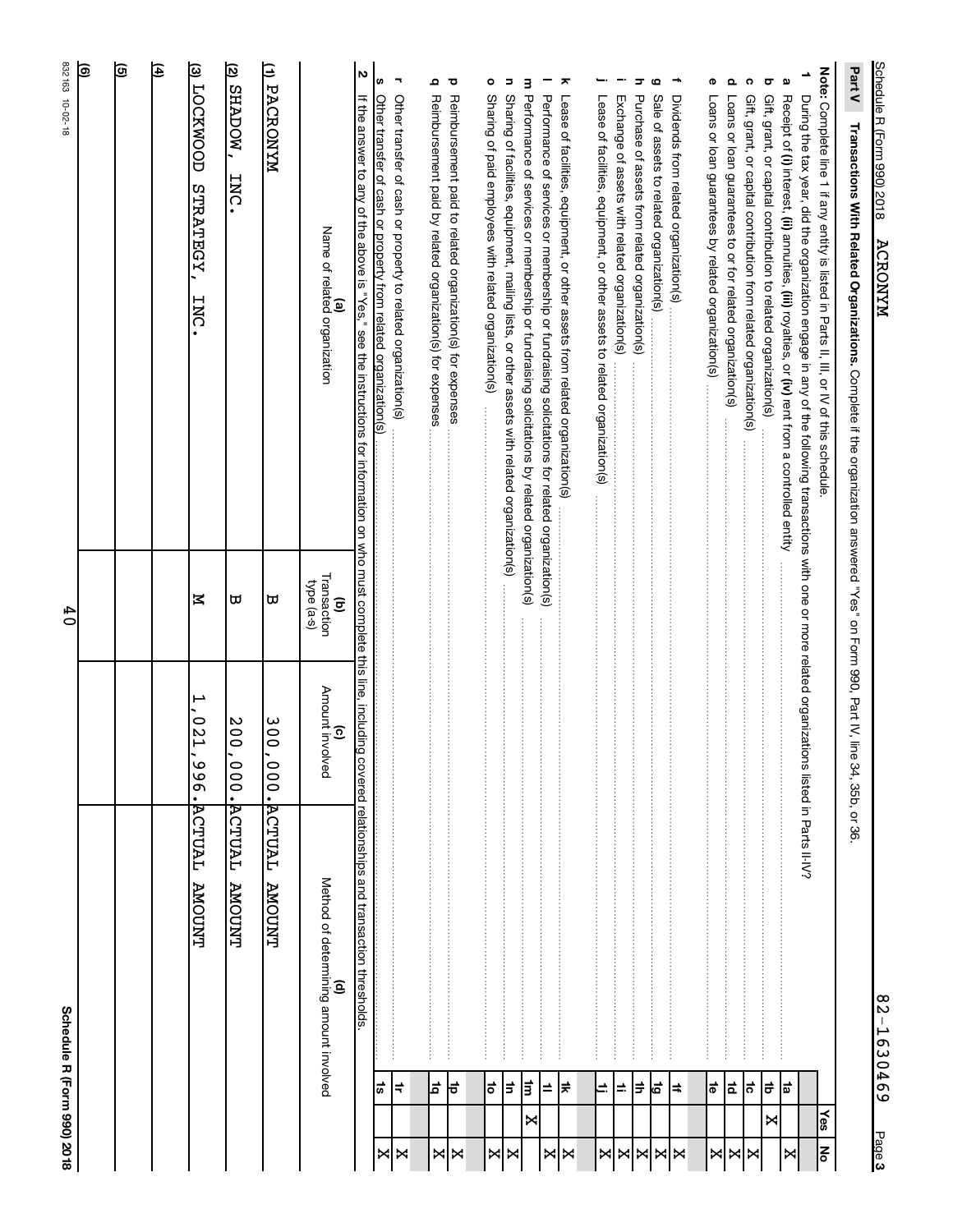| Part V<br>Transactions With Related Organizations. Complete if the organization answered "Yes" on Form 990, Part IV, line                                                                                                                                   |                                                     | 34, 35b, or 36                    |                                            |                    |                  |
|-------------------------------------------------------------------------------------------------------------------------------------------------------------------------------------------------------------------------------------------------------------|-----------------------------------------------------|-----------------------------------|--------------------------------------------|--------------------|------------------|
| Note: Complete line 1 if any entity is listed in Parts II, III, or N of this schedule                                                                                                                                                                       |                                                     |                                   |                                            |                    | ∕es<br><b>No</b> |
| ∸<br>Receipt of (i) interest, (ii) annuities, (iii) royalties, or (iv) rent from a controlled entity<br>During the tax year, did the organization engage in any of the following transactions with one or more related organizations listed in Parts II-IV? |                                                     |                                   |                                            |                    | ×                |
| g<br>ᡖ<br>Gift, grant, or capital contribution to related organization(s)                                                                                                                                                                                   |                                                     |                                   |                                            | =<br>اھ            | ×                |
| ດ                                                                                                                                                                                                                                                           |                                                     |                                   |                                            | ¦ನ                 | ⊠∣×              |
| $\Omega$                                                                                                                                                                                                                                                    |                                                     |                                   |                                            | $\vec{\mathbf{a}}$ |                  |
| Φ                                                                                                                                                                                                                                                           |                                                     |                                   |                                            | $\vec{\bullet}$    | ×                |
| ÷                                                                                                                                                                                                                                                           |                                                     |                                   |                                            | $\sharp$           |                  |
| G                                                                                                                                                                                                                                                           |                                                     |                                   |                                            | đ                  | <b>XXXX</b>      |
| ᢖ<br>Purchase of assets from related organization(s)                                                                                                                                                                                                        |                                                     |                                   |                                            | ∣≑                 |                  |
| Exchange of assets with related organization(s) ………………………………………………………………………………………                                                                                                                                                                           |                                                     |                                   |                                            | $\Rightarrow$      |                  |
| Lease of facilities, equipment, or other assets to related organization(s)                                                                                                                                                                                  |                                                     |                                   |                                            | d,                 | ×                |
|                                                                                                                                                                                                                                                             |                                                     |                                   |                                            |                    |                  |
| ᅎ<br>Lease of facilities, equipment, or other assets from related organization(s)                                                                                                                                                                           |                                                     |                                   |                                            | ∣≠                 | Χ<br>⋈           |
| Performance of services or membership or fundraising solicitations for related organization(s)                                                                                                                                                              |                                                     |                                   |                                            | ±                  |                  |
| m Performance of services or membership or fundraising solicitations by related organization(s)                                                                                                                                                             |                                                     |                                   |                                            | ŧ                  | ×<br>×           |
| $\circ$<br>Б<br>Sharing of paid employees with related organization(s)                                                                                                                                                                                      |                                                     |                                   |                                            | ō<br>l=            | ⋈                |
| ਹ<br>Reimbursement paid to related organization(s) for expenses                                                                                                                                                                                             |                                                     |                                   |                                            | ਵ                  | Χ                |
| Ω                                                                                                                                                                                                                                                           |                                                     | :<br>:<br>:<br>:<br>:             |                                            | 비                  | ⋈                |
| 7<br>Other transfer of cash or property to related organization(s)                                                                                                                                                                                          |                                                     |                                   |                                            | ⊧                  | ×<br>X           |
| N<br>S<br>If the answer to any of the above is "Yes," see the instructions for information on who must complete this line, including covered relationships and transaction thresholds.                                                                      |                                                     |                                   |                                            | ີທ <b>ີ່</b>       |                  |
| Name of related organization<br>ම                                                                                                                                                                                                                           | Transaction<br>type (a-s)<br>$\widehat{\mathbf{c}}$ | Amount involved<br>$\overline{6}$ | Method of determining amount involved<br>€ |                    |                  |
| MYNORONYM                                                                                                                                                                                                                                                   | ω                                                   | 00<br>۰<br>000.                   | <b>ACTUAL</b><br><b>TAUOMA</b>             |                    |                  |
| (2) SHADOW,<br><b>INC</b>                                                                                                                                                                                                                                   | ω                                                   | 00Z<br>000.                       | <b>ACTUAL</b><br><b>T'NUOMA</b>            |                    |                  |
| (3) LOCKNOOD<br><b>STRATEGY</b><br><b>INC</b>                                                                                                                                                                                                               | Z                                                   | ⊢<br><b>D21</b><br>.966           | ACTUAL<br><b>TYUOMA</b>                    |                    |                  |
| 闰                                                                                                                                                                                                                                                           |                                                     |                                   |                                            |                    |                  |
| তি                                                                                                                                                                                                                                                          |                                                     |                                   |                                            |                    |                  |
| াছ                                                                                                                                                                                                                                                          |                                                     |                                   |                                            |                    |                  |
| 832163 10-02-18                                                                                                                                                                                                                                             | $\frac{4}{1}$                                       |                                   | Schedule R (Form 990) 2018                 |                    |                  |

**3** Page 82-1630469

Schedule R (Form 990) 2018 ACRONYM Schedule R (Form 990) 2018 ACRONYM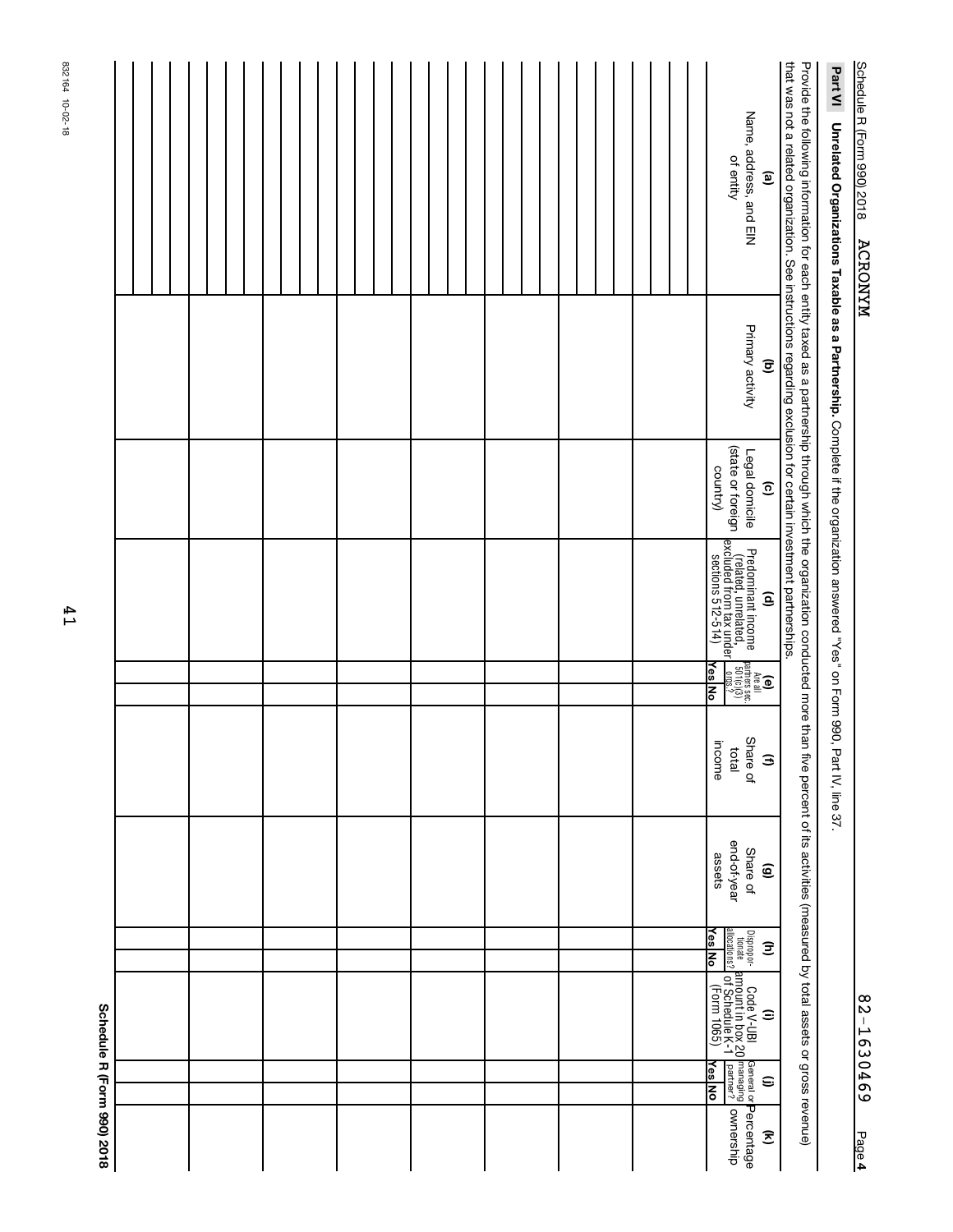| $\infty$<br>N              |
|----------------------------|
| ı<br>н<br>د<br>O<br>η<br>س |
| $\circ$<br>4<br>Ō          |
| ശ                          |
| age<br>P<br>4              |

# Schedule R (Form 990) 2018 ACRONYM Schedule R (Form 990) 2018 ACRONYM

Part VI Unrelated Organizations Taxable as a Partnership. Complete if the organization answered "Yes" on Form 990, Part IV, line 37. **Unrelated Organizations Taxable as a Partnership.**  Complete if the organization answered "Yes" on Form 990, Part IV, line 37.

Provide the following information for each entity taxed as a partnership through which the organization conducted more than five percent of its activities (measured by total assets or gross revenue)<br>that was not a related that was not a related organization. See instructions regarding exclusion for certain investment partnerships. Provide the following information for each entity taxed as a partnership through which the organization conducted more than five percent of its activities (measured by total assets or gross revenue)

|                            |  |  |  |  | Name, address, and EIN<br>of entity<br>$\mathbf{e}$                                                                                                          |
|----------------------------|--|--|--|--|--------------------------------------------------------------------------------------------------------------------------------------------------------------|
|                            |  |  |  |  | Primary activity<br>$\widehat{\mathbf{c}}$                                                                                                                   |
|                            |  |  |  |  | Legal domicile<br>(state or foreign<br>country)<br>$\widehat{\mathbf{c}}$                                                                                    |
|                            |  |  |  |  | Predominant income<br>  (related, unrelated,    <br>  excluded from tax under  <br>  sections 512-514)<br>  sections 512-514)<br>$\widehat{\mathbf{e}}$      |
|                            |  |  |  |  | (e)<br>$\frac{1}{\text{pathness}}$<br>$\frac{\text{parentness}}{\text{softmax}(2)}$<br><u>Yes No</u>                                                         |
|                            |  |  |  |  | Share of<br>income<br>total<br>$\mathbf{B}$                                                                                                                  |
|                            |  |  |  |  | end-of-year<br>Share of<br>assets<br>$\widehat{\mathbf{e}}$                                                                                                  |
|                            |  |  |  |  | Yes No<br>Dispropor-<br>tionate<br>allocations?<br>Ξ                                                                                                         |
|                            |  |  |  |  | Code V-UBI<br>amount in box 20 managing<br>of Schedule K-1 pa <del>riner?</del><br>of Form 1065) <b>Yes No</b><br>(Form 1065) <b>Yes No</b><br>$\widehat{=}$ |
|                            |  |  |  |  | <u><b>Yes</b></u> No<br>$\mathbf{\epsilon}$                                                                                                                  |
| Schedule R (Form 990) 2018 |  |  |  |  | $\widehat{\mathcal{Z}}$                                                                                                                                      |